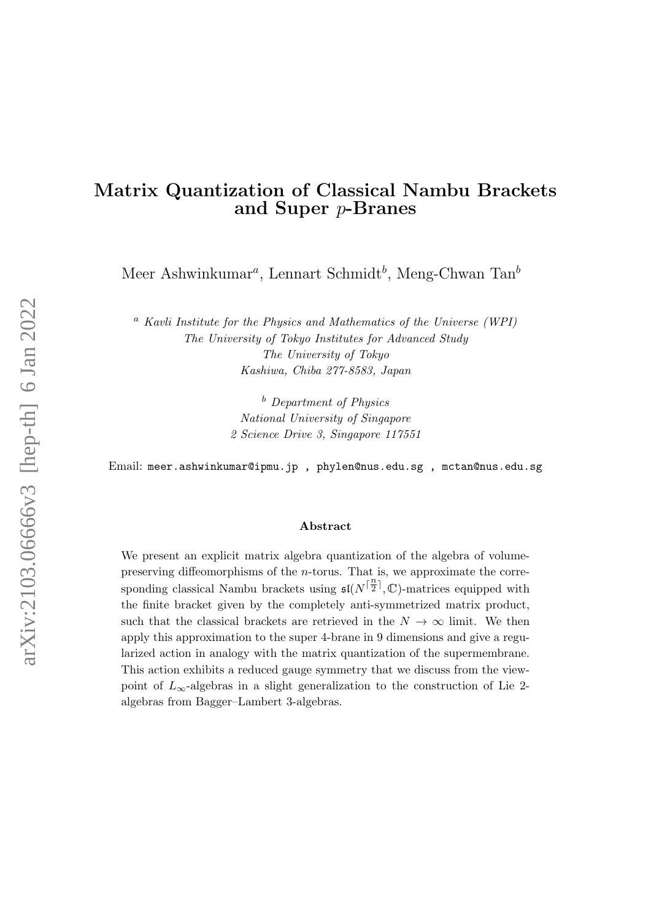# Matrix Quantization of Classical Nambu Brackets and Super p-Branes

Meer Ashwinkumar<sup>a</sup>, Lennart Schmidt<sup>b</sup>, Meng-Chwan Tan<sup>b</sup>

<sup>a</sup> Kavli Institute for the Physics and Mathematics of the Universe (WPI) The University of Tokyo Institutes for Advanced Study The University of Tokyo Kashiwa, Chiba 277-8583, Japan

> <sup>b</sup> Department of Physics National University of Singapore 2 Science Drive 3, Singapore 117551

Email: meer.ashwinkumar@ipmu.jp , phylen@nus.edu.sg , mctan@nus.edu.sg

#### Abstract

We present an explicit matrix algebra quantization of the algebra of volumepreserving diffeomorphisms of the n-torus. That is, we approximate the corresponding classical Nambu brackets using  $\mathfrak{sl}(N^{\lceil \frac{n}{2} \rceil})$  $\frac{n}{2}$ , C)-matrices equipped with the finite bracket given by the completely anti-symmetrized matrix product, such that the classical brackets are retrieved in the  $N \to \infty$  limit. We then apply this approximation to the super 4-brane in 9 dimensions and give a regularized action in analogy with the matrix quantization of the supermembrane. This action exhibits a reduced gauge symmetry that we discuss from the viewpoint of  $L_{\infty}$ -algebras in a slight generalization to the construction of Lie 2algebras from Bagger–Lambert 3-algebras.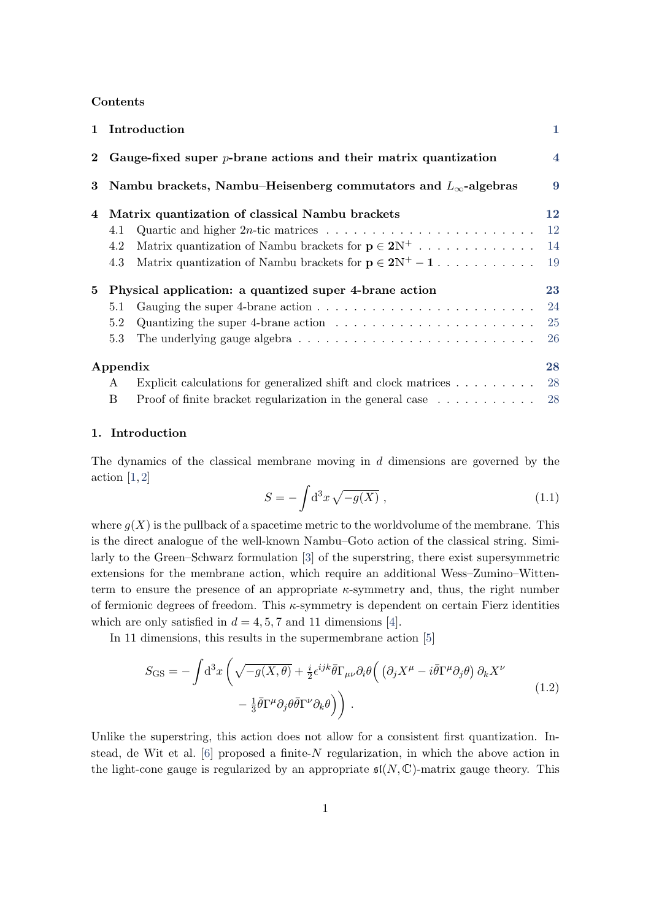## Contents

|          |                                                                      | 1 Introduction                                                                                        | $\mathbf{1}$   |
|----------|----------------------------------------------------------------------|-------------------------------------------------------------------------------------------------------|----------------|
|          | 2 Gauge-fixed super $p$ -brane actions and their matrix quantization |                                                                                                       | $\overline{4}$ |
| $\bf{3}$ |                                                                      | Nambu brackets, Nambu-Heisenberg commutators and $L_{\infty}$ -algebras                               | 9              |
| 4        |                                                                      | Matrix quantization of classical Nambu brackets                                                       | 12             |
|          | 4.1                                                                  | Quartic and higher 2 <i>n</i> -tic matrices $\ldots \ldots \ldots \ldots \ldots \ldots \ldots \ldots$ | <sup>12</sup>  |
|          | 4.2                                                                  | Matrix quantization of Nambu brackets for $p \in 2N^+$                                                | 14             |
|          | 4.3                                                                  | Matrix quantization of Nambu brackets for $p \in 2N^+ - 1$                                            | <sup>19</sup>  |
| 5        | Physical application: a quantized super 4-brane action               |                                                                                                       | 23             |
|          | 5.1                                                                  |                                                                                                       | 24             |
|          | 5.2                                                                  | Quantizing the super 4-brane action $\ldots \ldots \ldots \ldots \ldots \ldots \ldots$                | 25             |
|          | 5.3                                                                  |                                                                                                       | <b>26</b>      |
|          | Appendix                                                             |                                                                                                       | 28             |
|          | A                                                                    | Explicit calculations for generalized shift and clock matrices                                        | 28             |
|          | B                                                                    | Proof of finite bracket regularization in the general case                                            | 28             |

#### <span id="page-1-0"></span>1. Introduction

The dynamics of the classical membrane moving in d dimensions are governed by the action  $[1, 2]$  $[1, 2]$ 

<span id="page-1-1"></span>
$$
S = -\int d^3x \sqrt{-g(X)} , \qquad (1.1)
$$

where  $g(X)$  is the pullback of a spacetime metric to the worldvolume of the membrane. This is the direct analogue of the well-known Nambu–Goto action of the classical string. Similarly to the Green–Schwarz formulation [\[3\]](#page-31-2) of the superstring, there exist supersymmetric extensions for the membrane action, which require an additional Wess–Zumino–Wittenterm to ensure the presence of an appropriate  $\kappa$ -symmetry and, thus, the right number of fermionic degrees of freedom. This  $\kappa$ -symmetry is dependent on certain Fierz identities which are only satisfied in  $d = 4, 5, 7$  and 11 dimensions [\[4\]](#page-31-3).

In 11 dimensions, this results in the supermembrane action [\[5\]](#page-31-4)

$$
S_{\text{GS}} = -\int d^3x \left( \sqrt{-g(X,\theta)} + \frac{i}{2} \epsilon^{ijk} \bar{\theta} \Gamma_{\mu\nu} \partial_i \theta \left( \left( \partial_j X^\mu - i \bar{\theta} \Gamma^\mu \partial_j \theta \right) \partial_k X^\nu - \frac{1}{3} \bar{\theta} \Gamma^\mu \partial_j \theta \bar{\theta} \Gamma^\nu \partial_k \theta \right) \right) . \tag{1.2}
$$

Unlike the superstring, this action does not allow for a consistent first quantization. Instead, de Wit et al.  $[6]$  proposed a finite-N regularization, in which the above action in the light-cone gauge is regularized by an appropriate  $\mathfrak{sl}(N,\mathbb{C})$ -matrix gauge theory. This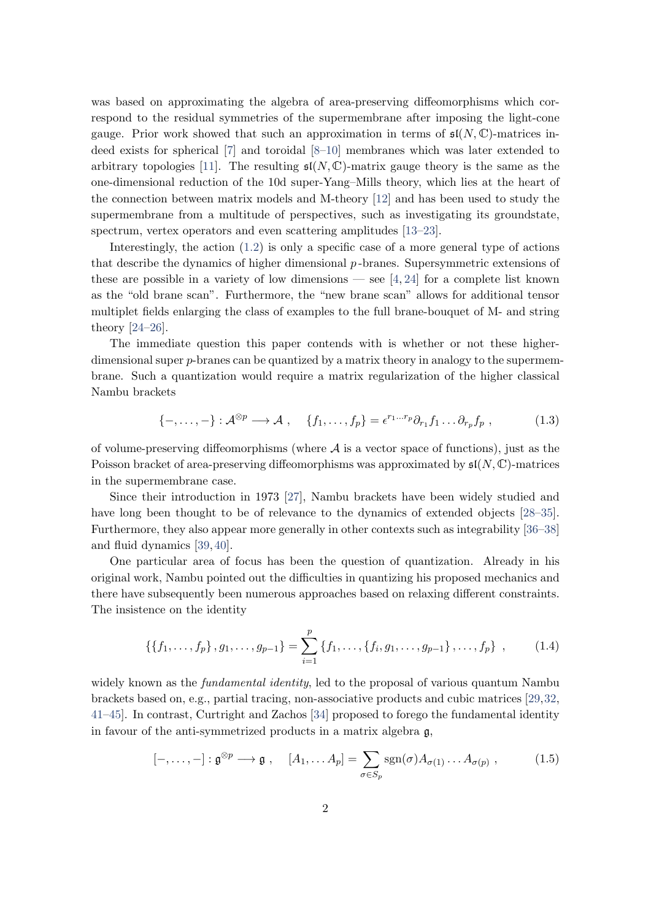was based on approximating the algebra of area-preserving diffeomorphisms which correspond to the residual symmetries of the supermembrane after imposing the light-cone gauge. Prior work showed that such an approximation in terms of  $\mathfrak{sl}(N,\mathbb{C})$ -matrices indeed exists for spherical [\[7\]](#page-31-6) and toroidal [\[8–](#page-31-7)[10\]](#page-32-0) membranes which was later extended to arbitrary topologies [\[11\]](#page-32-1). The resulting  $\mathfrak{sl}(N,\mathbb{C})$ -matrix gauge theory is the same as the one-dimensional reduction of the 10d super-Yang–Mills theory, which lies at the heart of the connection between matrix models and M-theory [\[12\]](#page-32-2) and has been used to study the supermembrane from a multitude of perspectives, such as investigating its groundstate, spectrum, vertex operators and even scattering amplitudes [\[13–](#page-32-3)[23\]](#page-32-4).

Interestingly, the action  $(1.2)$  is only a specific case of a more general type of actions that describe the dynamics of higher dimensional p -branes. Supersymmetric extensions of these are possible in a variety of low dimensions — see  $[4, 24]$  $[4, 24]$  for a complete list known as the "old brane scan". Furthermore, the "new brane scan" allows for additional tensor multiplet fields enlarging the class of examples to the full brane-bouquet of M- and string theory [\[24–](#page-32-5)[26\]](#page-33-0).

The immediate question this paper contends with is whether or not these higherdimensional super p-branes can be quantized by a matrix theory in analogy to the supermembrane. Such a quantization would require a matrix regularization of the higher classical Nambu brackets

$$
\{-,\ldots,-\}: \mathcal{A}^{\otimes p} \longrightarrow \mathcal{A} , \quad \{f_1,\ldots,f_p\} = \epsilon^{r_1\ldots r_p} \partial_{r_1} f_1 \ldots \partial_{r_p} f_p , \qquad (1.3)
$$

of volume-preserving diffeomorphisms (where  $A$  is a vector space of functions), just as the Poisson bracket of area-preserving diffeomorphisms was approximated by  $\mathfrak{sl}(N,\mathbb{C})$ -matrices in the supermembrane case.

Since their introduction in 1973 [\[27\]](#page-33-1), Nambu brackets have been widely studied and have long been thought to be of relevance to the dynamics of extended objects [\[28–](#page-33-2)[35\]](#page-33-3). Furthermore, they also appear more generally in other contexts such as integrability [\[36–](#page-33-4)[38\]](#page-33-5) and fluid dynamics [\[39,](#page-33-6) [40\]](#page-33-7).

One particular area of focus has been the question of quantization. Already in his original work, Nambu pointed out the difficulties in quantizing his proposed mechanics and there have subsequently been numerous approaches based on relaxing different constraints. The insistence on the identity

$$
\{\{f_1,\ldots,f_p\}\, ,g_1,\ldots,g_{p-1}\}=\sum_{i=1}^p\{f_1,\ldots,\{f_i,g_1,\ldots,g_{p-1}\}\, ,\ldots,f_p\}\ ,\qquad (1.4)
$$

widely known as the *fundamental identity*, led to the proposal of various quantum Nambu brackets based on, e.g., partial tracing, non-associative products and cubic matrices [\[29,](#page-33-8)[32,](#page-33-9) [41](#page-34-0)[–45\]](#page-34-1). In contrast, Curtright and Zachos [\[34\]](#page-33-10) proposed to forego the fundamental identity in favour of the anti-symmetrized products in a matrix algebra g,

$$
[-,\ldots,-]: \mathfrak{g}^{\otimes p} \longrightarrow \mathfrak{g} , \quad [A_1,\ldots A_p] = \sum_{\sigma \in S_p} \text{sgn}(\sigma) A_{\sigma(1)} \ldots A_{\sigma(p)} , \qquad (1.5)
$$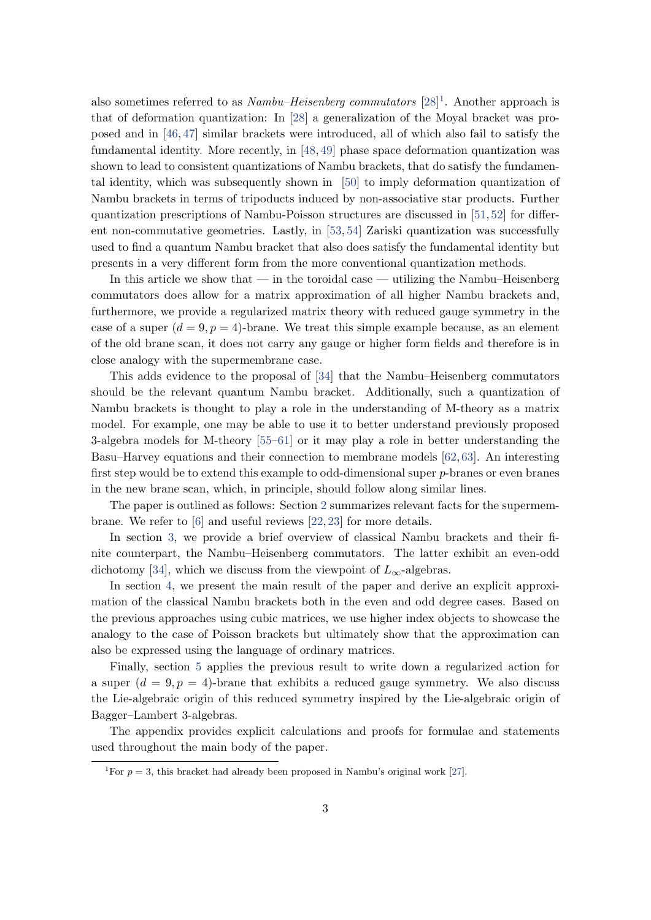also sometimes referred to as  $Nambu-Heisenberg commutators [28]<sup>1</sup>$  $Nambu-Heisenberg commutators [28]<sup>1</sup>$  $Nambu-Heisenberg commutators [28]<sup>1</sup>$  $Nambu-Heisenberg commutators [28]<sup>1</sup>$  $Nambu-Heisenberg commutators [28]<sup>1</sup>$ . Another approach is that of deformation quantization: In [\[28\]](#page-33-2) a generalization of the Moyal bracket was proposed and in [\[46,](#page-34-2) [47\]](#page-34-3) similar brackets were introduced, all of which also fail to satisfy the fundamental identity. More recently, in [\[48,](#page-34-4) [49\]](#page-34-5) phase space deformation quantization was shown to lead to consistent quantizations of Nambu brackets, that do satisfy the fundamental identity, which was subsequently shown in [\[50\]](#page-34-6) to imply deformation quantization of Nambu brackets in terms of tripoducts induced by non-associative star products. Further quantization prescriptions of Nambu-Poisson structures are discussed in [\[51,](#page-34-7) [52\]](#page-34-8) for different non-commutative geometries. Lastly, in [\[53,](#page-34-9) [54\]](#page-34-10) Zariski quantization was successfully used to find a quantum Nambu bracket that also does satisfy the fundamental identity but presents in a very different form from the more conventional quantization methods.

In this article we show that — in the toroidal case — utilizing the Nambu–Heisenberg commutators does allow for a matrix approximation of all higher Nambu brackets and, furthermore, we provide a regularized matrix theory with reduced gauge symmetry in the case of a super  $(d = 9, p = 4)$ -brane. We treat this simple example because, as an element of the old brane scan, it does not carry any gauge or higher form fields and therefore is in close analogy with the supermembrane case.

This adds evidence to the proposal of [\[34\]](#page-33-10) that the Nambu–Heisenberg commutators should be the relevant quantum Nambu bracket. Additionally, such a quantization of Nambu brackets is thought to play a role in the understanding of M-theory as a matrix model. For example, one may be able to use it to better understand previously proposed 3-algebra models for M-theory [\[55–](#page-34-11)[61\]](#page-35-0) or it may play a role in better understanding the Basu–Harvey equations and their connection to membrane models [\[62,](#page-35-1) [63\]](#page-35-2). An interesting first step would be to extend this example to odd-dimensional super p-branes or even branes in the new brane scan, which, in principle, should follow along similar lines.

The paper is outlined as follows: Section [2](#page-4-0) summarizes relevant facts for the supermembrane. We refer to [\[6\]](#page-31-5) and useful reviews [\[22,](#page-32-6) [23\]](#page-32-4) for more details.

In section [3,](#page-9-0) we provide a brief overview of classical Nambu brackets and their finite counterpart, the Nambu–Heisenberg commutators. The latter exhibit an even-odd dichotomy [\[34\]](#page-33-10), which we discuss from the viewpoint of  $L_{\infty}$ -algebras.

In section [4,](#page-12-0) we present the main result of the paper and derive an explicit approximation of the classical Nambu brackets both in the even and odd degree cases. Based on the previous approaches using cubic matrices, we use higher index objects to showcase the analogy to the case of Poisson brackets but ultimately show that the approximation can also be expressed using the language of ordinary matrices.

Finally, section [5](#page-23-0) applies the previous result to write down a regularized action for a super  $(d = 9, p = 4)$ -brane that exhibits a reduced gauge symmetry. We also discuss the Lie-algebraic origin of this reduced symmetry inspired by the Lie-algebraic origin of Bagger–Lambert 3-algebras.

The appendix provides explicit calculations and proofs for formulae and statements used throughout the main body of the paper.

<span id="page-3-0"></span><sup>&</sup>lt;sup>1</sup>For  $p = 3$ , this bracket had already been proposed in Nambu's original work [\[27\]](#page-33-1).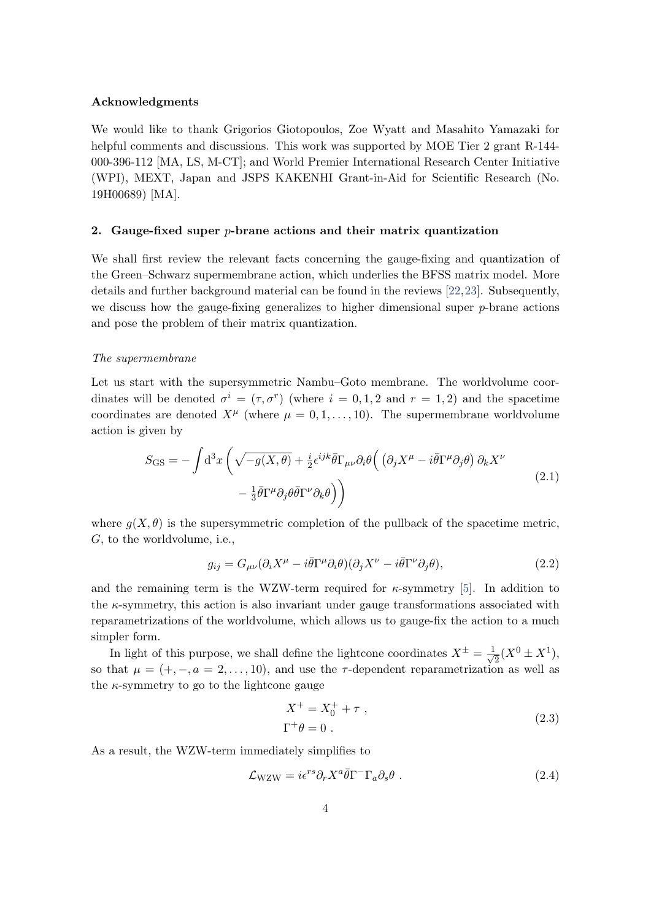#### Acknowledgments

We would like to thank Grigorios Giotopoulos, Zoe Wyatt and Masahito Yamazaki for helpful comments and discussions. This work was supported by MOE Tier 2 grant R-144-000-396-112 [MA, LS, M-CT]; and World Premier International Research Center Initiative (WPI), MEXT, Japan and JSPS KAKENHI Grant-in-Aid for Scientific Research (No. 19H00689) [MA].

#### <span id="page-4-0"></span>2. Gauge-fixed super  $p$ -brane actions and their matrix quantization

We shall first review the relevant facts concerning the gauge-fixing and quantization of the Green–Schwarz supermembrane action, which underlies the BFSS matrix model. More details and further background material can be found in the reviews [\[22,](#page-32-6)[23\]](#page-32-4). Subsequently, we discuss how the gauge-fixing generalizes to higher dimensional super  $p$ -brane actions and pose the problem of their matrix quantization.

#### The supermembrane

Let us start with the supersymmetric Nambu–Goto membrane. The worldvolume coordinates will be denoted  $\sigma^i = (\tau, \sigma^r)$  (where  $i = 0, 1, 2$  and  $r = 1, 2$ ) and the spacetime coordinates are denoted  $X^{\mu}$  (where  $\mu = 0, 1, \dots, 10$ ). The supermembrane worldvolume action is given by

$$
S_{\text{GS}} = -\int d^3x \left( \sqrt{-g(X,\theta)} + \frac{i}{2} \epsilon^{ijk} \bar{\theta} \Gamma_{\mu\nu} \partial_i \theta \left( \left( \partial_j X^\mu - i \bar{\theta} \Gamma^\mu \partial_j \theta \right) \partial_k X^\nu - \frac{1}{3} \bar{\theta} \Gamma^\mu \partial_j \theta \bar{\theta} \Gamma^\nu \partial_k \theta \right) \right)
$$
(2.1)

where  $g(X, \theta)$  is the supersymmetric completion of the pullback of the spacetime metric, G, to the worldvolume, i.e.,

$$
g_{ij} = G_{\mu\nu} (\partial_i X^{\mu} - i \bar{\theta} \Gamma^{\mu} \partial_i \theta) (\partial_j X^{\nu} - i \bar{\theta} \Gamma^{\nu} \partial_j \theta), \qquad (2.2)
$$

and the remaining term is the WZW-term required for  $\kappa$ -symmetry [\[5\]](#page-31-4). In addition to the  $\kappa$ -symmetry, this action is also invariant under gauge transformations associated with reparametrizations of the worldvolume, which allows us to gauge-fix the action to a much simpler form.

In light of this purpose, we shall define the lightcone coordinates  $X^{\pm} = \frac{1}{\sqrt{2}}$  $\frac{1}{2}(X^0 \pm X^1),$ so that  $\mu = (+, -, a = 2, ..., 10)$ , and use the  $\tau$ -dependent reparametrization as well as the  $\kappa$ -symmetry to go to the lightcone gauge

<span id="page-4-1"></span>
$$
X^{+} = X_{0}^{+} + \tau ,
$$
  
\n
$$
\Gamma^{+}\theta = 0 .
$$
\n(2.3)

As a result, the WZW-term immediately simplifies to

$$
\mathcal{L}_{\text{WZW}} = i\epsilon^{rs}\partial_r X^a \bar{\theta} \Gamma^- \Gamma_a \partial_s \theta . \qquad (2.4)
$$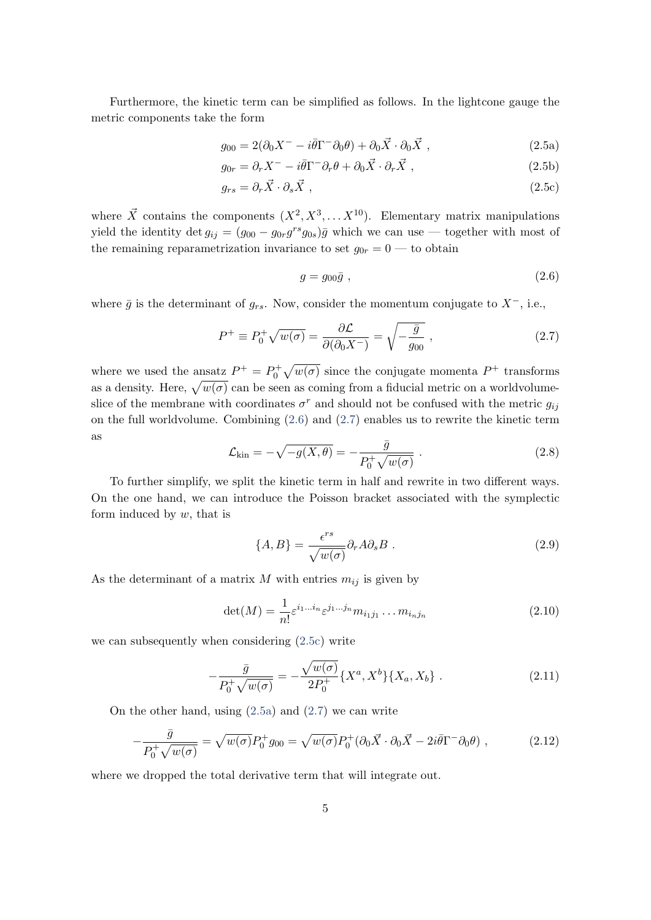Furthermore, the kinetic term can be simplified as follows. In the lightcone gauge the metric components take the form

$$
g_{00} = 2(\partial_0 X^- - i\bar{\theta}\Gamma^- \partial_0 \theta) + \partial_0 \vec{X} \cdot \partial_0 \vec{X} , \qquad (2.5a)
$$

$$
g_{0r} = \partial_r X^- - i\bar{\theta}\Gamma^- \partial_r \theta + \partial_0 \vec{X} \cdot \partial_r \vec{X} , \qquad (2.5b)
$$

$$
g_{rs} = \partial_r \vec{X} \cdot \partial_s \vec{X} \t{,} \t(2.5c)
$$

where  $\vec{X}$  contains the components  $(X^2, X^3, \ldots X^{10})$ . Elementary matrix manipulations yield the identity det  $g_{ij} = (g_{00} - g_{0r}g^{rs}g_{0s})\overline{g}$  which we can use — together with most of the remaining reparametrization invariance to set  $g_{0r} = 0$  — to obtain

<span id="page-5-3"></span><span id="page-5-2"></span><span id="page-5-1"></span><span id="page-5-0"></span>
$$
g = g_{00}\bar{g} \t{,} \t(2.6)
$$

where  $\bar{g}$  is the determinant of  $g_{rs}$ . Now, consider the momentum conjugate to  $X^-$ , i.e.,

$$
P^{+} \equiv P_{0}^{+} \sqrt{w(\sigma)} = \frac{\partial \mathcal{L}}{\partial(\partial_{0} X^{-})} = \sqrt{-\frac{\bar{g}}{g_{00}}}, \qquad (2.7)
$$

where we used the ansatz  $P^+ = P_0^+ \sqrt{w(\sigma)}$  since the conjugate momenta  $P^+$  transforms as a density. Here,  $\sqrt{w(\sigma)}$  can be seen as coming from a fiducial metric on a worldvolumeslice of the membrane with coordinates  $\sigma^r$  and should not be confused with the metric  $g_{ij}$ on the full worldvolume. Combining [\(2.6\)](#page-5-0) and [\(2.7\)](#page-5-1) enables us to rewrite the kinetic term as

$$
\mathcal{L}_{\text{kin}} = -\sqrt{-g(X,\theta)} = -\frac{\bar{g}}{P_0^+ \sqrt{w(\sigma)}}.
$$
\n(2.8)

To further simplify, we split the kinetic term in half and rewrite in two different ways. On the one hand, we can introduce the Poisson bracket associated with the symplectic form induced by  $w$ , that is

<span id="page-5-4"></span>
$$
\{A, B\} = \frac{\epsilon^{rs}}{\sqrt{w(\sigma)}} \partial_r A \partial_s B . \qquad (2.9)
$$

As the determinant of a matrix  $M$  with entries  $m_{ij}$  is given by

<span id="page-5-5"></span>
$$
\det(M) = \frac{1}{n!} \varepsilon^{i_1 \dots i_n} \varepsilon^{j_1 \dots j_n} m_{i_1 j_1} \dots m_{i_n j_n}
$$
\n(2.10)

we can subsequently when considering [\(2.5c\)](#page-5-2) write

$$
-\frac{\bar{g}}{P_0^+ \sqrt{w(\sigma)}} = -\frac{\sqrt{w(\sigma)}}{2P_0^+} \{X^a, X^b\} \{X_a, X_b\} .
$$
 (2.11)

On the other hand, using  $(2.5a)$  and  $(2.7)$  we can write

$$
-\frac{\bar{g}}{P_0^+ \sqrt{w(\sigma)}} = \sqrt{w(\sigma)} P_0^+ g_{00} = \sqrt{w(\sigma)} P_0^+ (\partial_0 \vec{X} \cdot \partial_0 \vec{X} - 2i \bar{\theta} \Gamma^- \partial_0 \theta) , \qquad (2.12)
$$

where we dropped the total derivative term that will integrate out.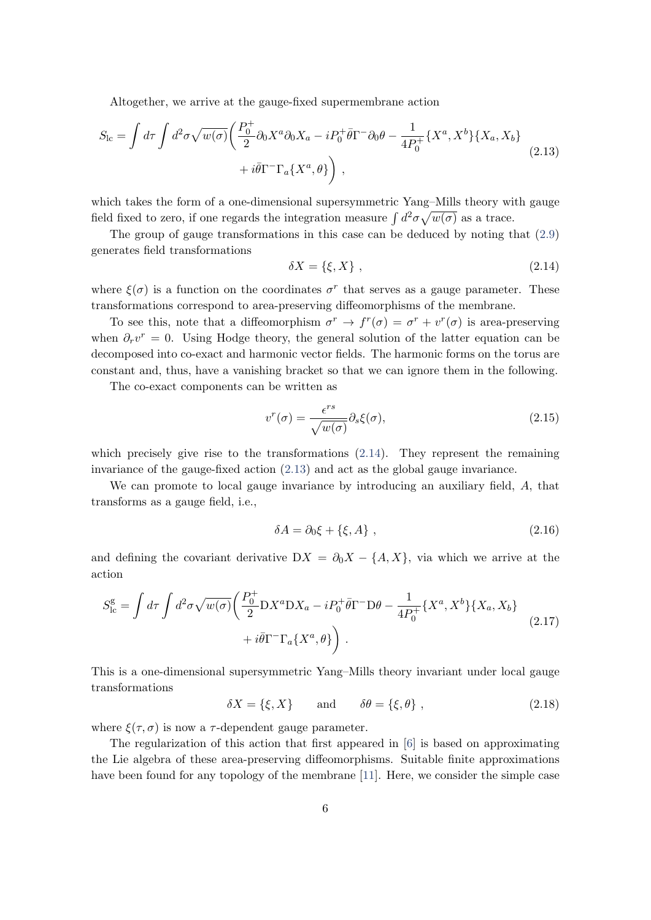Altogether, we arrive at the gauge-fixed supermembrane action

$$
S_{\rm lc} = \int d\tau \int d^2\sigma \sqrt{w(\sigma)} \left( \frac{P_0^+}{2} \partial_0 X^a \partial_0 X_a - i P_0^+ \bar{\theta} \Gamma^- \partial_0 \theta - \frac{1}{4P_0^+} \{ X^a, X^b \} \{ X_a, X_b \} \right) \right. \\
\left. + i \bar{\theta} \Gamma^- \Gamma_a \{ X^a, \theta \} \right),
$$
\n(2.13)

which takes the form of a one-dimensional supersymmetric Yang–Mills theory with gauge field fixed to zero, if one regards the integration measure  $\int d^2\sigma \sqrt{w(\sigma)}$  as a trace.

The group of gauge transformations in this case can be deduced by noting that [\(2.9\)](#page-5-4) generates field transformations

<span id="page-6-1"></span><span id="page-6-0"></span>
$$
\delta X = \{ \xi, X \}, \tag{2.14}
$$

where  $\xi(\sigma)$  is a function on the coordinates  $\sigma^r$  that serves as a gauge parameter. These transformations correspond to area-preserving diffeomorphisms of the membrane.

To see this, note that a diffeomorphism  $\sigma^r \to f^r(\sigma) = \sigma^r + v^r(\sigma)$  is area-preserving when  $\partial_r v^r = 0$ . Using Hodge theory, the general solution of the latter equation can be decomposed into co-exact and harmonic vector fields. The harmonic forms on the torus are constant and, thus, have a vanishing bracket so that we can ignore them in the following.

The co-exact components can be written as

$$
v^r(\sigma) = \frac{\epsilon^{rs}}{\sqrt{w(\sigma)}} \partial_s \xi(\sigma), \tag{2.15}
$$

which precisely give rise to the transformations [\(2.14\)](#page-6-0). They represent the remaining invariance of the gauge-fixed action [\(2.13\)](#page-6-1) and act as the global gauge invariance.

We can promote to local gauge invariance by introducing an auxiliary field, A, that transforms as a gauge field, i.e.,

$$
\delta A = \partial_0 \xi + \{\xi, A\} \tag{2.16}
$$

<span id="page-6-2"></span>and defining the covariant derivative  $DX = \partial_0 X - \{A, X\}$ , via which we arrive at the action

$$
S_{\rm lc}^{\rm g} = \int d\tau \int d^2\sigma \sqrt{w(\sigma)} \left( \frac{P_0^+}{2} D X^a D X_a - i P_0^+ \bar{\theta} \Gamma^- D \theta - \frac{1}{4P_0^+} \{ X^a, X^b \} \{ X_a, X_b \} \right. \\ \left. + i \bar{\theta} \Gamma^- \Gamma_a \{ X^a, \theta \} \right) \,. \tag{2.17}
$$

This is a one-dimensional supersymmetric Yang–Mills theory invariant under local gauge transformations

 $\delta X = \{\xi, X\}$  and  $\delta \theta = \{\xi, \theta\}$ , (2.18)

where  $\xi(\tau, \sigma)$  is now a  $\tau$ -dependent gauge parameter.

The regularization of this action that first appeared in [\[6\]](#page-31-5) is based on approximating the Lie algebra of these area-preserving diffeomorphisms. Suitable finite approximations have been found for any topology of the membrane [\[11\]](#page-32-1). Here, we consider the simple case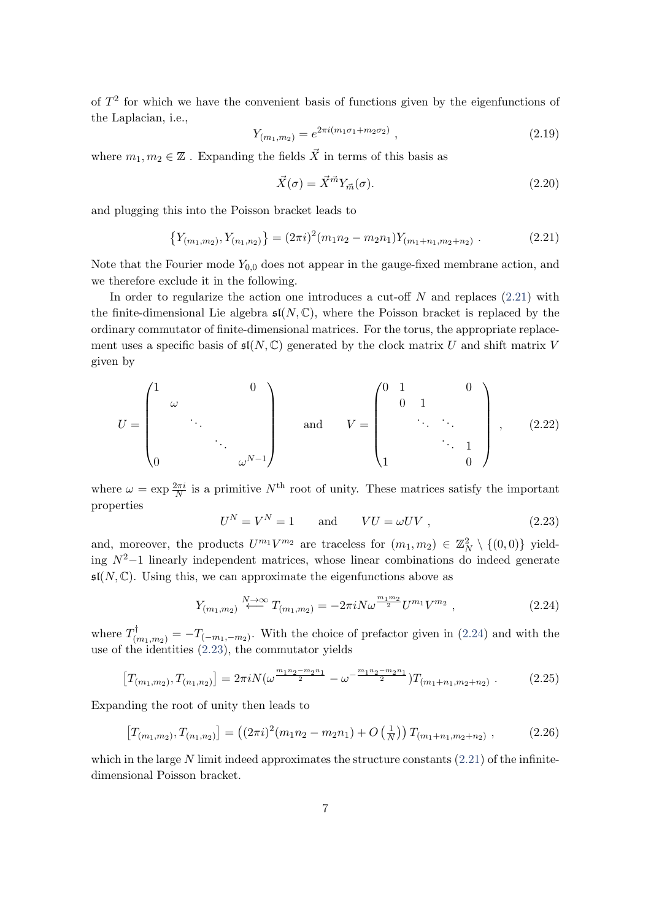of  $T<sup>2</sup>$  for which we have the convenient basis of functions given by the eigenfunctions of the Laplacian, i.e.,

$$
Y_{(m_1,m_2)} = e^{2\pi i (m_1 \sigma_1 + m_2 \sigma_2)} \tag{2.19}
$$

where  $m_1, m_2 \in \mathbb{Z}$ . Expanding the fields  $\vec{X}$  in terms of this basis as

<span id="page-7-0"></span>
$$
\vec{X}(\sigma) = \vec{X}^{\vec{m}} Y_{\vec{m}}(\sigma). \tag{2.20}
$$

and plugging this into the Poisson bracket leads to

$$
\{Y_{(m_1,m_2)}, Y_{(n_1,n_2)}\} = (2\pi i)^2 (m_1 n_2 - m_2 n_1) Y_{(m_1+n_1,m_2+n_2)} . \tag{2.21}
$$

Note that the Fourier mode  $Y_{0,0}$  does not appear in the gauge-fixed membrane action, and we therefore exclude it in the following.

In order to regularize the action one introduces a cut-off  $N$  and replaces  $(2.21)$  with the finite-dimensional Lie algebra  $\mathfrak{sl}(N,\mathbb{C})$ , where the Poisson bracket is replaced by the ordinary commutator of finite-dimensional matrices. For the torus, the appropriate replacement uses a specific basis of  $\mathfrak{sl}(N,\mathbb{C})$  generated by the clock matrix U and shift matrix V given by

<span id="page-7-3"></span>
$$
U = \begin{pmatrix} 1 & & & & & 0 \\ & \omega & & & & \\ & & \ddots & & & \\ & & & & \omega^{N-1} \end{pmatrix} \quad \text{and} \quad V = \begin{pmatrix} 0 & 1 & & & 0 \\ & 0 & 1 & & \\ & & \ddots & \ddots & \\ & & & & 1 \\ 1 & & & & 0 \end{pmatrix}, \quad (2.22)
$$

<span id="page-7-2"></span>where  $\omega = \exp \frac{2\pi i}{N}$  is a primitive  $N^{\text{th}}$  root of unity. These matrices satisfy the important properties

<span id="page-7-1"></span>
$$
U^N = V^N = 1 \qquad \text{and} \qquad VU = \omega UV \;, \tag{2.23}
$$

and, moreover, the products  $U^{m_1}V^{m_2}$  are traceless for  $(m_1, m_2) \in \mathbb{Z}_N^2 \setminus \{(0, 0)\}\$  yielding  $N^2-1$  linearly independent matrices, whose linear combinations do indeed generate  $\mathfrak{sl}(N,\mathbb{C})$ . Using this, we can approximate the eigenfunctions above as

<span id="page-7-4"></span>
$$
Y_{(m_1,m_2)} \stackrel{N \to \infty}{\longleftarrow} T_{(m_1,m_2)} = -2\pi i N \omega^{\frac{m_1 m_2}{2}} U^{m_1} V^{m_2} \,, \tag{2.24}
$$

where  $T^{\dagger}_{(m_1,m_2)} = -T_{(-m_1,-m_2)}$ . With the choice of prefactor given in [\(2.24\)](#page-7-1) and with the use of the identities [\(2.23\)](#page-7-2), the commutator yields

$$
\left[T_{(m_1,m_2)}, T_{(n_1,n_2)}\right] = 2\pi i N \left(\omega^{\frac{m_1 n_2 - m_2 n_1}{2}} - \omega^{-\frac{m_1 n_2 - m_2 n_1}{2}}\right) T_{(m_1 + n_1, m_2 + n_2)}\,. \tag{2.25}
$$

Expanding the root of unity then leads to

$$
\left[T_{(m_1,m_2)}, T_{(n_1,n_2)}\right] = \left((2\pi i)^2 (m_1 n_2 - m_2 n_1) + O\left(\frac{1}{N}\right)\right) T_{(m_1+n_1,m_2+n_2)},\tag{2.26}
$$

which in the large N limit indeed approximates the structure constants  $(2.21)$  of the infinitedimensional Poisson bracket.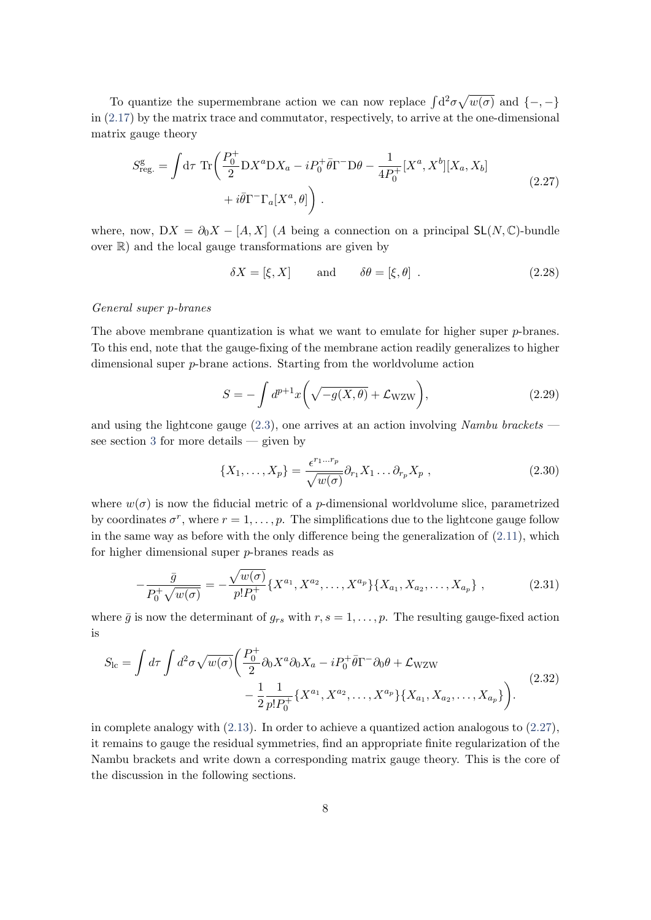To quantize the supermembrane action we can now replace  $\int d^2\sigma \sqrt{w(\sigma)}$  and  $\{-,-\}$ in [\(2.17\)](#page-6-2) by the matrix trace and commutator, respectively, to arrive at the one-dimensional matrix gauge theory

<span id="page-8-0"></span>
$$
S_{\text{reg.}}^{\text{g}} = \int d\tau \, \text{Tr}\left(\frac{P_0^+}{2} \mathcal{D} X^a \mathcal{D} X_a - i P_0^+ \bar{\theta} \Gamma^- \mathcal{D} \theta - \frac{1}{4P_0^+} [X^a, X^b] [X_a, X_b] \right) + i \bar{\theta} \Gamma^- \Gamma_a [X^a, \theta] \right). \tag{2.27}
$$

where, now,  $DX = \partial_0 X - [A, X]$  (A being a connection on a principal  $SL(N, \mathbb{C})$ -bundle over  $\mathbb{R}$ ) and the local gauge transformations are given by

$$
\delta X = [\xi, X] \quad \text{and} \quad \delta \theta = [\xi, \theta] . \tag{2.28}
$$

#### General super p-branes

The above membrane quantization is what we want to emulate for higher super  $p$ -branes. To this end, note that the gauge-fixing of the membrane action readily generalizes to higher dimensional super p-brane actions. Starting from the worldvolume action

$$
S = -\int d^{p+1}x \left(\sqrt{-g(X,\theta)} + \mathcal{L}_{\text{WZW}}\right),\tag{2.29}
$$

and using the lightcone gauge  $(2.3)$ , one arrives at an action involving Nambu brackets see section [3](#page-9-0) for more details — given by

$$
\{X_1, \dots, X_p\} = \frac{\epsilon^{r_1 \dots r_p}}{\sqrt{w(\sigma)}} \partial_{r_1} X_1 \dots \partial_{r_p} X_p , \qquad (2.30)
$$

where  $w(\sigma)$  is now the fiducial metric of a *p*-dimensional worldvolume slice, parametrized by coordinates  $\sigma^r$ , where  $r = 1, \ldots, p$ . The simplifications due to the lightcone gauge follow in the same way as before with the only difference being the generalization of  $(2.11)$ , which for higher dimensional super p-branes reads as

$$
-\frac{\bar{g}}{P_0^+\sqrt{w(\sigma)}} = -\frac{\sqrt{w(\sigma)}}{p!P_0^+}\left\{X^{a_1}, X^{a_2}, \dots, X^{a_p}\right\}\left\{X_{a_1}, X_{a_2}, \dots, X_{a_p}\right\},\tag{2.31}
$$

<span id="page-8-1"></span>where  $\bar{g}$  is now the determinant of  $g_{rs}$  with  $r, s = 1, \ldots, p$ . The resulting gauge-fixed action is

$$
S_{\rm lc} = \int d\tau \int d^2\sigma \sqrt{w(\sigma)} \left( \frac{P_0^+}{2} \partial_0 X^a \partial_0 X_a - i P_0^+ \bar{\theta} \Gamma^- \partial_0 \theta + \mathcal{L}_{\rm WZW} \right. \\
\left. - \frac{1}{2} \frac{1}{p! P_0^+} \{ X^{a_1}, X^{a_2}, \dots, X^{a_p} \} \{ X_{a_1}, X_{a_2}, \dots, X_{a_p} \} \right). \tag{2.32}
$$

in complete analogy with  $(2.13)$ . In order to achieve a quantized action analogous to  $(2.27)$ , it remains to gauge the residual symmetries, find an appropriate finite regularization of the Nambu brackets and write down a corresponding matrix gauge theory. This is the core of the discussion in the following sections.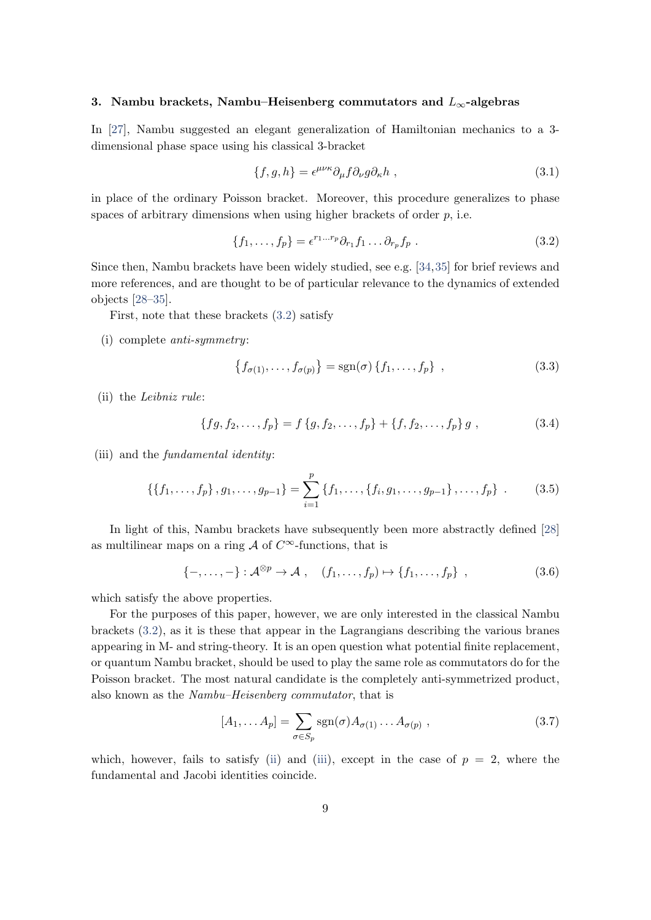#### <span id="page-9-0"></span>3. Nambu brackets, Nambu–Heisenberg commutators and  $L_{\infty}$ -algebras

In [\[27\]](#page-33-1), Nambu suggested an elegant generalization of Hamiltonian mechanics to a 3 dimensional phase space using his classical 3-bracket

<span id="page-9-1"></span>
$$
\{f, g, h\} = \epsilon^{\mu\nu\kappa} \partial_{\mu} f \partial_{\nu} g \partial_{\kappa} h \tag{3.1}
$$

in place of the ordinary Poisson bracket. Moreover, this procedure generalizes to phase spaces of arbitrary dimensions when using higher brackets of order  $p$ , i.e.

$$
\{f_1, \ldots, f_p\} = \epsilon^{r_1 \ldots r_p} \partial_{r_1} f_1 \ldots \partial_{r_p} f_p \ . \tag{3.2}
$$

Since then, Nambu brackets have been widely studied, see e.g. [\[34,](#page-33-10)[35\]](#page-33-3) for brief reviews and more references, and are thought to be of particular relevance to the dynamics of extended objects [\[28–](#page-33-2)[35\]](#page-33-3).

First, note that these brackets [\(3.2\)](#page-9-1) satisfy

(i) complete anti-symmetry:

$$
\{f_{\sigma(1)},\ldots,f_{\sigma(p)}\} = \text{sgn}(\sigma)\{f_1,\ldots,f_p\} \quad , \tag{3.3}
$$

<span id="page-9-2"></span>(ii) the Leibniz rule:

$$
\{fg, f_2, \ldots, f_p\} = f\{g, f_2, \ldots, f_p\} + \{f, f_2, \ldots, f_p\} g,
$$
\n(3.4)

<span id="page-9-3"></span>(iii) and the fundamental identity:

$$
\{\{f_1,\ldots,f_p\}\, ,\, g_1,\ldots,g_{p-1}\} = \sum_{i=1}^p \{f_1,\ldots,\{f_i,g_1,\ldots,g_{p-1}\}\, ,\ldots,f_p\} \ . \tag{3.5}
$$

In light of this, Nambu brackets have subsequently been more abstractly defined [\[28\]](#page-33-2) as multilinear maps on a ring  $\mathcal A$  of  $C^{\infty}$ -functions, that is

$$
\{-,\ldots,-\}:\mathcal{A}^{\otimes p}\to\mathcal{A}\;,\quad (f_1,\ldots,f_p)\mapsto\{f_1,\ldots,f_p\}\;,
$$
\n(3.6)

which satisfy the above properties.

For the purposes of this paper, however, we are only interested in the classical Nambu brackets [\(3.2\)](#page-9-1), as it is these that appear in the Lagrangians describing the various branes appearing in M- and string-theory. It is an open question what potential finite replacement, or quantum Nambu bracket, should be used to play the same role as commutators do for the Poisson bracket. The most natural candidate is the completely anti-symmetrized product, also known as the Nambu–Heisenberg commutator, that is

<span id="page-9-4"></span>
$$
[A_1, \dots A_p] = \sum_{\sigma \in S_p} \text{sgn}(\sigma) A_{\sigma(1)} \dots A_{\sigma(p)}, \qquad (3.7)
$$

which, however, fails to satisfy [\(ii\)](#page-9-2) and [\(iii\)](#page-9-3), except in the case of  $p = 2$ , where the fundamental and Jacobi identities coincide.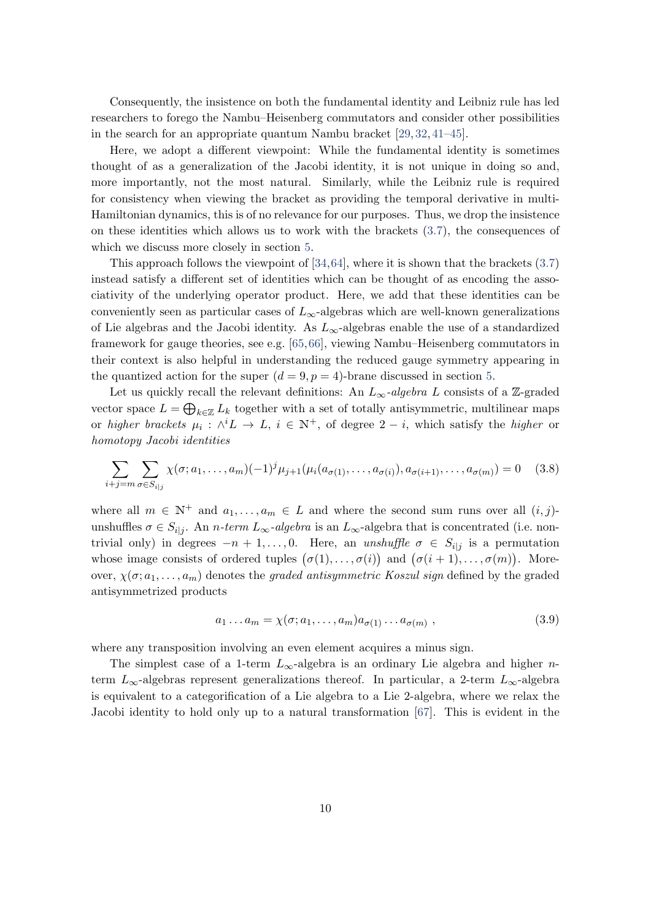Consequently, the insistence on both the fundamental identity and Leibniz rule has led researchers to forego the Nambu–Heisenberg commutators and consider other possibilities in the search for an appropriate quantum Nambu bracket [\[29,](#page-33-8) [32,](#page-33-9) [41–](#page-34-0)[45\]](#page-34-1).

Here, we adopt a different viewpoint: While the fundamental identity is sometimes thought of as a generalization of the Jacobi identity, it is not unique in doing so and, more importantly, not the most natural. Similarly, while the Leibniz rule is required for consistency when viewing the bracket as providing the temporal derivative in multi-Hamiltonian dynamics, this is of no relevance for our purposes. Thus, we drop the insistence on these identities which allows us to work with the brackets [\(3.7\)](#page-9-4), the consequences of which we discuss more closely in section [5.](#page-23-0)

This approach follows the viewpoint of  $[34,64]$  $[34,64]$ , where it is shown that the brackets  $(3.7)$ instead satisfy a different set of identities which can be thought of as encoding the associativity of the underlying operator product. Here, we add that these identities can be conveniently seen as particular cases of  $L_{\infty}$ -algebras which are well-known generalizations of Lie algebras and the Jacobi identity. As  $L_{\infty}$ -algebras enable the use of a standardized framework for gauge theories, see e.g. [\[65,](#page-35-4)[66\]](#page-35-5), viewing Nambu–Heisenberg commutators in their context is also helpful in understanding the reduced gauge symmetry appearing in the quantized action for the super  $(d = 9, p = 4)$ -brane discussed in section [5.](#page-23-0)

Let us quickly recall the relevant definitions: An  $L_{\infty}$ -algebra L consists of a Z-graded vector space  $L = \bigoplus_{k \in \mathbb{Z}} L_k$  together with a set of totally antisymmetric, multilinear maps or higher brackets  $\mu_i : \wedge^i L \to L$ ,  $i \in \mathbb{N}^+$ , of degree  $2-i$ , which satisfy the higher or homotopy Jacobi identities

$$
\sum_{i+j=m} \sum_{\sigma \in S_{i|j}} \chi(\sigma; a_1, \dots, a_m) (-1)^j \mu_{j+1}(\mu_i(a_{\sigma(1)}, \dots, a_{\sigma(i)}), a_{\sigma(i+1)}, \dots, a_{\sigma(m)}) = 0 \quad (3.8)
$$

where all  $m \in \mathbb{N}^+$  and  $a_1, \ldots, a_m \in L$  and where the second sum runs over all  $(i, j)$ unshuffles  $\sigma \in S_{i|j}$ . An *n*-term  $L_{\infty}$ -algebra is an  $L_{\infty}$ -algebra that is concentrated (i.e. nontrivial only) in degrees  $-n+1, \ldots, 0$ . Here, an unshuffle  $\sigma \in S_{i|j}$  is a permutation whose image consists of ordered tuples  $(\sigma(1), \ldots, \sigma(i))$  and  $(\sigma(i+1), \ldots, \sigma(m))$ . Moreover,  $\chi(\sigma; a_1, \ldots, a_m)$  denotes the graded antisymmetric Koszul sign defined by the graded antisymmetrized products

$$
a_1 \dots a_m = \chi(\sigma; a_1, \dots, a_m) a_{\sigma(1)} \dots a_{\sigma(m)}, \qquad (3.9)
$$

where any transposition involving an even element acquires a minus sign.

The simplest case of a 1-term  $L_{\infty}$ -algebra is an ordinary Lie algebra and higher *n*term  $L_{\infty}$ -algebras represent generalizations thereof. In particular, a 2-term  $L_{\infty}$ -algebra is equivalent to a categorification of a Lie algebra to a Lie 2-algebra, where we relax the Jacobi identity to hold only up to a natural transformation [\[67\]](#page-35-6). This is evident in the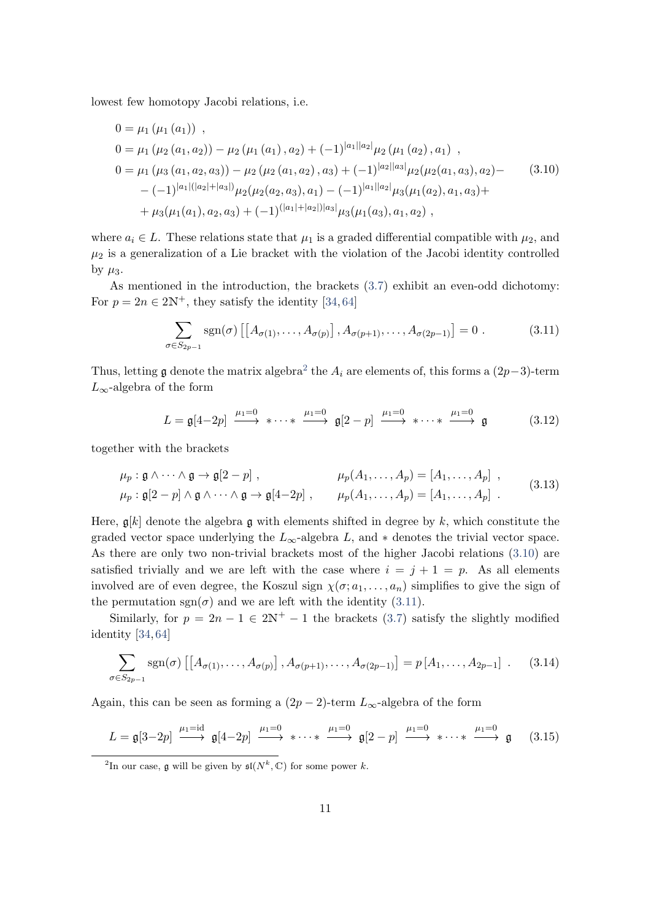lowest few homotopy Jacobi relations, i.e.

<span id="page-11-1"></span>
$$
0 = \mu_1 (\mu_1 (a_1)),
$$
  
\n
$$
0 = \mu_1 (\mu_2 (a_1, a_2)) - \mu_2 (\mu_1 (a_1), a_2) + (-1)^{|a_1||a_2|} \mu_2 (\mu_1 (a_2), a_1),
$$
  
\n
$$
0 = \mu_1 (\mu_3 (a_1, a_2, a_3)) - \mu_2 (\mu_2 (a_1, a_2), a_3) + (-1)^{|a_2||a_3|} \mu_2 (\mu_2 (a_1, a_3), a_2) - (-1)^{|a_1|(|a_2|+|a_3|)} \mu_2 (\mu_2 (a_2, a_3), a_1) - (-1)^{|a_1||a_2|} \mu_3 (\mu_1 (a_2), a_1, a_3) +
$$
  
\n
$$
+ \mu_3 (\mu_1 (a_1), a_2, a_3) + (-1)^{(|a_1|+|a_2|)|a_3|} \mu_3 (\mu_1 (a_3), a_1, a_2),
$$
\n(3.10)

where  $a_i \in L$ . These relations state that  $\mu_1$  is a graded differential compatible with  $\mu_2$ , and  $\mu_2$  is a generalization of a Lie bracket with the violation of the Jacobi identity controlled by  $\mu_3$ .

As mentioned in the introduction, the brackets [\(3.7\)](#page-9-4) exhibit an even-odd dichotomy: For  $p = 2n \in 2\mathbb{N}^+$ , they satisfy the identity [\[34,](#page-33-10) [64\]](#page-35-3)

<span id="page-11-2"></span>
$$
\sum_{\sigma \in S_{2p-1}} \text{sgn}(\sigma) \left[ \left[ A_{\sigma(1)}, \dots, A_{\sigma(p)} \right], A_{\sigma(p+1)}, \dots, A_{\sigma(2p-1)} \right] = 0 \tag{3.11}
$$

Thus, letting  $\mathfrak g$  denote the matrix algebra<sup>[2](#page-11-0)</sup> the  $A_i$  are elements of, this forms a  $(2p-3)$ -term  $L_{\infty}$ -algebra of the form

<span id="page-11-5"></span>
$$
L = \mathfrak{g}[4-2p] \xrightarrow{\mu_1=0} \ast \cdots \ast \xrightarrow{\mu_1=0} \mathfrak{g}[2-p] \xrightarrow{\mu_1=0} \ast \cdots \ast \xrightarrow{\mu_1=0} \mathfrak{g} \tag{3.12}
$$

together with the brackets

$$
\mu_p: \mathfrak{g} \wedge \cdots \wedge \mathfrak{g} \to \mathfrak{g}[2-p], \qquad \mu_p(A_1, \ldots, A_p) = [A_1, \ldots, A_p],
$$
  
\n
$$
\mu_p: \mathfrak{g}[2-p] \wedge \mathfrak{g} \wedge \cdots \wedge \mathfrak{g} \to \mathfrak{g}[4-2p], \qquad \mu_p(A_1, \ldots, A_p) = [A_1, \ldots, A_p].
$$
\n(3.13)

Here,  $\mathfrak{g}[k]$  denote the algebra g with elements shifted in degree by k, which constitute the graded vector space underlying the  $L_{\infty}$ -algebra L, and  $*$  denotes the trivial vector space. As there are only two non-trivial brackets most of the higher Jacobi relations [\(3.10\)](#page-11-1) are satisfied trivially and we are left with the case where  $i = j + 1 = p$ . As all elements involved are of even degree, the Koszul sign  $\chi(\sigma; a_1, \ldots, a_n)$  simplifies to give the sign of the permutation  $sgn(\sigma)$  and we are left with the identity [\(3.11\)](#page-11-2).

Similarly, for  $p = 2n - 1 \in 2\mathbb{N}^+ - 1$  the brackets [\(3.7\)](#page-9-4) satisfy the slightly modified identity [\[34,](#page-33-10) [64\]](#page-35-3)

<span id="page-11-4"></span><span id="page-11-3"></span>
$$
\sum_{\sigma \in S_{2p-1}} \text{sgn}(\sigma) \left[ \left[ A_{\sigma(1)}, \dots, A_{\sigma(p)} \right], A_{\sigma(p+1)}, \dots, A_{\sigma(2p-1)} \right] = p \left[ A_1, \dots, A_{2p-1} \right] . \tag{3.14}
$$

Again, this can be seen as forming a  $(2p-2)$ -term  $L_{\infty}$ -algebra of the form

$$
L = \mathfrak{g}[3-2p] \xrightarrow{\mu_1=\text{id}} \mathfrak{g}[4-2p] \xrightarrow{\mu_1=0} \ast \cdots \ast \xrightarrow{\mu_1=0} \mathfrak{g}[2-p] \xrightarrow{\mu_1=0} \ast \cdots \ast \xrightarrow{\mu_1=0} \mathfrak{g} \qquad (3.15)
$$

<span id="page-11-0"></span><sup>2</sup>In our case, **g** will be given by  $\mathfrak{sl}(N^k, \mathbb{C})$  for some power k.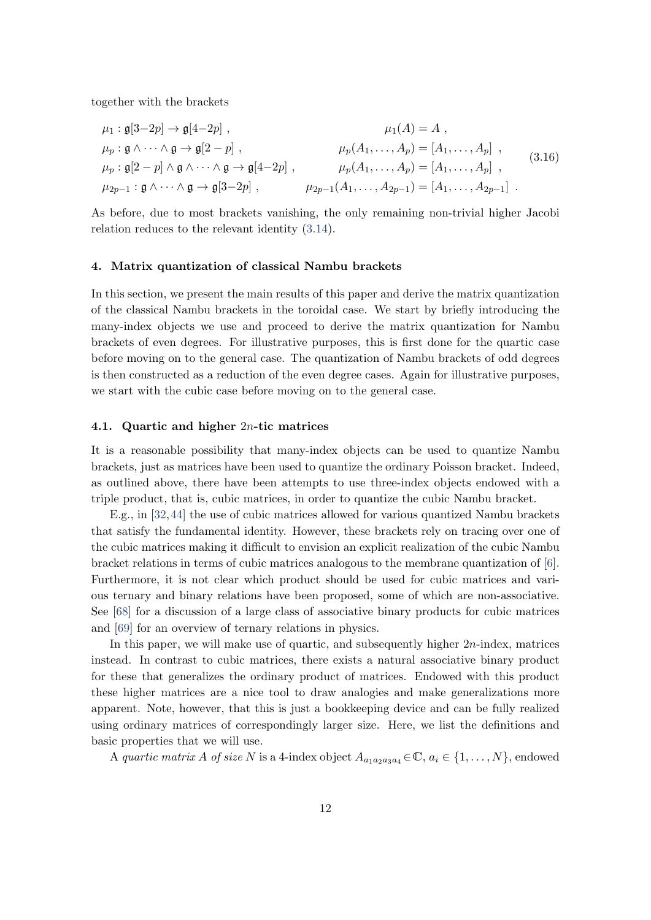together with the brackets

$$
\mu_1: \mathfrak{g}[3-2p] \to \mathfrak{g}[4-2p], \qquad \mu_1(A) = A,
$$
  
\n
$$
\mu_p: \mathfrak{g} \land \cdots \land \mathfrak{g} \to \mathfrak{g}[2-p], \qquad \mu_p(A_1, \ldots, A_p) = [A_1, \ldots, A_p],
$$
  
\n
$$
\mu_p: \mathfrak{g}[2-p] \land \mathfrak{g} \land \cdots \land \mathfrak{g} \to \mathfrak{g}[4-2p], \qquad \mu_p(A_1, \ldots, A_p) = [A_1, \ldots, A_p],
$$
  
\n
$$
\mu_{2p-1}: \mathfrak{g} \land \cdots \land \mathfrak{g} \to \mathfrak{g}[3-2p], \qquad \mu_{2p-1}(A_1, \ldots, A_{2p-1}) = [A_1, \ldots, A_{2p-1}].
$$
\n(3.16)

As before, due to most brackets vanishing, the only remaining non-trivial higher Jacobi relation reduces to the relevant identity [\(3.14\)](#page-11-3).

#### <span id="page-12-0"></span>4. Matrix quantization of classical Nambu brackets

In this section, we present the main results of this paper and derive the matrix quantization of the classical Nambu brackets in the toroidal case. We start by briefly introducing the many-index objects we use and proceed to derive the matrix quantization for Nambu brackets of even degrees. For illustrative purposes, this is first done for the quartic case before moving on to the general case. The quantization of Nambu brackets of odd degrees is then constructed as a reduction of the even degree cases. Again for illustrative purposes, we start with the cubic case before moving on to the general case.

#### <span id="page-12-1"></span>4.1. Quartic and higher 2n-tic matrices

It is a reasonable possibility that many-index objects can be used to quantize Nambu brackets, just as matrices have been used to quantize the ordinary Poisson bracket. Indeed, as outlined above, there have been attempts to use three-index objects endowed with a triple product, that is, cubic matrices, in order to quantize the cubic Nambu bracket.

E.g., in [\[32,](#page-33-9)[44\]](#page-34-12) the use of cubic matrices allowed for various quantized Nambu brackets that satisfy the fundamental identity. However, these brackets rely on tracing over one of the cubic matrices making it difficult to envision an explicit realization of the cubic Nambu bracket relations in terms of cubic matrices analogous to the membrane quantization of [\[6\]](#page-31-5). Furthermore, it is not clear which product should be used for cubic matrices and various ternary and binary relations have been proposed, some of which are non-associative. See [\[68\]](#page-35-7) for a discussion of a large class of associative binary products for cubic matrices and [\[69\]](#page-35-8) for an overview of ternary relations in physics.

In this paper, we will make use of quartic, and subsequently higher  $2n$ -index, matrices instead. In contrast to cubic matrices, there exists a natural associative binary product for these that generalizes the ordinary product of matrices. Endowed with this product these higher matrices are a nice tool to draw analogies and make generalizations more apparent. Note, however, that this is just a bookkeeping device and can be fully realized using ordinary matrices of correspondingly larger size. Here, we list the definitions and basic properties that we will use.

A quartic matrix A of size N is a 4-index object  $A_{a_1a_2a_3a_4} \in \mathbb{C}, a_i \in \{1, ..., N\}$ , endowed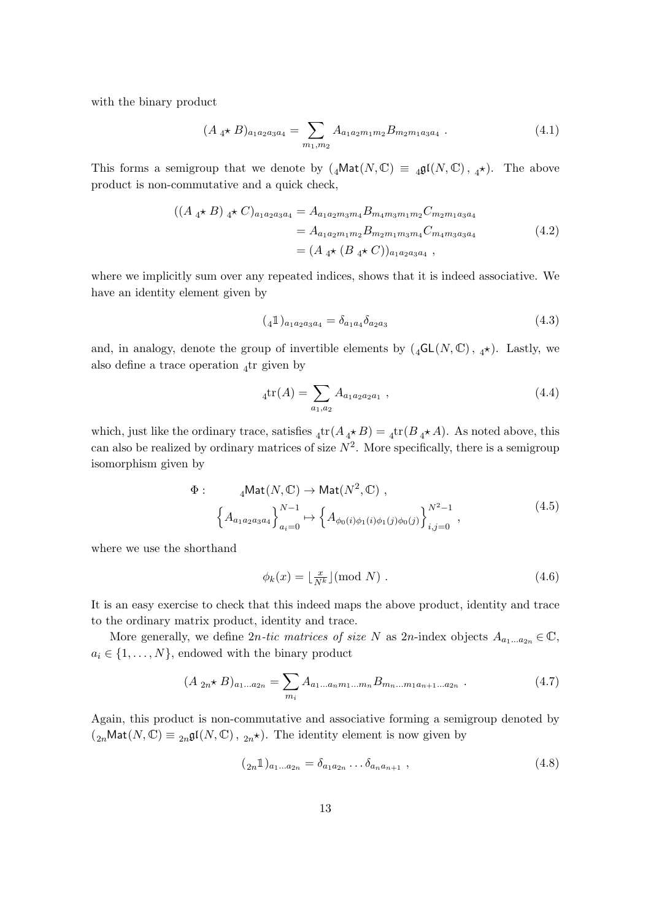with the binary product

$$
(A_4 \star B)_{a_1 a_2 a_3 a_4} = \sum_{m_1, m_2} A_{a_1 a_2 m_1 m_2} B_{m_2 m_1 a_3 a_4} . \tag{4.1}
$$

This forms a semigroup that we denote by  $(_4\text{Mat}(N,\mathbb{C}) \equiv 4\mathfrak{gl}(N,\mathbb{C}), _4\star$ ). The above product is non-commutative and a quick check,

$$
((A_4 \star B)_{4} \star C)_{a_1 a_2 a_3 a_4} = A_{a_1 a_2 m_3 m_4} B_{m_4 m_3 m_1 m_2} C_{m_2 m_1 a_3 a_4}
$$
  
=  $A_{a_1 a_2 m_1 m_2} B_{m_2 m_1 m_3 m_4} C_{m_4 m_3 a_3 a_4}$   
=  $(A_4 \star (B_4 \star C))_{a_1 a_2 a_3 a_4}$ , (4.2)

where we implicitly sum over any repeated indices, shows that it is indeed associative. We have an identity element given by

$$
(\,4\,\mathbb{1})_{a_1 a_2 a_3 a_4} = \delta_{a_1 a_4} \delta_{a_2 a_3} \tag{4.3}
$$

and, in analogy, denote the group of invertible elements by  $({}_4\mathsf{GL}(N,\mathbb{C}), 4\star)$ . Lastly, we also define a trace operation  $_4$ tr given by

$$
4tr(A) = \sum_{a_1, a_2} A_{a_1 a_2 a_2 a_1} , \qquad (4.4)
$$

which, just like the ordinary trace, satisfies  ${}_{4}tr(A_{4} \star B) = {}_{4}tr(B_{4} \star A)$ . As noted above, this can also be realized by ordinary matrices of size  $N^2$ . More specifically, there is a semigroup isomorphism given by

$$
\Phi: \qquad {}_{4}\text{Mat}(N, \mathbb{C}) \to \text{Mat}(N^{2}, \mathbb{C}),
$$
\n
$$
\left\{ A_{a_{1}a_{2}a_{3}a_{4}} \right\}_{a_{i}=0}^{N-1} \to \left\{ A_{\phi_{0}(i)\phi_{1}(i)\phi_{1}(j)\phi_{0}(j)} \right\}_{i,j=0}^{N^{2}-1},
$$
\n(4.5)

where we use the shorthand

$$
\phi_k(x) = \lfloor \frac{x}{N^k} \rfloor \text{ (mod } N \text{)} \tag{4.6}
$$

It is an easy exercise to check that this indeed maps the above product, identity and trace to the ordinary matrix product, identity and trace.

More generally, we define 2n-tic matrices of size N as 2n-index objects  $A_{a_1...a_{2n}} \in \mathbb{C}$ ,  $a_i \in \{1, \ldots, N\}$ , endowed with the binary product

$$
(A_{2n} \star B)_{a_1...a_{2n}} = \sum_{m_i} A_{a_1...a_n m_1...m_n} B_{m_n...m_1 a_{n+1}...a_{2n}} . \tag{4.7}
$$

Again, this product is non-commutative and associative forming a semigroup denoted by  $({}_{2n}Mat(N,\mathbb{C})\equiv {}_{2n}\mathfrak{gl}(N,\mathbb{C}),$   ${_{2n}\star}).$  The identity element is now given by

$$
({}_{2n}1)_{a_1...a_{2n}} = \delta_{a_1 a_{2n}} \dots \delta_{a_n a_{n+1}} , \qquad (4.8)
$$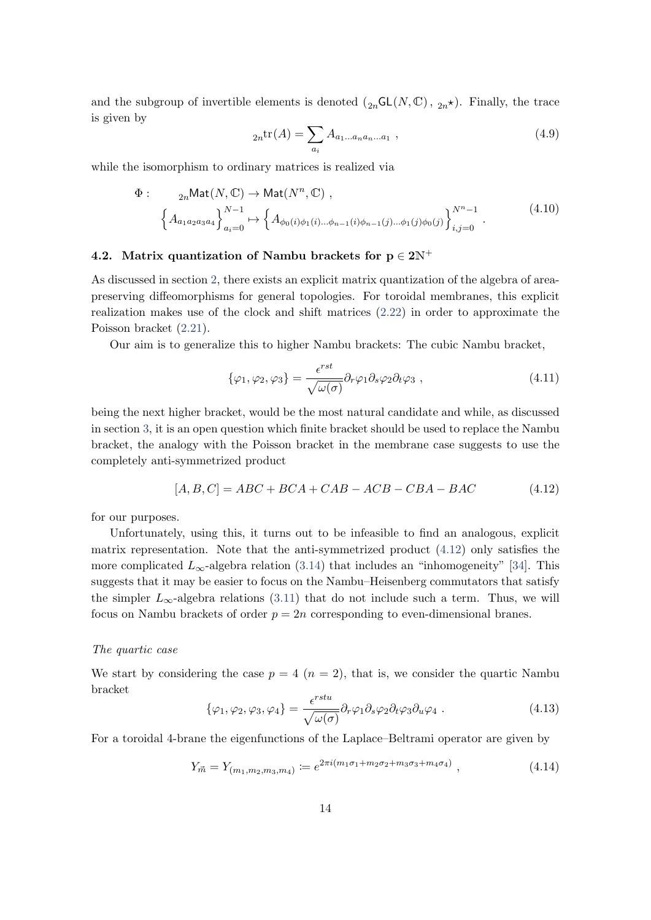and the subgroup of invertible elements is denoted  $({}_{2n}GL(N,\mathbb{C}), {_{2n}}\star)$ . Finally, the trace is given by

<span id="page-14-2"></span>
$$
{}_{2n}\text{tr}(A) = \sum_{a_i} A_{a_1 \dots a_n a_n \dots a_1} \,, \tag{4.9}
$$

while the isomorphism to ordinary matrices is realized via

$$
\Phi: \quad {}_{2n}\text{Mat}(N, \mathbb{C}) \to \text{Mat}(N^n, \mathbb{C}) ,
$$
\n
$$
\left\{ A_{a_1 a_2 a_3 a_4} \right\}_{a_i=0}^{N-1} \mapsto \left\{ A_{\phi_0(i)\phi_1(i)\dots\phi_{n-1}(i)\phi_{n-1}(j)\dots\phi_1(j)\phi_0(j)} \right\}_{i,j=0}^{N^n-1} .
$$
\n(4.10)

# <span id="page-14-0"></span>4.2. Matrix quantization of Nambu brackets for  $p \in 2N^+$

As discussed in section [2,](#page-4-0) there exists an explicit matrix quantization of the algebra of areapreserving diffeomorphisms for general topologies. For toroidal membranes, this explicit realization makes use of the clock and shift matrices [\(2.22\)](#page-7-3) in order to approximate the Poisson bracket [\(2.21\)](#page-7-0).

Our aim is to generalize this to higher Nambu brackets: The cubic Nambu bracket,

<span id="page-14-1"></span>
$$
\{\varphi_1, \varphi_2, \varphi_3\} = \frac{\epsilon^{rst}}{\sqrt{\omega(\sigma)}} \partial_r \varphi_1 \partial_s \varphi_2 \partial_t \varphi_3 , \qquad (4.11)
$$

being the next higher bracket, would be the most natural candidate and while, as discussed in section [3,](#page-9-0) it is an open question which finite bracket should be used to replace the Nambu bracket, the analogy with the Poisson bracket in the membrane case suggests to use the completely anti-symmetrized product

$$
[A, B, C] = ABC + BCA + CAB - ACB - CBA - BAC \qquad (4.12)
$$

for our purposes.

Unfortunately, using this, it turns out to be infeasible to find an analogous, explicit matrix representation. Note that the anti-symmetrized product [\(4.12\)](#page-14-1) only satisfies the more complicated  $L_{\infty}$ -algebra relation [\(3.14\)](#page-11-3) that includes an "inhomogeneity" [\[34\]](#page-33-10). This suggests that it may be easier to focus on the Nambu–Heisenberg commutators that satisfy the simpler  $L_{\infty}$ -algebra relations [\(3.11\)](#page-11-2) that do not include such a term. Thus, we will focus on Nambu brackets of order  $p = 2n$  corresponding to even-dimensional branes.

#### The quartic case

We start by considering the case  $p = 4$   $(n = 2)$ , that is, we consider the quartic Nambu bracket

<span id="page-14-3"></span>
$$
\{\varphi_1, \varphi_2, \varphi_3, \varphi_4\} = \frac{\epsilon^{rstu}}{\sqrt{\omega(\sigma)}} \partial_r \varphi_1 \partial_s \varphi_2 \partial_t \varphi_3 \partial_u \varphi_4 . \qquad (4.13)
$$

For a toroidal 4-brane the eigenfunctions of the Laplace–Beltrami operator are given by

$$
Y_{\vec{m}} = Y_{(m_1, m_2, m_3, m_4)} := e^{2\pi i (m_1 \sigma_1 + m_2 \sigma_2 + m_3 \sigma_3 + m_4 \sigma_4)}, \qquad (4.14)
$$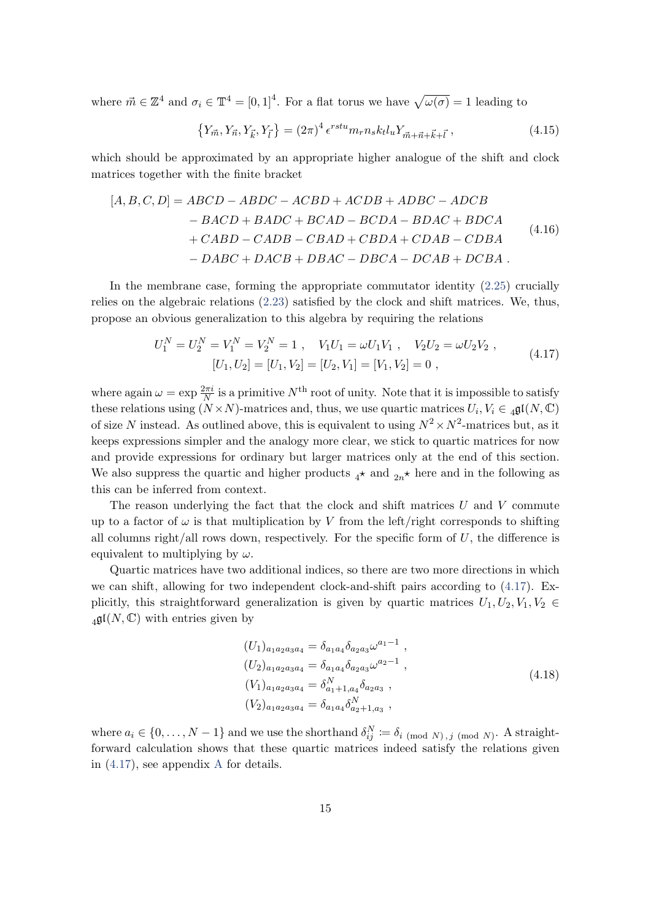where  $\vec{m} \in \mathbb{Z}^4$  and  $\sigma_i \in \mathbb{T}^4 = [0,1]^4$ . For a flat torus we have  $\sqrt{\omega(\sigma)} = 1$  leading to

<span id="page-15-2"></span><span id="page-15-1"></span>
$$
\{Y_{\vec{m}}, Y_{\vec{n}}, Y_{\vec{k}}, Y_{\vec{l}}\} = (2\pi)^4 \epsilon^{rstu} m_r n_s k_t l_u Y_{\vec{m} + \vec{n} + \vec{k} + \vec{l}},
$$
\n(4.15)

which should be approximated by an appropriate higher analogue of the shift and clock matrices together with the finite bracket

$$
[A, B, C, D] = ABCD - ABDC - ACBD + ACDB + ADBC - ADCB
$$
  
\n
$$
- BACD + BADC + BCAD - BCDA - BDAC + BDCA
$$
  
\n
$$
+ CABD - CADB - CBAD + CBDA + CDAB - CDBA
$$
  
\n
$$
- DABC + DACB + DBAC - DBCA - DCAB + DCBA.
$$
\n(4.16)

In the membrane case, forming the appropriate commutator identity [\(2.25\)](#page-7-4) crucially relies on the algebraic relations [\(2.23\)](#page-7-2) satisfied by the clock and shift matrices. We, thus, propose an obvious generalization to this algebra by requiring the relations

<span id="page-15-0"></span>
$$
U_1^N = U_2^N = V_1^N = V_2^N = 1, \quad V_1 U_1 = \omega U_1 V_1, \quad V_2 U_2 = \omega U_2 V_2, [U_1, U_2] = [U_1, V_2] = [U_2, V_1] = [V_1, V_2] = 0,
$$
\n(4.17)

where again  $\omega = \exp \frac{2\pi i}{N}$  is a primitive  $N^{\text{th}}$  root of unity. Note that it is impossible to satisfy these relations using  $(N \times N)$ -matrices and, thus, we use quartic matrices  $U_i, V_i \in \mathfrak{gl}(N, \mathbb{C})$ of size N instead. As outlined above, this is equivalent to using  $N^2 \times N^2$ -matrices but, as it keeps expressions simpler and the analogy more clear, we stick to quartic matrices for now and provide expressions for ordinary but larger matrices only at the end of this section. We also suppress the quartic and higher products  $_4\star$  and  $_{2n}\star$  here and in the following as this can be inferred from context.

The reason underlying the fact that the clock and shift matrices  $U$  and  $V$  commute up to a factor of  $\omega$  is that multiplication by V from the left/right corresponds to shifting all columns right/all rows down, respectively. For the specific form of  $U$ , the difference is equivalent to multiplying by  $\omega$ .

Quartic matrices have two additional indices, so there are two more directions in which we can shift, allowing for two independent clock-and-shift pairs according to [\(4.17\)](#page-15-0). Explicitly, this straightforward generalization is given by quartic matrices  $U_1, U_2, V_1, V_2 \in$  $_4\mathfrak{gl}(N,\mathbb{C})$  with entries given by

<span id="page-15-3"></span>
$$
(U_1)_{a_1 a_2 a_3 a_4} = \delta_{a_1 a_4} \delta_{a_2 a_3} \omega^{a_1 - 1} ,
$$
  
\n
$$
(U_2)_{a_1 a_2 a_3 a_4} = \delta_{a_1 a_4} \delta_{a_2 a_3} \omega^{a_2 - 1} ,
$$
  
\n
$$
(V_1)_{a_1 a_2 a_3 a_4} = \delta_{a_1 + 1, a_4}^N \delta_{a_2 a_3} ,
$$
  
\n
$$
(V_2)_{a_1 a_2 a_3 a_4} = \delta_{a_1 a_4} \delta_{a_2 + 1, a_3}^N ,
$$
  
\n
$$
(4.18)
$$

where  $a_i \in \{0, \ldots, N-1\}$  and we use the shorthand  $\delta_{ij}^N := \delta_{i \pmod{N}, j \pmod{N}}$ . A straightforward calculation shows that these quartic matrices indeed satisfy the relations given in [\(4.17\)](#page-15-0), see appendix [A](#page-28-1) for details.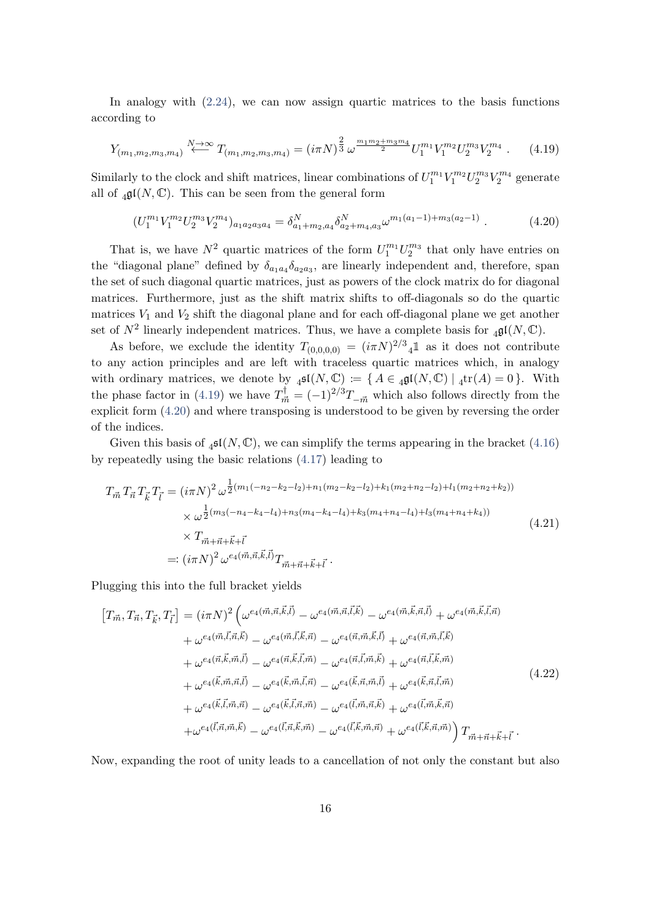In analogy with  $(2.24)$ , we can now assign quartic matrices to the basis functions according to

<span id="page-16-0"></span>
$$
Y_{(m_1,m_2,m_3,m_4)} \stackrel{N \to \infty}{\longleftarrow} T_{(m_1,m_2,m_3,m_4)} = (i\pi N)^{\frac{2}{3}} \omega^{\frac{m_1m_2 + m_3m_4}{2}} U_1^{m_1} V_1^{m_2} U_2^{m_3} V_2^{m_4} \ . \tag{4.19}
$$

Similarly to the clock and shift matrices, linear combinations of  $U_1^{m_1}V_1^{m_2}U_2^{m_3}V_2^{m_4}$  generate all of  $_4\mathfrak{gl}(N,\mathbb{C})$ . This can be seen from the general form

<span id="page-16-1"></span>
$$
(U_1^{m_1}V_1^{m_2}U_2^{m_3}V_2^{m_4})_{a_1a_2a_3a_4} = \delta_{a_1+m_2,a_4}^N \delta_{a_2+m_4,a_3}^N \omega^{m_1(a_1-1)+m_3(a_2-1)} \ . \tag{4.20}
$$

That is, we have  $N^2$  quartic matrices of the form  $U_1^{m_1} U_2^{m_3}$  that only have entries on the "diagonal plane" defined by  $\delta_{a_1a_4}\delta_{a_2a_3}$ , are linearly independent and, therefore, span the set of such diagonal quartic matrices, just as powers of the clock matrix do for diagonal matrices. Furthermore, just as the shift matrix shifts to off-diagonals so do the quartic matrices  $V_1$  and  $V_2$  shift the diagonal plane and for each off-diagonal plane we get another set of  $N^2$  linearly independent matrices. Thus, we have a complete basis for  $_4\mathfrak{gl}(N,\mathbb{C})$ .

As before, we exclude the identity  $T_{(0,0,0,0)} = (i\pi N)^{2/3}$  as it does not contribute to any action principles and are left with traceless quartic matrices which, in analogy with ordinary matrices, we denote by  $_4\mathfrak{sl}(N,\mathbb{C}) := \{ A \in \mathfrak{gl}(N,\mathbb{C}) \mid 4\text{tr}(A) = 0 \}.$  With the phase factor in [\(4.19\)](#page-16-0) we have  $T_{\vec{m}}^{\dagger} = (-1)^{2/3} T_{-\vec{m}}$  which also follows directly from the explicit form [\(4.20\)](#page-16-1) and where transposing is understood to be given by reversing the order of the indices.

Given this basis of  $_4\mathfrak{sl}(N,\mathbb{C})$ , we can simplify the terms appearing in the bracket [\(4.16\)](#page-15-1) by repeatedly using the basic relations [\(4.17\)](#page-15-0) leading to

<span id="page-16-2"></span>
$$
T_{\vec{m}} T_{\vec{n}} T_{\vec{k}} T_{\vec{l}} = (i\pi N)^2 \omega^{\frac{1}{2}(m_1(-n_2 - k_2 - l_2) + n_1(m_2 - k_2 - l_2) + k_1(m_2 + n_2 - l_2) + l_1(m_2 + n_2 + k_2))}
$$
  
\n
$$
\times \omega^{\frac{1}{2}(m_3(-n_4 - k_4 - l_4) + n_3(m_4 - k_4 - l_4) + k_3(m_4 + n_4 - l_4) + l_3(m_4 + n_4 + k_4))}
$$
  
\n
$$
\times T_{\vec{m} + \vec{n} + \vec{k} + \vec{l}}
$$
  
\n
$$
=: (i\pi N)^2 \omega^{e_4(\vec{m}, \vec{n}, \vec{k}, \vec{l})} T_{\vec{m} + \vec{n} + \vec{k} + \vec{l}}.
$$
\n(4.21)

Plugging this into the full bracket yields

$$
[T_{\vec{m}}, T_{\vec{n}}, T_{\vec{k}}, T_{\vec{l}}] = (i\pi N)^{2} \left(\omega^{e_{4}(\vec{m}, \vec{n}, \vec{k}, \vec{l})} - \omega^{e_{4}(\vec{m}, \vec{n}, \vec{l}, \vec{k})} - \omega^{e_{4}(\vec{m}, \vec{k}, \vec{n}, \vec{l})} + \omega^{e_{4}(\vec{m}, \vec{k}, \vec{l}, \vec{n})}\right) + \omega^{e_{4}(\vec{m}, \vec{l}, \vec{n}, \vec{k})} - \omega^{e_{4}(\vec{m}, \vec{l}, \vec{k}, \vec{n})} - \omega^{e_{4}(\vec{n}, \vec{m}, \vec{k}, \vec{l})} + \omega^{e_{4}(\vec{n}, \vec{m}, \vec{l}, \vec{k})} + \omega^{e_{4}(\vec{n}, \vec{k}, \vec{m}, \vec{l})} - \omega^{e_{4}(\vec{n}, \vec{k}, \vec{l}, \vec{m})} - \omega^{e_{4}(\vec{n}, \vec{l}, \vec{m}, \vec{k})} + \omega^{e_{4}(\vec{n}, \vec{l}, \vec{k}, \vec{m})} + \omega^{e_{4}(\vec{k}, \vec{m}, \vec{n}, \vec{l})} - \omega^{e_{4}(\vec{k}, \vec{m}, \vec{l}, \vec{n})} - \omega^{e_{4}(\vec{k}, \vec{n}, \vec{m}, \vec{l})} + \omega^{e_{4}(\vec{k}, \vec{n}, \vec{l}, \vec{m})} + \omega^{e_{4}(\vec{k}, \vec{l}, \vec{m}, \vec{n})} - \omega^{e_{4}(\vec{k}, \vec{l}, \vec{n}, \vec{m})} - \omega^{e_{4}(\vec{l}, \vec{m}, \vec{n}, \vec{k})} + \omega^{e_{4}(\vec{l}, \vec{m}, \vec{k}, \vec{n})} + \omega^{e_{4}(\vec{l}, \vec{n}, \vec{m}, \vec{k})} - \omega^{e_{4}(\vec{l}, \vec{n}, \vec{k}, \vec{m})} - \omega^{e_{4}(\vec{l}, \vec{k}, \vec{m}, \vec{n})} + \omega^{e_{4}(\vec{l}, \vec{k}, \vec{n}, \vec{m})} \right) T_{\vec{m} + \vec{n} + \vec{k} + \vec{l}}.
$$
\n(4.22)

Now, expanding the root of unity leads to a cancellation of not only the constant but also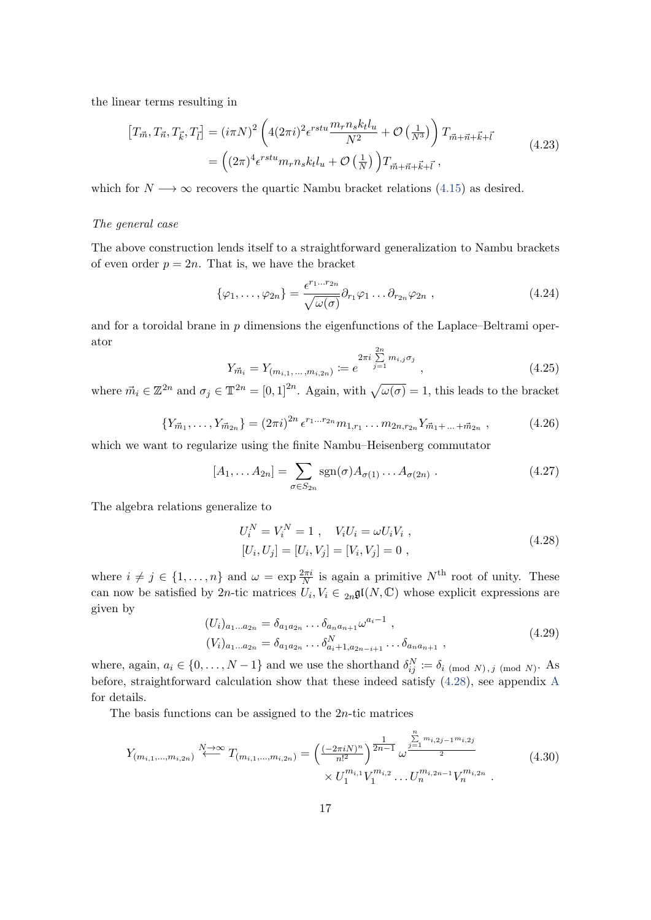the linear terms resulting in

<span id="page-17-4"></span>
$$
\begin{aligned} \left[T_{\vec{m}}, T_{\vec{n}}, T_{\vec{k}}, T_{\vec{l}}\right] &= (i\pi N)^2 \left(4(2\pi i)^2 \epsilon^{rstu} \frac{m_r n_s k_t l_u}{N^2} + \mathcal{O}\left(\frac{1}{N^3}\right)\right) T_{\vec{m} + \vec{n} + \vec{k} + \vec{l}} \\ &= \left((2\pi)^4 \epsilon^{rstu} m_r n_s k_t l_u + \mathcal{O}\left(\frac{1}{N}\right)\right) T_{\vec{m} + \vec{n} + \vec{k} + \vec{l}}, \end{aligned} \tag{4.23}
$$

which for  $N \longrightarrow \infty$  recovers the quartic Nambu bracket relations [\(4.15\)](#page-15-2) as desired.

#### The general case

The above construction lends itself to a straightforward generalization to Nambu brackets of even order  $p = 2n$ . That is, we have the bracket

$$
\{\varphi_1,\ldots,\varphi_{2n}\} = \frac{\epsilon^{r_1\ldots r_{2n}}}{\sqrt{\omega(\sigma)}} \partial_{r_1} \varphi_1 \ldots \partial_{r_{2n}} \varphi_{2n} , \qquad (4.24)
$$

and for a toroidal brane in p dimensions the eigenfunctions of the Laplace–Beltrami operator

$$
Y_{\vec{m}_i} = Y_{(m_{i,1},\ldots,m_{i,2n})} := e^{2\pi i \sum_{j=1}^{2n} m_{i,j}\sigma_j}, \qquad (4.25)
$$

<span id="page-17-2"></span>where  $\vec{m}_i \in \mathbb{Z}^{2n}$  and  $\sigma_j \in \mathbb{T}^{2n} = [0,1]^{2n}$ . Again, with  $\sqrt{\omega(\sigma)} = 1$ , this leads to the bracket

$$
\{Y_{\vec{m}_1}, \ldots, Y_{\vec{m}_{2n}}\} = (2\pi i)^{2n} \epsilon^{r_1 \ldots r_{2n}} m_{1,r_1} \ldots m_{2n,r_{2n}} Y_{\vec{m}_1 + \ldots + \vec{m}_{2n}} , \qquad (4.26)
$$

which we want to regularize using the finite Nambu–Heisenberg commutator

$$
[A_1, \dots A_{2n}] = \sum_{\sigma \in S_{2n}} \text{sgn}(\sigma) A_{\sigma(1)} \dots A_{\sigma(2n)} . \tag{4.27}
$$

The algebra relations generalize to

<span id="page-17-1"></span><span id="page-17-0"></span>
$$
U_i^N = V_i^N = 1 , V_i U_i = \omega U_i V_i ,
$$
  
\n
$$
[U_i, U_j] = [U_i, V_j] = [V_i, V_j] = 0 ,
$$
\n(4.28)

<span id="page-17-3"></span>where  $i \neq j \in \{1, ..., n\}$  and  $\omega = \exp \frac{2\pi i}{N}$  is again a primitive  $N^{\text{th}}$  root of unity. These can now be satisfied by 2*n*-tic matrices  $U_i, V_i \in C_{2n}$ **g** $I(N, \mathbb{C})$  whose explicit expressions are given by

$$
(U_i)_{a_1...a_{2n}} = \delta_{a_1 a_{2n}} \dots \delta_{a_n a_{n+1}} \omega^{a_i - 1} ,
$$
  
\n
$$
(V_i)_{a_1...a_{2n}} = \delta_{a_1 a_{2n}} \dots \delta_{a_i + 1, a_{2n - i + 1}}^N \dots \delta_{a_n a_{n+1}} ,
$$
\n
$$
(4.29)
$$

where, again,  $a_i \in \{0, ..., N-1\}$  and we use the shorthand  $\delta_{ij}^N := \delta_{i \pmod{N}, j \pmod{N}}$ . As before, straightforward calculation show that these indeed satisfy [\(4.28\)](#page-17-0), see appendix [A](#page-28-1) for details.

The basis functions can be assigned to the  $2n$ -tic matrices

$$
Y_{(m_{i,1},\ldots,m_{i,2n})} \stackrel{N \to \infty}{\longleftarrow} T_{(m_{i,1},\ldots,m_{i,2n})} = \left(\frac{(-2\pi i N)^n}{n!^2}\right)^{\frac{1}{2n-1}} \omega^{\frac{\sum\limits_{j=1}^{n} m_{i,2j-1}m_{i,2j}}{2}} \times U_1^{m_{i,1}} V_1^{m_{i,2}} \ldots U_n^{m_{i,2n-1}} V_n^{m_{i,2n}} \tag{4.30}
$$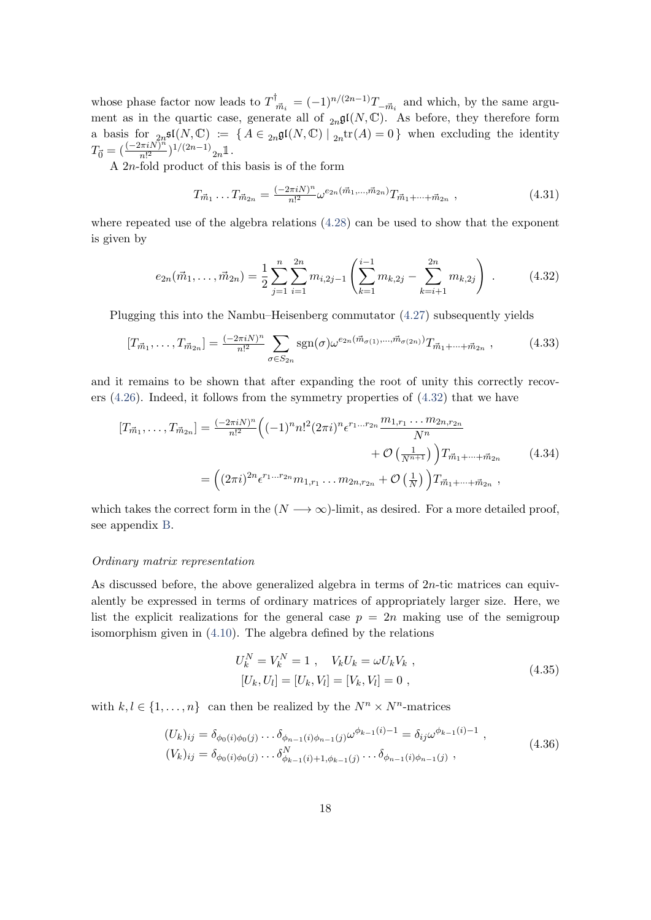whose phase factor now leads to  $T^{\dagger}_{\phi}$  $\overline{m}_i = (-1)^{n/(2n-1)} T_{-\vec{m}_i}$  and which, by the same argument as in the quartic case, generate all of  ${}_{2n}\mathfrak{gl}(N,\mathbb{C})$ . As before, they therefore form a basis for  ${}_{2n}$ **s** $\mathfrak{gl}(N, \mathbb{C}) := \{ A \in {}_{2n}$ **g** $\mathfrak{gl}(N, \mathbb{C}) \mid {}_{2n}tr(A) = 0 \}$  when excluding the identity  $T_{\vec{0}} = (\frac{(-2\pi i N)^n}{n!^2}$  $\frac{n!}{n!^2}$ )<sup>1/(2n-1)</sup><sub>2n</sub> $\mathbb{1}$ .

A 2n-fold product of this basis is of the form

<span id="page-18-2"></span>
$$
T_{\vec{m}_1} \dots T_{\vec{m}_{2n}} = \frac{(-2\pi i N)^n}{n!^2} \omega^{e_{2n}(\vec{m}_1, \dots, \vec{m}_{2n})} T_{\vec{m}_1 + \dots + \vec{m}_{2n}}, \qquad (4.31)
$$

where repeated use of the algebra relations [\(4.28\)](#page-17-0) can be used to show that the exponent is given by

<span id="page-18-0"></span>
$$
e_{2n}(\vec{m}_1,\ldots,\vec{m}_{2n}) = \frac{1}{2} \sum_{j=1}^n \sum_{i=1}^{2n} m_{i,2j-1} \left( \sum_{k=1}^{i-1} m_{k,2j} - \sum_{k=i+1}^{2n} m_{k,2j} \right) . \tag{4.32}
$$

Plugging this into the Nambu–Heisenberg commutator [\(4.27\)](#page-17-1) subsequently yields

$$
[T_{\vec{m}_1}, \dots, T_{\vec{m}_{2n}}] = \frac{(-2\pi i N)^n}{n!^2} \sum_{\sigma \in S_{2n}} \text{sgn}(\sigma) \omega^{e_{2n}(\vec{m}_{\sigma(1)}, \dots, \vec{m}_{\sigma(2n)})} T_{\vec{m}_1 + \dots + \vec{m}_{2n}}, \tag{4.33}
$$

and it remains to be shown that after expanding the root of unity this correctly recovers  $(4.26)$ . Indeed, it follows from the symmetry properties of  $(4.32)$  that we have

$$
[T_{\vec{m}_1}, \dots, T_{\vec{m}_{2n}}] = \frac{(-2\pi i N)^n}{n!^2} \left( (-1)^n n!^2 (2\pi i)^n \epsilon^{r_1 \dots r_{2n}} \frac{m_{1,r_1} \dots m_{2n,r_{2n}}}{N^n} + \mathcal{O}\left(\frac{1}{N^{n+1}}\right) \right) T_{\vec{m}_1 + \dots + \vec{m}_{2n}} \qquad (4.34)
$$

$$
= \left( (2\pi i)^{2n} \epsilon^{r_1 \dots r_{2n}} m_{1,r_1} \dots m_{2n,r_{2n}} + \mathcal{O}\left(\frac{1}{N}\right) \right) T_{\vec{m}_1 + \dots + \vec{m}_{2n}},
$$

which takes the correct form in the  $(N \rightarrow \infty)$ -limit, as desired. For a more detailed proof, see appendix [B.](#page-28-2)

#### Ordinary matrix representation

As discussed before, the above generalized algebra in terms of  $2n$ -tic matrices can equivalently be expressed in terms of ordinary matrices of appropriately larger size. Here, we list the explicit realizations for the general case  $p = 2n$  making use of the semigroup isomorphism given in [\(4.10\)](#page-14-2). The algebra defined by the relations

<span id="page-18-1"></span>
$$
U_k^N = V_k^N = 1 , \quad V_k U_k = \omega U_k V_k ,
$$
  
\n
$$
[U_k, U_l] = [U_k, V_l] = [V_k, V_l] = 0 ,
$$
\n(4.35)

with  $k, l \in \{1, ..., n\}$  can then be realized by the  $N^n \times N^n$ -matrices

$$
(U_k)_{ij} = \delta_{\phi_0(i)\phi_0(j)} \dots \delta_{\phi_{n-1}(i)\phi_{n-1}(j)} \omega^{\phi_{k-1}(i)-1} = \delta_{ij} \omega^{\phi_{k-1}(i)-1},
$$
  
\n
$$
(V_k)_{ij} = \delta_{\phi_0(i)\phi_0(j)} \dots \delta^N_{\phi_{k-1}(i)+1,\phi_{k-1}(j)} \dots \delta_{\phi_{n-1}(i)\phi_{n-1}(j)},
$$
\n(4.36)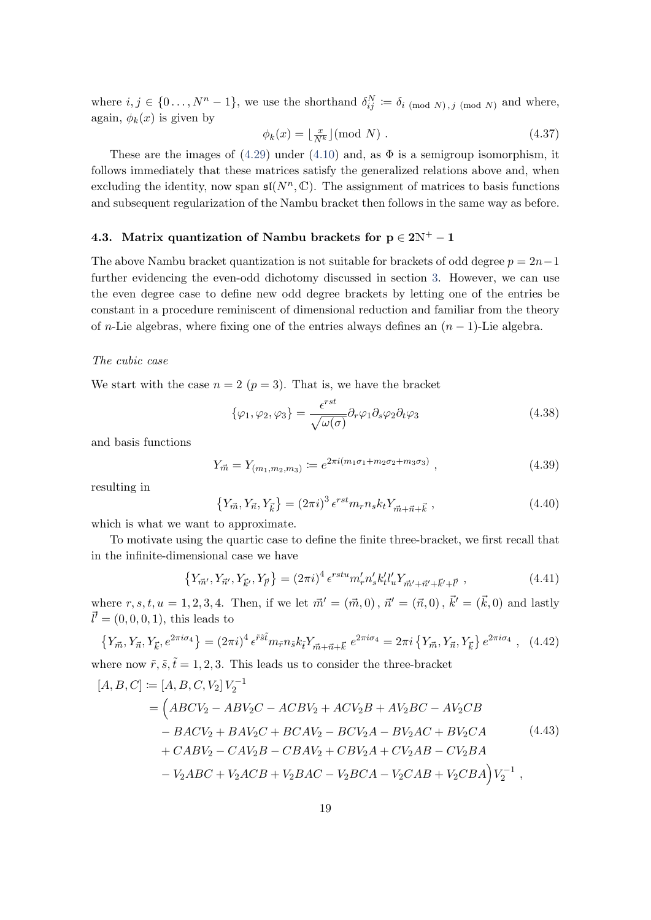where  $i, j \in \{0, \ldots, N^n-1\}$ , we use the shorthand  $\delta_{ij}^N := \delta_{i \pmod{N}, j \pmod{N}}$  and where, again,  $\phi_k(x)$  is given by

$$
\phi_k(x) = \lfloor \frac{x}{N^k} \rfloor \text{(mod } N) . \tag{4.37}
$$

These are the images of  $(4.29)$  under  $(4.10)$  and, as  $\Phi$  is a semigroup isomorphism, it follows immediately that these matrices satisfy the generalized relations above and, when excluding the identity, now span  $\mathfrak{sl}(N^n,\mathbb{C})$ . The assignment of matrices to basis functions and subsequent regularization of the Nambu bracket then follows in the same way as before.

# <span id="page-19-0"></span>4.3. Matrix quantization of Nambu brackets for  $p \in 2N^+ - 1$

The above Nambu bracket quantization is not suitable for brackets of odd degree  $p = 2n-1$ further evidencing the even-odd dichotomy discussed in section [3.](#page-9-0) However, we can use the even degree case to define new odd degree brackets by letting one of the entries be constant in a procedure reminiscent of dimensional reduction and familiar from the theory of n-Lie algebras, where fixing one of the entries always defines an  $(n - 1)$ -Lie algebra.

#### The cubic case

We start with the case  $n = 2$   $(p = 3)$ . That is, we have the bracket

$$
\{\varphi_1, \varphi_2, \varphi_3\} = \frac{\epsilon^{rst}}{\sqrt{\omega(\sigma)}} \partial_r \varphi_1 \partial_s \varphi_2 \partial_t \varphi_3 \tag{4.38}
$$

and basis functions

<span id="page-19-1"></span>
$$
Y_{\vec{m}} = Y_{(m_1, m_2, m_3)} := e^{2\pi i (m_1 \sigma_1 + m_2 \sigma_2 + m_3 \sigma_3)}, \qquad (4.39)
$$

resulting in

$$
\{Y_{\vec{m}}, Y_{\vec{n}}, Y_{\vec{k}}\} = (2\pi i)^3 \epsilon^{rst} m_r n_s k_t Y_{\vec{m} + \vec{n} + \vec{k}} ,
$$
\n(4.40)

which is what we want to approximate.

To motivate using the quartic case to define the finite three-bracket, we first recall that in the infinite-dimensional case we have

$$
\{Y_{\vec{m}'}, Y_{\vec{n}'}, Y_{\vec{k}'}, Y_{\vec{l}'}\} = (2\pi i)^4 \epsilon^{rstu} m'_r n'_s k'_t l'_u Y_{\vec{m}' + \vec{n}' + \vec{k}' + \vec{l}'} ,
$$
\n(4.41)

where  $r, s, t, u = 1, 2, 3, 4$ . Then, if we let  $\vec{m}' = (\vec{m}, 0), \vec{n}' = (\vec{n}, 0), \vec{k}' = (\vec{k}, 0)$  and lastly  $\vec{l}' = (0, 0, 0, 1),$  this leads to

$$
\{Y_{\vec{m}}, Y_{\vec{n}}, Y_{\vec{k}}, e^{2\pi i \sigma_4}\} = (2\pi i)^4 \epsilon^{\tilde{r}\tilde{s}\tilde{t}} m_{\tilde{r}} n_{\tilde{s}} k_{\tilde{t}} Y_{\vec{m} + \vec{n} + \vec{k}} \ e^{2\pi i \sigma_4} = 2\pi i \{Y_{\vec{m}}, Y_{\vec{n}}, Y_{\vec{k}}\} e^{2\pi i \sigma_4} , \quad (4.42)
$$

where now  $\tilde{r}, \tilde{s}, \tilde{t} = 1, 2, 3$ . This leads us to consider the three-bracket

$$
[A, B, C] := [A, B, C, V_2] V_2^{-1}
$$
  
=  $(ABCV_2 - ABV_2C - ACBV_2 + ACV_2B + AV_2BC - AV_2CB - BACV_2 + BAV_2C + BCAV_2 - BCV_2A - BV_2AC + BV_2CA + CABV_2 - CAV_2B - CBAV_2 + CBV_2A + CV_2AB - CV_2BA - V_2ABC + V_2ACB + V_2BAC - V_2BCA - V_2CAB + V_2CBA) V_2^{-1},$  (4.43)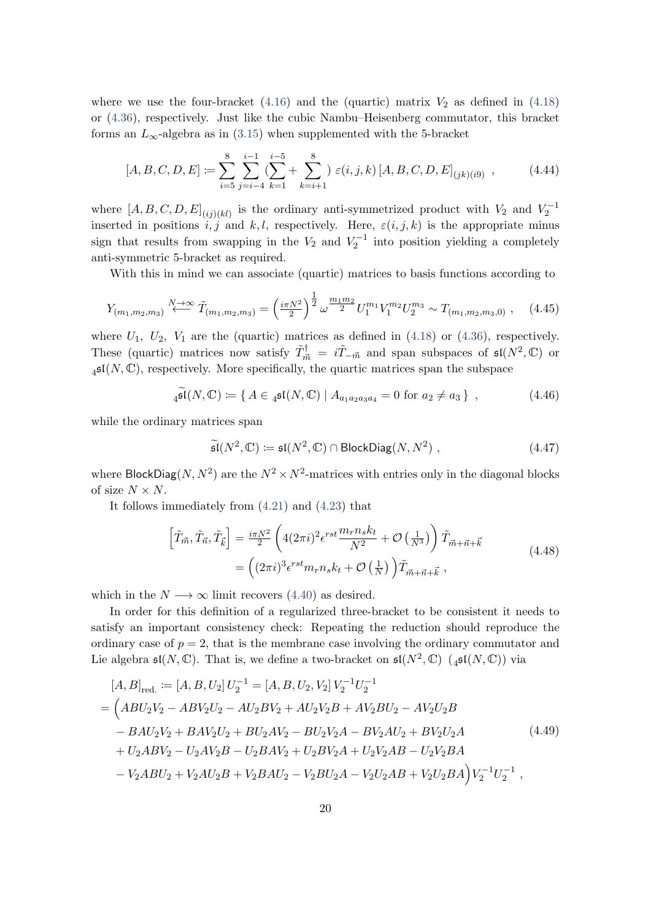where we use the four-bracket  $(4.16)$  and the (quartic) matrix  $V_2$  as defined in  $(4.18)$ or [\(4.36\)](#page-18-1), respectively. Just like the cubic Nambu–Heisenberg commutator, this bracket forms an  $L_{\infty}$ -algebra as in [\(3.15\)](#page-11-4) when supplemented with the 5-bracket

$$
[A, B, C, D, E] := \sum_{i=5}^{8} \sum_{j=i-4}^{i-1} \left( \sum_{k=1}^{i-5} + \sum_{k=i+1}^{8} \right) \varepsilon(i, j, k) [A, B, C, D, E]_{(jk)(i9)}, \tag{4.44}
$$

where  $[A, B, C, D, E]_{(ij)(kl)}$  is the ordinary anti-symmetrized product with  $V_2$  and  $V_2^{-1}$ inserted in positions i, j and k, l, respectively. Here,  $\varepsilon(i, j, k)$  is the appropriate minus sign that results from swapping in the  $V_2$  and  $V_2^{-1}$  into position yielding a completely anti-symmetric 5-bracket as required.

With this in mind we can associate (quartic) matrices to basis functions according to

$$
Y_{(m_1,m_2,m_3)} \stackrel{N \to \infty}{\longleftarrow} \tilde{T}_{(m_1,m_2,m_3)} = \left(\frac{i\pi N^2}{2}\right)^{\frac{1}{2}} \omega^{\frac{m_1 m_2}{2}} U_1^{m_1} V_1^{m_2} U_2^{m_3} \sim T_{(m_1,m_2,m_3,0)} ,\quad (4.45)
$$

where  $U_1$ ,  $U_2$ ,  $V_1$  are the (quartic) matrices as defined in [\(4.18\)](#page-15-3) or [\(4.36\)](#page-18-1), respectively. These (quartic) matrices now satisfy  $\tilde{T}^{\dagger}_{\vec{m}} = i\tilde{T}_{-\vec{m}}$  and span subspaces of  $\mathfrak{sl}(N^2,\mathbb{C})$  or  $_4$ sl(N, C), respectively. More specifically, the quartic matrices span the subspace

 $\widetilde{\mathfrak{sl}}(N,\mathbb{C}) \coloneqq \{ A \in {}_{4}\mathfrak{sl}(N,\mathbb{C}) \mid A_{a_{1}a_{2}a_{3}a_{4}} = 0 \text{ for } a_{2} \neq a_{3} \},$  (4.46)

while the ordinary matrices span

$$
\widetilde{\mathfrak{sl}}(N^2, \mathbb{C}) \coloneqq \mathfrak{sl}(N^2, \mathbb{C}) \cap \text{BlockDiag}(N, N^2) , \qquad (4.47)
$$

where BlockDiag(N,  $N^2$ ) are the  $N^2 \times N^2$ -matrices with entries only in the diagonal blocks of size  $N \times N$ .

It follows immediately from [\(4.21\)](#page-16-2) and [\(4.23\)](#page-17-4) that

$$
\left[\tilde{T}_{\vec{m}}, \tilde{T}_{\vec{n}}, \tilde{T}_{\vec{k}}\right] = \frac{i\pi N^2}{2} \left(4(2\pi i)^2 \epsilon^{rst} \frac{m_r n_s k_t}{N^2} + \mathcal{O}\left(\frac{1}{N^3}\right)\right) \tilde{T}_{\vec{m} + \vec{n} + \vec{k}} \n= \left((2\pi i)^3 \epsilon^{rst} m_r n_s k_t + \mathcal{O}\left(\frac{1}{N}\right)\right) \tilde{T}_{\vec{m} + \vec{n} + \vec{k}} ,
$$
\n(4.48)

which in the  $N \longrightarrow \infty$  limit recovers [\(4.40\)](#page-19-1) as desired.

In order for this definition of a regularized three-bracket to be consistent it needs to satisfy an important consistency check: Repeating the reduction should reproduce the ordinary case of  $p = 2$ , that is the membrane case involving the ordinary commutator and Lie algebra  $\mathfrak{sl}(N,\mathbb{C})$ . That is, we define a two-bracket on  $\mathfrak{sl}(N^2,\mathbb{C})$   $\mathfrak{sl}(N,\mathbb{C})$ ) via

$$
[A, B]_{\text{red.}} := [A, B, U_2] U_2^{-1} = [A, B, U_2, V_2] V_2^{-1} U_2^{-1}
$$
  
= 
$$
(ABU_2V_2 - ABV_2U_2 - AU_2BV_2 + AU_2V_2B + AV_2BU_2 - AV_2U_2B - BAU_2V_2 + BAV_2U_2 + BU_2AV_2 - BU_2V_2A - BV_2AU_2 + BV_2U_2A + U_2ABV_2 - U_2AV_2B - U_2BAV_2 + U_2BV_2A + U_2V_2AB - U_2V_2BA - V_2ABU_2 + V_2AU_2B + V_2BAU_2 - V_2BU_2A - V_2U_2AB + V_2U_2BA\Big) V_2^{-1} U_2^{-1} ,
$$
 (4.49)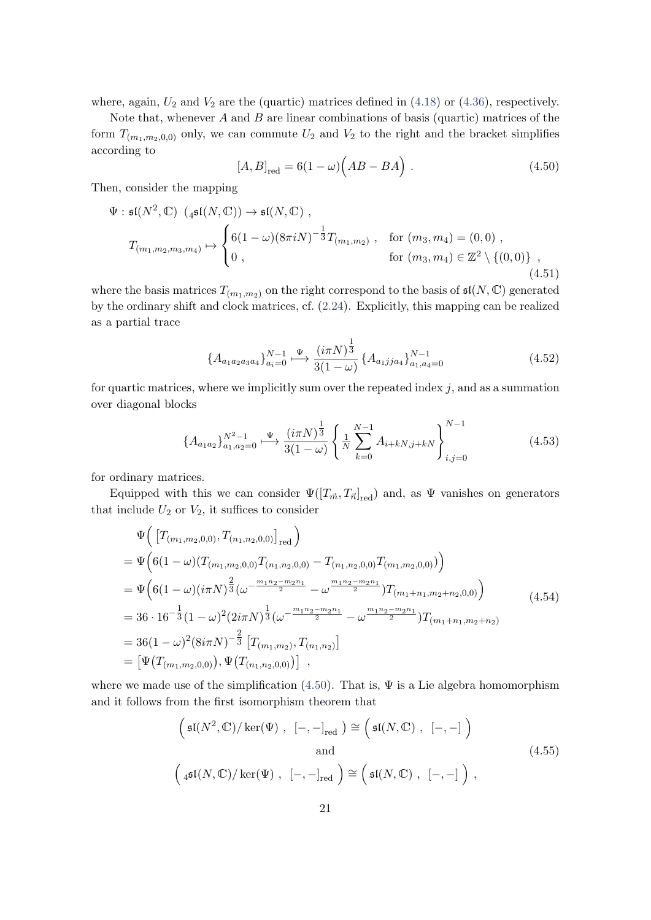where, again,  $U_2$  and  $V_2$  are the (quartic) matrices defined in [\(4.18\)](#page-15-3) or [\(4.36\)](#page-18-1), respectively.

<span id="page-21-0"></span>Note that, whenever  $A$  and  $B$  are linear combinations of basis (quartic) matrices of the form  $T_{(m_1,m_2,0,0)}$  only, we can commute  $U_2$  and  $V_2$  to the right and the bracket simplifies according to

<span id="page-21-1"></span>
$$
[A,B]_{\text{red}} = 6(1-\omega)\left(AB - BA\right). \tag{4.50}
$$

Then, consider the mapping

$$
\Psi: \mathfrak{sl}(N^2, \mathbb{C}) \ (4^{\mathfrak{sl}(N, \mathbb{C})}) \to \mathfrak{sl}(N, \mathbb{C}) ,
$$
\n
$$
T_{(m_1, m_2, m_3, m_4)} \mapsto \begin{cases} 6(1-\omega)(8\pi i N)^{-\frac{1}{3}} T_{(m_1, m_2)}, & \text{for } (m_3, m_4) = (0, 0) , \\ 0, & \text{for } (m_3, m_4) \in \mathbb{Z}^2 \setminus \{(0, 0)\} , \end{cases}
$$
\n
$$
(4.51)
$$

where the basis matrices  $T_{(m_1,m_2)}$  on the right correspond to the basis of  $\mathfrak{sl}(N,\mathbb{C})$  generated by the ordinary shift and clock matrices, cf. [\(2.24\)](#page-7-1). Explicitly, this mapping can be realized as a partial trace

<span id="page-21-2"></span>
$$
\{A_{a_1a_2a_3a_4}\}_{a_i=0}^{N-1} \xrightarrow{\Psi} \frac{(i\pi N)^{\frac{1}{3}}}{3(1-\omega)} \{A_{a_1jja_4}\}_{a_1,a_4=0}^{N-1}
$$
 (4.52)

for quartic matrices, where we implicitly sum over the repeated index  $j$ , and as a summation over diagonal blocks

<span id="page-21-3"></span>
$$
\{A_{a_1a_2}\}_{a_1,a_2=0}^{N^2-1} \xrightarrow{\Psi} \frac{(i\pi N)^{\frac{1}{3}}}{3(1-\omega)} \left\{ \frac{1}{N} \sum_{k=0}^{N-1} A_{i+kN,j+kN} \right\}_{i,j=0}^{N-1}
$$
(4.53)

for ordinary matrices.

Equipped with this we can consider  $\Psi([T_{\vec{m}}, T_{\vec{n}}]_{\text{red}})$  and, as  $\Psi$  vanishes on generators that include  $U_2$  or  $V_2$ , it suffices to consider

$$
\Psi\left(\left[T_{(m_1,m_2,0,0)}, T_{(n_1,n_2,0,0)}\right]_{\text{red}}\right)
$$
\n
$$
= \Psi\left(6(1-\omega)(T_{(m_1,m_2,0,0)}T_{(n_1,n_2,0,0)} - T_{(n_1,n_2,0,0)}T_{(m_1,m_2,0,0)})\right)
$$
\n
$$
= \Psi\left(6(1-\omega)(i\pi N)^{\frac{2}{3}}(\omega^{-\frac{m_1n_2 - m_2n_1}{2}} - \omega^{\frac{m_1n_2 - m_2n_1}{2}})T_{(m_1+n_1,m_2+n_2,0,0)})\right)
$$
\n
$$
= 36 \cdot 16^{-\frac{1}{3}}(1-\omega)^2(2i\pi N)^{\frac{1}{3}}(\omega^{-\frac{m_1n_2 - m_2n_1}{2}} - \omega^{\frac{m_1n_2 - m_2n_1}{2}})T_{(m_1+n_1,m_2+n_2)}
$$
\n
$$
= 36(1-\omega)^2(8i\pi N)^{-\frac{2}{3}}\left[T_{(m_1,m_2)}, T_{(n_1,n_2)}\right]
$$
\n
$$
= \left[\Psi\left(T_{(m_1,m_2,0,0)}\right), \Psi\left(T_{(n_1,n_2,0,0)}\right)\right],
$$
\n(4.54)

where we made use of the simplification [\(4.50\)](#page-21-0). That is,  $\Psi$  is a Lie algebra homomorphism and it follows from the first isomorphism theorem that

$$
\left(\mathfrak{sl}(N^2,\mathbb{C})/\ker(\Psi), \ [-,-]_{\text{red}}\right) \cong \left(\mathfrak{sl}(N,\mathbb{C}), [-,-]\right)
$$
  
and  

$$
\left(\mathfrak{sl}(N,\mathbb{C})/\ker(\Psi), [-,-]_{\text{red}}\right) \cong \left(\mathfrak{sl}(N,\mathbb{C}), [-,-]\right),
$$
  
(4.55)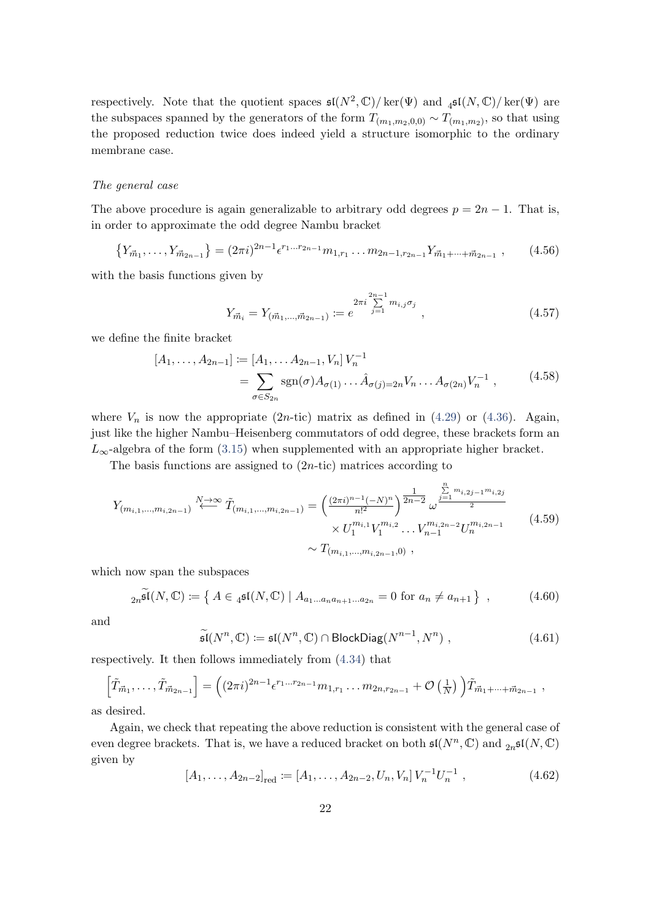respectively. Note that the quotient spaces  $\mathfrak{sl}(N^2,\mathbb{C})/\ker(\Psi)$  and  $\mathfrak{sl}(N,\mathbb{C})/\ker(\Psi)$  are the subspaces spanned by the generators of the form  $T_{(m_1,m_2,0,0)} \sim T_{(m_1,m_2)}$ , so that using the proposed reduction twice does indeed yield a structure isomorphic to the ordinary membrane case.

#### The general case

The above procedure is again generalizable to arbitrary odd degrees  $p = 2n - 1$ . That is, in order to approximate the odd degree Nambu bracket

$$
\{Y_{\vec{m}_1}, \ldots, Y_{\vec{m}_{2n-1}}\} = (2\pi i)^{2n-1} \epsilon^{r_1 \ldots r_{2n-1}} m_{1,r_1} \ldots m_{2n-1,r_{2n-1}} Y_{\vec{m}_1 + \cdots + \vec{m}_{2n-1}}, \qquad (4.56)
$$

with the basis functions given by

$$
Y_{\vec{m}_i} = Y_{(\vec{m}_1, \dots, \vec{m}_{2n-1})} := e^{2\pi i \sum_{j=1}^{2n-1} m_{i,j} \sigma_j}, \qquad (4.57)
$$

we define the finite bracket

$$
[A_1, \dots, A_{2n-1}] := [A_1, \dots A_{2n-1}, V_n] V_n^{-1}
$$
  
= 
$$
\sum_{\sigma \in S_{2n}} \text{sgn}(\sigma) A_{\sigma(1)} \dots \hat{A}_{\sigma(j)=2n} V_n \dots A_{\sigma(2n)} V_n^{-1} ,
$$
 (4.58)

where  $V_n$  is now the appropriate (2n-tic) matrix as defined in [\(4.29\)](#page-17-3) or [\(4.36\)](#page-18-1). Again, just like the higher Nambu–Heisenberg commutators of odd degree, these brackets form an  $L_{\infty}$ -algebra of the form [\(3.15\)](#page-11-4) when supplemented with an appropriate higher bracket.

The basis functions are assigned to  $(2n\text{-tic})$  matrices according to

$$
Y_{(m_{i,1},\ldots,m_{i,2n-1})} \overset{N \to \infty}{\longleftrightarrow} \tilde{T}_{(m_{i,1},\ldots,m_{i,2n-1})} = \left(\frac{(2\pi i)^{n-1}(-N)^n}{n!^2}\right)^{\frac{1}{2n-2}} \omega^{\frac{\sum\limits_{j=1}^{n} m_{i,2j-1}m_{i,2j}}{2}} \times U_1^{m_{i,1}} V_1^{m_{i,2}} \ldots V_{n-1}^{m_{i,2n-2}} U_n^{m_{i,2n-1}} \right)
$$
\n
$$
\sim T_{(m_{i,1},\ldots,m_{i,2n-1},0)}, \qquad (4.59)
$$

which now span the subspaces

$$
{}_{2n}\widetilde{\mathfrak{sl}}(N,\mathbb{C}) \coloneqq \left\{ A \in {}_{4}\mathfrak{sl}(N,\mathbb{C}) \mid A_{a_1 \dots a_n a_{n+1} \dots a_{2n}} = 0 \text{ for } a_n \neq a_{n+1} \right\} ,\qquad(4.60)
$$

and

$$
\widetilde{\mathfrak{sl}}(N^n, \mathbb{C}) \coloneqq \mathfrak{sl}(N^n, \mathbb{C}) \cap \text{BlockDiag}(N^{n-1}, N^n) , \qquad (4.61)
$$

respectively. It then follows immediately from [\(4.34\)](#page-18-2) that

$$
\left[\tilde{T}_{\vec{m}_1},\ldots,\tilde{T}_{\vec{m}_{2n-1}}\right] = \left((2\pi i)^{2n-1} \epsilon^{r_1\ldots r_{2n-1}} m_{1,r_1}\ldots m_{2n,r_{2n-1}} + \mathcal{O}\left(\frac{1}{N}\right)\right) \tilde{T}_{\vec{m}_1+\cdots+\vec{m}_{2n-1}} ,
$$

as desired.

Again, we check that repeating the above reduction is consistent with the general case of even degree brackets. That is, we have a reduced bracket on both  $\mathfrak{sl}(N^n,\mathbb{C})$  and  $_{2n}$  $\mathfrak{sl}(N,\mathbb{C})$ given by

<span id="page-22-0"></span>
$$
[A_1, \ldots, A_{2n-2}]_{\text{red}} := [A_1, \ldots, A_{2n-2}, U_n, V_n] V_n^{-1} U_n^{-1} , \qquad (4.62)
$$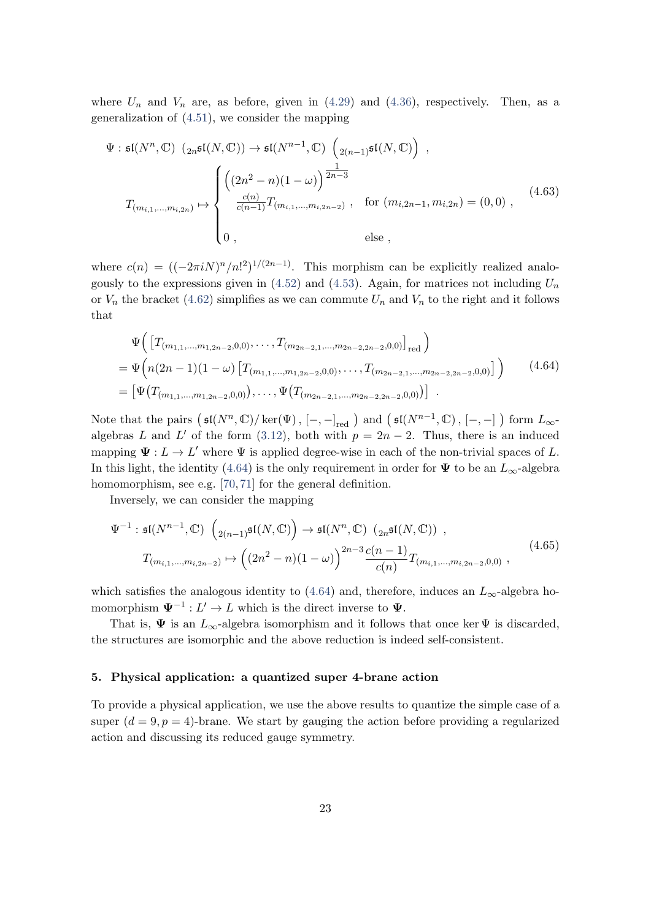where  $U_n$  and  $V_n$  are, as before, given in [\(4.29\)](#page-17-3) and [\(4.36\)](#page-18-1), respectively. Then, as a generalization of [\(4.51\)](#page-21-1), we consider the mapping

$$
\Psi: \mathfrak{sl}(N^n, \mathbb{C}) \ (2n^{\mathfrak{sl}(N, \mathbb{C})}) \to \mathfrak{sl}(N^{n-1}, \mathbb{C}) \left(2(n-1)^{\mathfrak{sl}(N, \mathbb{C})}\right) ,
$$
\n
$$
T_{(m_{i,1}, \dots, m_{i,2n})} \mapsto \begin{cases} \left((2n^2 - n)(1 - \omega)\right)^{\frac{1}{2n-3}} & \text{for } (m_{i,2n-1}, m_{i,2n}) = (0,0) ,\\ \frac{c(n)}{c(n-1)} T_{(m_{i,1}, \dots, m_{i,2n-2})} & \text{for } (m_{i,2n-1}, m_{i,2n}) = (0,0) ,\\ 0, & \text{else } , \end{cases} (4.63)
$$

where  $c(n) = ((-2\pi i N)^n/n!^2)^{1/(2n-1)}$ . This morphism can be explicitly realized analogously to the expressions given in  $(4.52)$  and  $(4.53)$ . Again, for matrices not including  $U_n$ or  $V_n$  the bracket [\(4.62\)](#page-22-0) simplifies as we can commute  $U_n$  and  $V_n$  to the right and it follows that

<span id="page-23-1"></span>
$$
\Psi\Big(\left[T_{(m_{1,1},\ldots,m_{1,2n-2},0,0)},\ldots,T_{(m_{2n-2,1},\ldots,m_{2n-2,2n-2},0,0)}\right]_{\text{red}}\Big)
$$
\n
$$
=\Psi\Big(n(2n-1)(1-\omega)\left[T_{(m_{1,1},\ldots,m_{1,2n-2},0,0)},\ldots,T_{(m_{2n-2,1},\ldots,m_{2n-2,2n-2},0,0)}\right)\Big)\qquad(4.64)
$$
\n
$$
=\left[\Psi\big(T_{(m_{1,1},\ldots,m_{1,2n-2},0,0)}\big),\ldots,\Psi\big(T_{(m_{2n-2,1},\ldots,m_{2n-2,2n-2},0,0)}\big)\right].
$$

Note that the pairs  $(\mathfrak{sl}(N^n,\mathbb{C})/\ker(\Psi)$ ,  $[-,-]_{\mathrm{red}}$   $)$  and  $(\mathfrak{sl}(N^{n-1},\mathbb{C})$ ,  $[-,-]$   $)$  form  $L_{\infty}$ algebras L and L' of the form [\(3.12\)](#page-11-5), both with  $p = 2n - 2$ . Thus, there is an induced mapping  $\Psi: L \to L'$  where  $\Psi$  is applied degree-wise in each of the non-trivial spaces of L. In this light, the identity [\(4.64\)](#page-23-1) is the only requirement in order for  $\Psi$  to be an  $L_{\infty}$ -algebra homomorphism, see e.g. [\[70,](#page-35-9) [71\]](#page-35-10) for the general definition.

Inversely, we can consider the mapping

$$
\Psi^{-1}: \mathfrak{sl}(N^{n-1}, \mathbb{C}) \left( {}_{2(n-1)}\mathfrak{sl}(N, \mathbb{C}) \right) \to \mathfrak{sl}(N^n, \mathbb{C}) \left( {}_{2n}\mathfrak{sl}(N, \mathbb{C}) \right) ,
$$
\n
$$
T_{(m_{i,1},...,m_{i,2n-2})} \mapsto \left( (2n^2 - n)(1 - \omega) \right)^{2n-3} \frac{c(n-1)}{c(n)} T_{(m_{i,1},...,m_{i,2n-2},0,0)} ,
$$
\n(4.65)

which satisfies the analogous identity to [\(4.64\)](#page-23-1) and, therefore, induces an  $L_{\infty}$ -algebra homomorphism  $\Psi^{-1}: L' \to L$  which is the direct inverse to  $\Psi$ .

That is,  $\Psi$  is an  $L_{\infty}$ -algebra isomorphism and it follows that once ker  $\Psi$  is discarded, the structures are isomorphic and the above reduction is indeed self-consistent.

#### <span id="page-23-0"></span>5. Physical application: a quantized super 4-brane action

To provide a physical application, we use the above results to quantize the simple case of a super  $(d = 9, p = 4)$ -brane. We start by gauging the action before providing a regularized action and discussing its reduced gauge symmetry.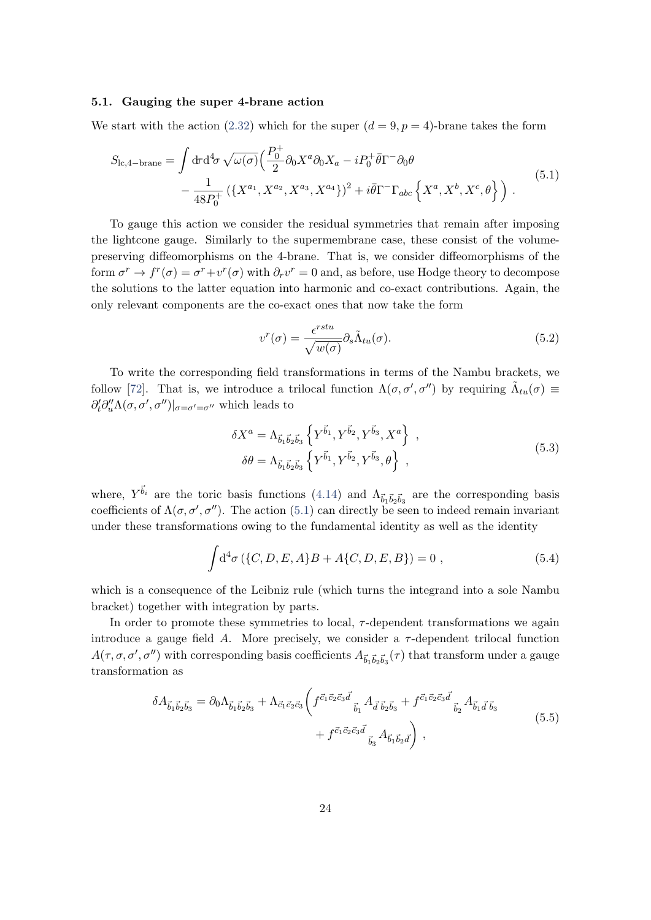#### <span id="page-24-0"></span>5.1. Gauging the super 4-brane action

We start with the action [\(2.32\)](#page-8-1) which for the super  $(d = 9, p = 4)$ -brane takes the form

$$
S_{\text{lc},4-\text{brane}} = \int d\tau d^4\sigma \sqrt{\omega(\sigma)} \Big( \frac{P_0^+}{2} \partial_0 X^a \partial_0 X_a - i P_0^+ \bar{\theta} \Gamma^- \partial_0 \theta \Big) - \frac{1}{48 P_0^+} \left( \{ X^{a_1}, X^{a_2}, X^{a_3}, X^{a_4} \} \right)^2 + i \bar{\theta} \Gamma^- \Gamma_{abc} \left\{ X^a, X^b, X^c, \theta \right\} \Big) . \tag{5.1}
$$

To gauge this action we consider the residual symmetries that remain after imposing the lightcone gauge. Similarly to the supermembrane case, these consist of the volumepreserving diffeomorphisms on the 4-brane. That is, we consider diffeomorphisms of the form  $\sigma^r \to f^r(\sigma) = \sigma^r + v^r(\sigma)$  with  $\partial_r v^r = 0$  and, as before, use Hodge theory to decompose the solutions to the latter equation into harmonic and co-exact contributions. Again, the only relevant components are the co-exact ones that now take the form

<span id="page-24-1"></span>
$$
v^r(\sigma) = \frac{\epsilon^{rstu}}{\sqrt{w(\sigma)}} \partial_s \tilde{\Lambda}_{tu}(\sigma). \tag{5.2}
$$

To write the corresponding field transformations in terms of the Nambu brackets, we follow [\[72\]](#page-36-0). That is, we introduce a trilocal function  $\Lambda(\sigma, \sigma', \sigma'')$  by requiring  $\tilde{\Lambda}_{tu}(\sigma) \equiv$  $\partial_t' \partial_u'' \Lambda(\sigma, \sigma', \sigma'')|_{\sigma = \sigma' = \sigma''}$  which leads to

<span id="page-24-2"></span>
$$
\delta X^{a} = \Lambda_{\vec{b}_{1}\vec{b}_{2}\vec{b}_{3}} \left\{ Y^{\vec{b}_{1}}, Y^{\vec{b}_{2}}, Y^{\vec{b}_{3}}, X^{a} \right\} , \n\delta \theta = \Lambda_{\vec{b}_{1}\vec{b}_{2}\vec{b}_{3}} \left\{ Y^{\vec{b}_{1}}, Y^{\vec{b}_{2}}, Y^{\vec{b}_{3}}, \theta \right\} ,
$$
\n(5.3)

where,  $Y^{\vec{b}_i}$  are the toric basis functions [\(4.14\)](#page-14-3) and  $\Lambda_{\vec{b}_1 \vec{b}_2 \vec{b}_3}$  are the corresponding basis coefficients of  $\Lambda(\sigma, \sigma', \sigma'')$ . The action [\(5.1\)](#page-24-1) can directly be seen to indeed remain invariant under these transformations owing to the fundamental identity as well as the identity

$$
\int d^4 \sigma (\{C, D, E, A\} B + A\{C, D, E, B\}) = 0 ,
$$
\n(5.4)

which is a consequence of the Leibniz rule (which turns the integrand into a sole Nambu bracket) together with integration by parts.

In order to promote these symmetries to local,  $\tau$ -dependent transformations we again introduce a gauge field A. More precisely, we consider a  $\tau$ -dependent trilocal function  $A(\tau, \sigma, \sigma', \sigma'')$  with corresponding basis coefficients  $A_{\vec{b}_1\vec{b}_2\vec{b}_3}(\tau)$  that transform under a gauge transformation as

<span id="page-24-3"></span>
$$
\delta A_{\vec{b}_1 \vec{b}_2 \vec{b}_3} = \partial_0 \Lambda_{\vec{b}_1 \vec{b}_2 \vec{b}_3} + \Lambda_{\vec{c}_1 \vec{c}_2 \vec{c}_3} \left( f^{\vec{c}_1 \vec{c}_2 \vec{c}_3 \vec{d}}_{\vec{b}_1} A_{\vec{d}} \vec{b}_2 \vec{b}_3 + f^{\vec{c}_1 \vec{c}_2 \vec{c}_3 \vec{d}}_{\vec{b}_2} A_{\vec{b}_1 \vec{d}} \vec{b}_3 + f^{\vec{c}_1 \vec{c}_2 \vec{c}_3 \vec{d}}_{\vec{b}_3} A_{\vec{b}_1 \vec{b}_2 \vec{d}} \right),
$$
\n(5.5)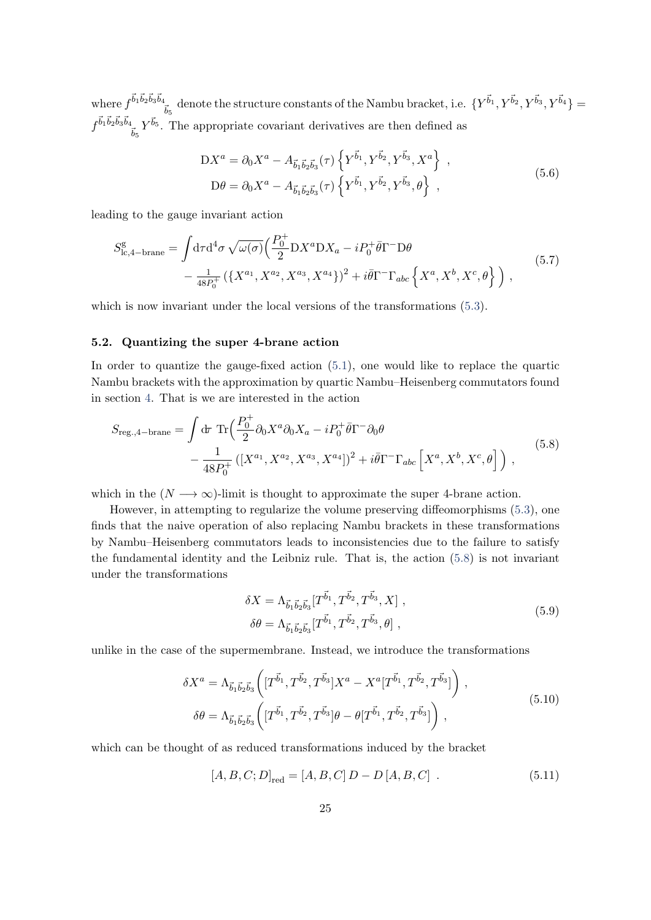where  $f^{\vec{b}_1 \vec{b}_2 \vec{b}_3 \vec{b}_4}$  $\frac{1}{\tilde{b}_5}$  denote the structure constants of the Nambu bracket, i.e.  $\{Y^{\vec{b}_1}, Y^{\vec{b}_2}, Y^{\vec{b}_3}, Y^{\vec{b}_4}\} =$  $f^{\vec{b}_1 \vec{b}_2 \vec{b}_3 \vec{b}_4}$  $_{\vec{b}_5} Y^{\vec{b}_5}$ . The appropriate covariant derivatives are then defined as

<span id="page-25-3"></span><span id="page-25-2"></span>
$$
DX^{a} = \partial_{0}X^{a} - A_{\vec{b}_{1}\vec{b}_{2}\vec{b}_{3}}(\tau) \left\{ Y^{\vec{b}_{1}}, Y^{\vec{b}_{2}}, Y^{\vec{b}_{3}}, X^{a} \right\},\,
$$
  
\n
$$
D\theta = \partial_{0}X^{a} - A_{\vec{b}_{1}\vec{b}_{2}\vec{b}_{3}}(\tau) \left\{ Y^{\vec{b}_{1}}, Y^{\vec{b}_{2}}, Y^{\vec{b}_{3}}, \theta \right\},
$$
\n(5.6)

leading to the gauge invariant action

$$
S_{\text{lc},4-\text{brane}}^{\text{g}} = \int d\tau d^4 \sigma \sqrt{\omega(\sigma)} \Big( \frac{P_0^+}{2} DX^a DX_a - iP_0^+ \bar{\theta} \Gamma^- \mathcal{D} \theta \Big) -\frac{1}{48P_0^+} \left( \{ X^{a_1}, X^{a_2}, X^{a_3}, X^{a_4} \} \right)^2 + i \bar{\theta} \Gamma^- \Gamma_{abc} \left\{ X^a, X^b, X^c, \theta \right\} \Big),
$$
(5.7)

which is now invariant under the local versions of the transformations  $(5.3)$ .

### <span id="page-25-0"></span>5.2. Quantizing the super 4-brane action

In order to quantize the gauge-fixed action [\(5.1\)](#page-24-1), one would like to replace the quartic Nambu brackets with the approximation by quartic Nambu–Heisenberg commutators found in section [4.](#page-12-0) That is we are interested in the action

$$
S_{\text{reg.},4-\text{brane}} = \int d\tau \, \text{Tr} \Big( \frac{P_0^+}{2} \partial_0 X^a \partial_0 X_a - i P_0^+ \bar{\theta} \Gamma^- \partial_0 \theta \Big) - \frac{1}{48 P_0^+} \left( [X^{a_1}, X^{a_2}, X^{a_3}, X^{a_4}] \right)^2 + i \bar{\theta} \Gamma^- \Gamma_{abc} \left[ X^a, X^b, X^c, \theta \right] \Big) , \tag{5.8}
$$

which in the  $(N \longrightarrow \infty)$ -limit is thought to approximate the super 4-brane action.

However, in attempting to regularize the volume preserving diffeomorphisms [\(5.3\)](#page-24-2), one finds that the naive operation of also replacing Nambu brackets in these transformations by Nambu–Heisenberg commutators leads to inconsistencies due to the failure to satisfy the fundamental identity and the Leibniz rule. That is, the action [\(5.8\)](#page-25-1) is not invariant under the transformations

<span id="page-25-5"></span><span id="page-25-1"></span>
$$
\delta X = \Lambda_{\vec{b}_1 \vec{b}_2 \vec{b}_3} [T^{\vec{b}_1}, T^{\vec{b}_2}, T^{\vec{b}_3}, X],
$$
  
\n
$$
\delta \theta = \Lambda_{\vec{b}_1 \vec{b}_2 \vec{b}_3} [T^{\vec{b}_1}, T^{\vec{b}_2}, T^{\vec{b}_3}, \theta],
$$
\n(5.9)

unlike in the case of the supermembrane. Instead, we introduce the transformations

$$
\delta X^{a} = \Lambda_{\vec{b}_{1}\vec{b}_{2}\vec{b}_{3}} \left( [T^{\vec{b}_{1}}, T^{\vec{b}_{2}}, T^{\vec{b}_{3}}] X^{a} - X^{a} [T^{\vec{b}_{1}}, T^{\vec{b}_{2}}, T^{\vec{b}_{3}}] \right),
$$
  

$$
\delta \theta = \Lambda_{\vec{b}_{1}\vec{b}_{2}\vec{b}_{3}} \left( [T^{\vec{b}_{1}}, T^{\vec{b}_{2}}, T^{\vec{b}_{3}}] \theta - \theta [T^{\vec{b}_{1}}, T^{\vec{b}_{2}}, T^{\vec{b}_{3}}] \right),
$$
(5.10)

which can be thought of as reduced transformations induced by the bracket

<span id="page-25-4"></span>
$$
[A, B, C; D]_{\text{red}} = [A, B, C] D - D [A, B, C] .
$$
 (5.11)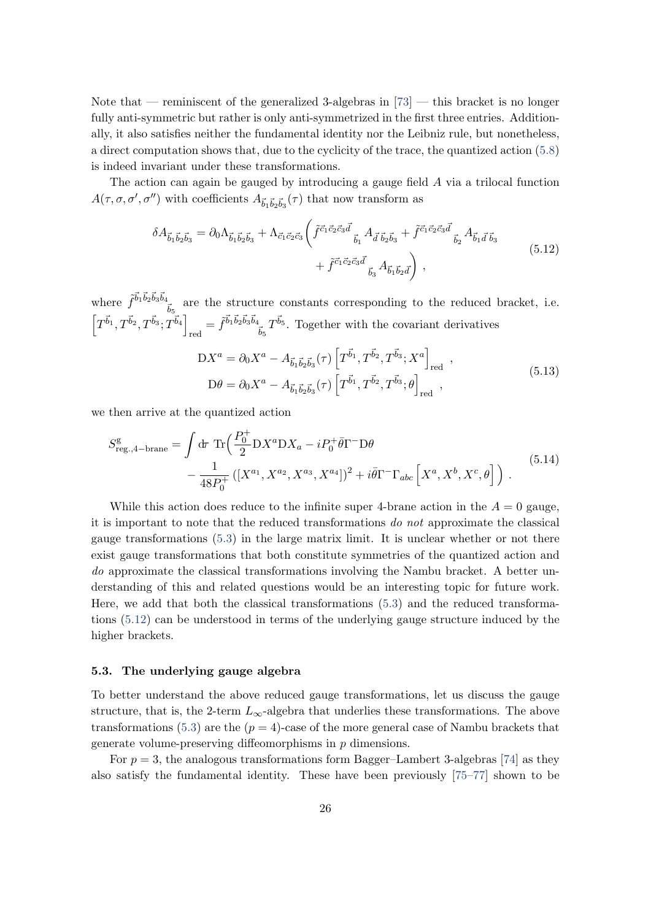Note that — reminiscent of the generalized 3-algebras in  $[73]$  — this bracket is no longer fully anti-symmetric but rather is only anti-symmetrized in the first three entries. Additionally, it also satisfies neither the fundamental identity nor the Leibniz rule, but nonetheless, a direct computation shows that, due to the cyclicity of the trace, the quantized action [\(5.8\)](#page-25-1) is indeed invariant under these transformations.

The action can again be gauged by introducing a gauge field A via a trilocal function  $A(\tau, \sigma, \sigma', \sigma'')$  with coefficients  $A_{\vec{b}_1 \vec{b}_2 \vec{b}_3}(\tau)$  that now transform as

<span id="page-26-1"></span>
$$
\delta A_{\vec{b}_1 \vec{b}_2 \vec{b}_3} = \partial_0 \Lambda_{\vec{b}_1 \vec{b}_2 \vec{b}_3} + \Lambda_{\vec{c}_1 \vec{c}_2 \vec{c}_3} \left( \tilde{f}^{\vec{c}_1 \vec{c}_2 \vec{c}_3 \vec{d}}_{\vec{b}_1} A_{\vec{d}} \tilde{b}_2 \tilde{b}_3 + \tilde{f}^{\vec{c}_1 \vec{c}_2 \vec{c}_3 \vec{d}}_{\vec{b}_2} A_{\vec{b}_1 \vec{d}} \tilde{b}_3 + \tilde{f}^{\vec{c}_1 \vec{c}_2 \vec{c}_3 \vec{d}}_{\vec{b}_3} A_{\vec{b}_1 \vec{b}_2 \vec{d}} \right),
$$
\n(5.12)

where  $\tilde{f}^{\vec{b}_1 \vec{b}_2 \vec{b}_3 \vec{b}_4}$  $\frac{b}{b_5}$  are the structure constants corresponding to the reduced bracket, i.e.  $\left[T^{\vec{b}_1}, T^{\vec{b}_2}, T^{\vec{b}_3}; T^{\vec{b}_4}\right]$  $_{\rm red} = \tilde{f}^{\vec{b}_1 \vec{b}_2 \vec{b}_3 \vec{b}_4}$  $\frac{1}{\tilde{b}_5}T^{\tilde{b}_5}$ . Together with the covariant derivatives

<span id="page-26-2"></span>
$$
DX^{a} = \partial_{0}X^{a} - A_{\vec{b}_{1}\vec{b}_{2}\vec{b}_{3}}(\tau) \left[T^{\vec{b}_{1}}, T^{\vec{b}_{2}}, T^{\vec{b}_{3}}; X^{a}\right]_{\text{red}},
$$
  
\n
$$
D\theta = \partial_{0}X^{a} - A_{\vec{b}_{1}\vec{b}_{2}\vec{b}_{3}}(\tau) \left[T^{\vec{b}_{1}}, T^{\vec{b}_{2}}, T^{\vec{b}_{3}}; \theta\right]_{\text{red}},
$$
\n(5.13)

we then arrive at the quantized action

$$
S_{\text{reg.,4-brane}}^{\text{g}} = \int d\tau \, \text{Tr} \Big( \frac{P_0^+}{2} DX^a DX_a - iP_0^+ \bar{\theta} \Gamma^- D \theta \Big) - \frac{1}{48P_0^+} \left( [X^{a_1}, X^{a_2}, X^{a_3}, X^{a_4}] \right)^2 + i \bar{\theta} \Gamma^- \Gamma_{abc} \left[ X^a, X^b, X^c, \theta \right] \Big) . \tag{5.14}
$$

While this action does reduce to the infinite super 4-brane action in the  $A = 0$  gauge, it is important to note that the reduced transformations do not approximate the classical gauge transformations [\(5.3\)](#page-24-2) in the large matrix limit. It is unclear whether or not there exist gauge transformations that both constitute symmetries of the quantized action and do approximate the classical transformations involving the Nambu bracket. A better understanding of this and related questions would be an interesting topic for future work. Here, we add that both the classical transformations [\(5.3\)](#page-24-2) and the reduced transformations [\(5.12\)](#page-26-1) can be understood in terms of the underlying gauge structure induced by the higher brackets.

#### <span id="page-26-0"></span>5.3. The underlying gauge algebra

To better understand the above reduced gauge transformations, let us discuss the gauge structure, that is, the 2-term  $L_{\infty}$ -algebra that underlies these transformations. The above transformations [\(5.3\)](#page-24-2) are the  $(p = 4)$ -case of the more general case of Nambu brackets that generate volume-preserving diffeomorphisms in p dimensions.

For  $p = 3$ , the analogous transformations form Bagger–Lambert 3-algebras [\[74\]](#page-36-2) as they also satisfy the fundamental identity. These have been previously [\[75–](#page-36-3)[77\]](#page-36-4) shown to be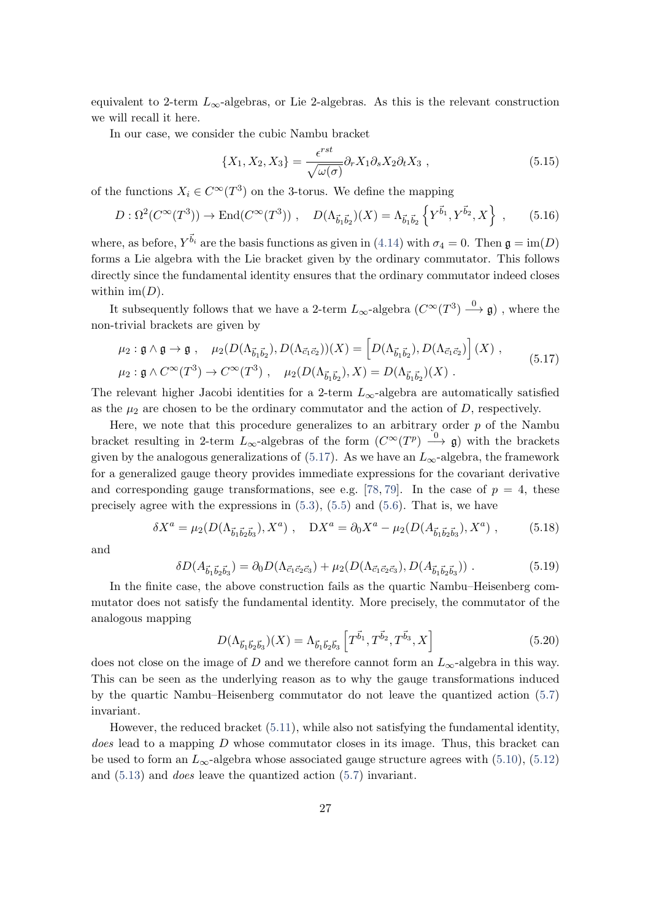equivalent to 2-term  $L_{\infty}$ -algebras, or Lie 2-algebras. As this is the relevant construction we will recall it here.

In our case, we consider the cubic Nambu bracket

$$
\{X_1, X_2, X_3\} = \frac{\epsilon^{rst}}{\sqrt{\omega(\sigma)}} \partial_r X_1 \partial_s X_2 \partial_t X_3 , \qquad (5.15)
$$

of the functions  $X_i \in C^{\infty}(T^3)$  on the 3-torus. We define the mapping

$$
D: \Omega^2(C^{\infty}(T^3)) \to \text{End}(C^{\infty}(T^3)), \quad D(\Lambda_{\vec{b}_1 \vec{b}_2})(X) = \Lambda_{\vec{b}_1 \vec{b}_2} \left\{ Y^{\vec{b}_1}, Y^{\vec{b}_2}, X \right\} , \quad (5.16)
$$

where, as before,  $Y^{\vec{b}_i}$  are the basis functions as given in [\(4.14\)](#page-14-3) with  $\sigma_4 = 0$ . Then  $\mathfrak{g} = \text{im}(D)$ forms a Lie algebra with the Lie bracket given by the ordinary commutator. This follows directly since the fundamental identity ensures that the ordinary commutator indeed closes within  $\text{im}(D)$ .

It subsequently follows that we have a 2-term  $L_{\infty}$ -algebra  $(C^{\infty}(T^3) \xrightarrow{0} \mathfrak{g})$  , where the non-trivial brackets are given by

<span id="page-27-0"></span>
$$
\mu_2: \mathfrak{g} \wedge \mathfrak{g} \to \mathfrak{g} \;, \quad \mu_2(D(\Lambda_{\vec{b}_1 \vec{b}_2}), D(\Lambda_{\vec{c}_1 \vec{c}_2}))(X) = \left[D(\Lambda_{\vec{b}_1 \vec{b}_2}), D(\Lambda_{\vec{c}_1 \vec{c}_2})\right](X) \;,
$$
\n
$$
\mu_2: \mathfrak{g} \wedge C^{\infty}(T^3) \to C^{\infty}(T^3) \;, \quad \mu_2(D(\Lambda_{\vec{b}_1 \vec{b}_2}), X) = D(\Lambda_{\vec{b}_1 \vec{b}_2})(X) \;.
$$
\n
$$
(5.17)
$$

The relevant higher Jacobi identities for a 2-term  $L_{\infty}$ -algebra are automatically satisfied as the  $\mu_2$  are chosen to be the ordinary commutator and the action of D, respectively.

Here, we note that this procedure generalizes to an arbitrary order  $p$  of the Nambu bracket resulting in 2-term  $L_{\infty}$ -algebras of the form  $(C^{\infty}(T^p) \longrightarrow Q)$  with the brackets given by the analogous generalizations of [\(5.17\)](#page-27-0). As we have an  $L_{\infty}$ -algebra, the framework for a generalized gauge theory provides immediate expressions for the covariant derivative and corresponding gauge transformations, see e.g. [\[78,](#page-36-5) [79\]](#page-36-6). In the case of  $p = 4$ , these precisely agree with the expressions in  $(5.3)$ ,  $(5.5)$  and  $(5.6)$ . That is, we have

$$
\delta X^a = \mu_2(D(\Lambda_{\vec{b}_1 \vec{b}_2 \vec{b}_3}), X^a) , \quad DX^a = \partial_0 X^a - \mu_2(D(A_{\vec{b}_1 \vec{b}_2 \vec{b}_3}), X^a) , \tag{5.18}
$$

and

$$
\delta D(A_{\vec{b}_1 \vec{b}_2 \vec{b}_3}) = \partial_0 D(\Lambda_{\vec{c}_1 \vec{c}_2 \vec{c}_3}) + \mu_2(D(\Lambda_{\vec{c}_1 \vec{c}_2 \vec{c}_3}), D(A_{\vec{b}_1 \vec{b}_2 \vec{b}_3})) . \tag{5.19}
$$

In the finite case, the above construction fails as the quartic Nambu–Heisenberg commutator does not satisfy the fundamental identity. More precisely, the commutator of the analogous mapping

$$
D(\Lambda_{\vec{b}_1\vec{b}_2\vec{b}_3})(X) = \Lambda_{\vec{b}_1\vec{b}_2\vec{b}_3} \left[T^{\vec{b}_1}, T^{\vec{b}_2}, T^{\vec{b}_3}, X\right]
$$
(5.20)

does not close on the image of D and we therefore cannot form an  $L_{\infty}$ -algebra in this way. This can be seen as the underlying reason as to why the gauge transformations induced by the quartic Nambu–Heisenberg commutator do not leave the quantized action [\(5.7\)](#page-25-3) invariant.

However, the reduced bracket [\(5.11\)](#page-25-4), while also not satisfying the fundamental identity, does lead to a mapping D whose commutator closes in its image. Thus, this bracket can be used to form an  $L_{\infty}$ -algebra whose associated gauge structure agrees with [\(5.10\)](#page-25-5), [\(5.12\)](#page-26-1) and [\(5.13\)](#page-26-2) and does leave the quantized action [\(5.7\)](#page-25-3) invariant.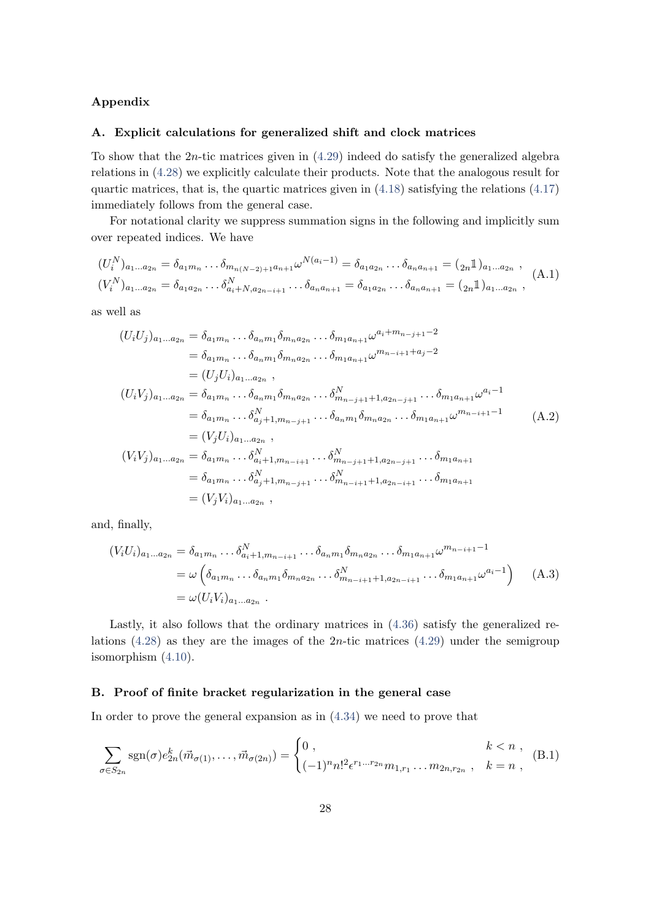# <span id="page-28-0"></span>Appendix

#### <span id="page-28-1"></span>A. Explicit calculations for generalized shift and clock matrices

To show that the  $2n$ -tic matrices given in  $(4.29)$  indeed do satisfy the generalized algebra relations in [\(4.28\)](#page-17-0) we explicitly calculate their products. Note that the analogous result for quartic matrices, that is, the quartic matrices given in  $(4.18)$  satisfying the relations  $(4.17)$ immediately follows from the general case.

For notational clarity we suppress summation signs in the following and implicitly sum over repeated indices. We have

$$
(U_i^N)_{a_1...a_{2n}} = \delta_{a_1m_n} \dots \delta_{m_{n(N-2)+1}a_{n+1}} \omega^{N(a_i-1)} = \delta_{a_1a_{2n}} \dots \delta_{a_na_{n+1}} = ({}_{2n}1)_{a_1...a_{2n}},
$$
  
\n
$$
(V_i^N)_{a_1...a_{2n}} = \delta_{a_1a_{2n}} \dots \delta_{a_i+N,a_{2n-i+1}}^N \dots \delta_{a_na_{n+1}} = \delta_{a_1a_{2n}} \dots \delta_{a_na_{n+1}} = ({}_{2n}1)_{a_1...a_{2n}},
$$
  
\n(A.1)

as well as

$$
(U_i U_j)_{a_1...a_{2n}} = \delta_{a_1 m_n} ... \delta_{a_n m_1} \delta_{m_n a_{2n}} ... \delta_{m_1 a_{n+1}} \omega^{a_i + m_{n-j+1} - 2}
$$
  
\n
$$
= \delta_{a_1 m_n} ... \delta_{a_n m_1} \delta_{m_n a_{2n}} ... \delta_{m_1 a_{n+1}} \omega^{m_{n-i+1} + a_j - 2}
$$
  
\n
$$
= (U_j U_i)_{a_1...a_{2n}},
$$
  
\n
$$
(U_i V_j)_{a_1...a_{2n}} = \delta_{a_1 m_n} ... \delta_{a_n m_1} \delta_{m_n a_{2n}} ... \delta_{m_{n-j+1}}^N + 1, a_{2n-j+1} ... \delta_{m_1 a_{n+1}} \omega^{a_i - 1}
$$
  
\n
$$
= \delta_{a_1 m_n} ... \delta_{a_j + 1, m_{n-j+1}}^N ... \delta_{a_n m_1} \delta_{m_n a_{2n}} ... \delta_{m_1 a_{n+1}} \omega^{m_{n-i+1} - 1}
$$
  
\n
$$
= (V_j U_i)_{a_1...a_{2n}},
$$
  
\n
$$
(V_i V_j)_{a_1...a_{2n}} = \delta_{a_1 m_n} ... \delta_{a_i + 1, m_{n-i+1}}^N ... \delta_{m_{n-j+1} + 1, a_{2n-j+1}}^N ... \delta_{m_1 a_{n+1}}
$$
  
\n
$$
= \delta_{a_1 m_n} ... \delta_{a_j + 1, m_{n-j+1}}^N ... \delta_{m_{n-i+1} + 1, a_{2n-i+1}}^N ... \delta_{m_1 a_{n+1}}
$$
  
\n
$$
= (V_j V_i)_{a_1...a_{2n}},
$$
  
\n(V\_i V\_j)\_{a\_1...a\_{2n}},

and, finally,

$$
(V_i U_i)_{a_1...a_{2n}} = \delta_{a_1 m_n} ... \delta_{a_i+1, m_{n-i+1}}^N ... \delta_{a_n m_1} \delta_{m_n a_{2n}} ... \delta_{m_1 a_{n+1}} \omega^{m_{n-i+1}-1}
$$
  
=  $\omega \left( \delta_{a_1 m_n} ... \delta_{a_n m_1} \delta_{m_n a_{2n}} ... \delta_{m_{n-i+1}+1, a_{2n-i+1}}^N ... \delta_{m_1 a_{n+1}} \omega^{a_i-1} \right)$  (A.3)  
=  $\omega(U_i V_i)_{a_1...a_{2n}}$ .

Lastly, it also follows that the ordinary matrices in [\(4.36\)](#page-18-1) satisfy the generalized relations  $(4.28)$  as they are the images of the 2*n*-tic matrices  $(4.29)$  under the semigroup isomorphism [\(4.10\)](#page-14-2).

#### <span id="page-28-2"></span>B. Proof of finite bracket regularization in the general case

In order to prove the general expansion as in [\(4.34\)](#page-18-2) we need to prove that

<span id="page-28-3"></span>
$$
\sum_{\sigma \in S_{2n}} \text{sgn}(\sigma) e_{2n}^k(\vec{m}_{\sigma(1)}, \dots, \vec{m}_{\sigma(2n)}) = \begin{cases} 0, & k < n ,\\ (-1)^n n!^2 \epsilon^{r_1 \dots r_{2n}} m_{1, r_1} \dots m_{2n, r_{2n}}, & k = n , \end{cases}
$$
 (B.1)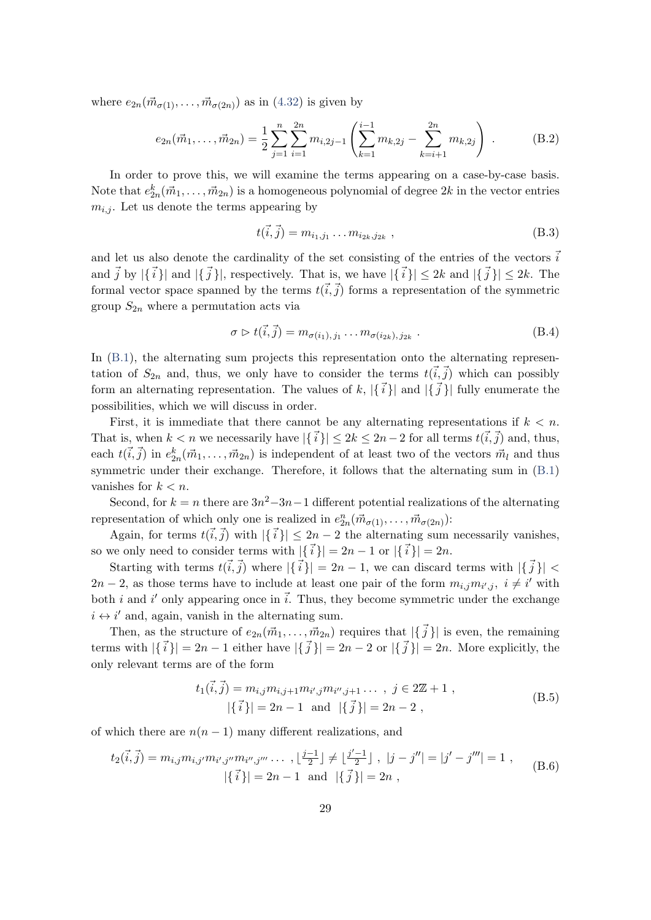where  $e_{2n}(\vec{m}_{\sigma(1)},...,\vec{m}_{\sigma(2n)})$  as in  $(4.32)$  is given by

$$
e_{2n}(\vec{m}_1,\ldots,\vec{m}_{2n}) = \frac{1}{2} \sum_{j=1}^n \sum_{i=1}^{2n} m_{i,2j-1} \left( \sum_{k=1}^{i-1} m_{k,2j} - \sum_{k=i+1}^{2n} m_{k,2j} \right) .
$$
 (B.2)

In order to prove this, we will examine the terms appearing on a case-by-case basis. Note that  $e_{2n}^k(\vec{m}_1, \ldots, \vec{m}_{2n})$  is a homogeneous polynomial of degree  $2k$  in the vector entries  $m_{i,j}$ . Let us denote the terms appearing by

<span id="page-29-0"></span>
$$
t(\vec{i}, \vec{j}) = m_{i_1, j_1} \dots m_{i_{2k}, j_{2k}} , \qquad (B.3)
$$

and let us also denote the cardinality of the set consisting of the entries of the vectors  $\vec{i}$ and  $\vec{j}$  by  $|\{\vec{i}\}\rangle$  and  $|\{\vec{j}\}\rangle$ , respectively. That is, we have  $|\{\vec{i}\}\rangle \leq 2k$  and  $|\{\vec{j}\}\rangle \leq 2k$ . The formal vector space spanned by the terms  $t(\vec{i},\vec{j})$  forms a representation of the symmetric group  $S_{2n}$  where a permutation acts via

$$
\sigma \triangleright t(\vec{i}, \vec{j}) = m_{\sigma(i_1), j_1} \dots m_{\sigma(i_{2k}), j_{2k}} . \tag{B.4}
$$

In  $(B.1)$ , the alternating sum projects this representation onto the alternating representation of  $S_{2n}$  and, thus, we only have to consider the terms  $t(\vec{i},\vec{j})$  which can possibly form an alternating representation. The values of k,  $\{\{\vec{i}\}\}\$  and  $\{\vec{j}\}\$  fully enumerate the possibilities, which we will discuss in order.

First, it is immediate that there cannot be any alternating representations if  $k < n$ . That is, when  $k < n$  we necessarily have  $|\{ \vec{i} \}\leq 2k \leq 2n-2$  for all terms  $t(\vec{i}, \vec{j})$  and, thus, each  $t(\vec{i}, \vec{j})$  in  $e_{2n}^k(\vec{m}_1, \ldots, \vec{m}_{2n})$  is independent of at least two of the vectors  $\vec{m}_l$  and thus symmetric under their exchange. Therefore, it follows that the alternating sum in [\(B.1\)](#page-28-3) vanishes for  $k < n$ .

Second, for  $k = n$  there are  $3n^2-3n-1$  different potential realizations of the alternating representation of which only one is realized in  $e_{2n}^n(\vec{m}_{\sigma(1)}, \ldots, \vec{m}_{\sigma(2n)})$ :

Again, for terms  $t(\vec{i},\vec{j})$  with  $|\{\vec{i}\}\rangle| \leq 2n-2$  the alternating sum necessarily vanishes, so we only need to consider terms with  $|\{\vec{i}\}\rangle = 2n - 1$  or  $|\{\vec{i}\}\rangle = 2n$ .

Starting with terms  $t(\vec{i},\vec{j})$  where  $|\{\vec{i}\}\| = 2n - 1$ , we can discard terms with  $|\{\vec{j}\}\|$  <  $2n-2$ , as those terms have to include at least one pair of the form  $m_{i,j}m_{i',j}$ ,  $i \neq i'$  with both *i* and *i'* only appearing once in  $\vec{i}$ . Thus, they become symmetric under the exchange  $i \leftrightarrow i'$  and, again, vanish in the alternating sum.

Then, as the structure of  $e_{2n}(\vec{m}_1, \ldots, \vec{m}_{2n})$  requires that  $|\{\vec{j}\}\|$  is even, the remaining terms with  $|\{\vec{i}\}\| = 2n - 1$  either have  $|\{\vec{j}\}\| = 2n - 2$  or  $|\{\vec{j}\}\| = 2n$ . More explicitly, the only relevant terms are of the form

$$
t_{1}(\vec{i}, \vec{j}) = m_{i,j} m_{i,j+1} m_{i',j} m_{i'',j+1} \dots, j \in 2\mathbb{Z} + 1,
$$
  
 
$$
|\{\vec{i}\}| = 2n - 1 \text{ and } |\{\vec{j}\}| = 2n - 2,
$$
 (B.5)

of which there are  $n(n-1)$  many different realizations, and

$$
t_2(\vec{i}, \vec{j}) = m_{i,j} m_{i,j'} m_{i',j''} m_{i'',j'''} \dots, \lfloor \frac{j-1}{2} \rfloor \neq \lfloor \frac{j'-1}{2} \rfloor, \ |j - j''| = |j' - j'''| = 1,
$$
  
 
$$
|\{\vec{i}\}| = 2n - 1 \text{ and } |\{\vec{j}\}| = 2n,
$$
 (B.6)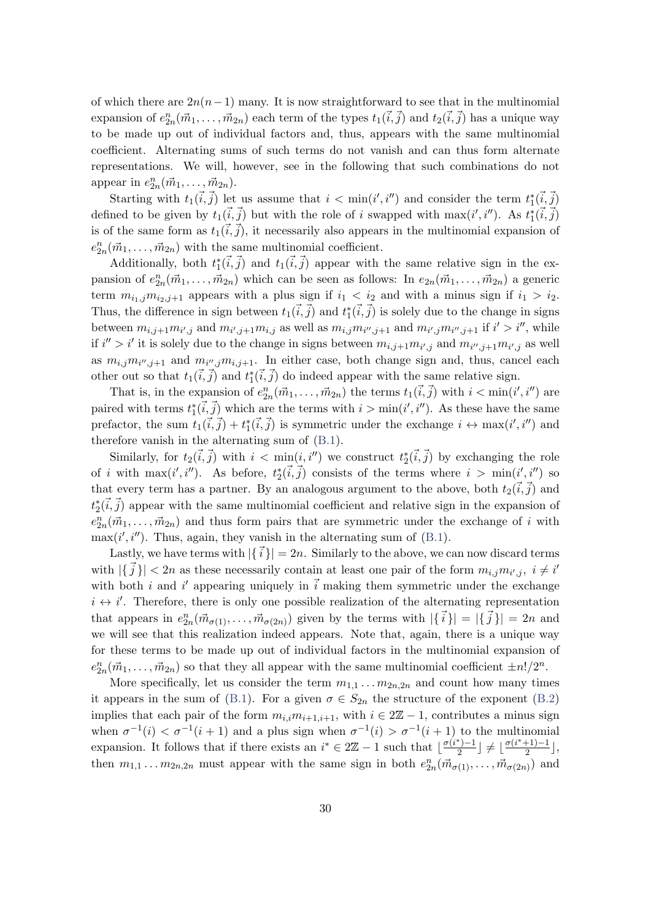of which there are  $2n(n-1)$  many. It is now straightforward to see that in the multinomial expansion of  $e_{2n}^n(\vec{m}_1,\ldots,\vec{m}_{2n})$  each term of the types  $t_1(\vec{i},\vec{j})$  and  $t_2(\vec{i},\vec{j})$  has a unique way to be made up out of individual factors and, thus, appears with the same multinomial coefficient. Alternating sums of such terms do not vanish and can thus form alternate representations. We will, however, see in the following that such combinations do not appear in  $e_{2n}^n(\vec{m}_1,\ldots,\vec{m}_{2n}).$ 

Starting with  $t_1(\vec{i}, \vec{j})$  let us assume that  $i < \min(i', i'')$  and consider the term  $t_1^*(\vec{i}, \vec{j})$ defined to be given by  $t_1(\vec{i}, \vec{j})$  but with the role of i swapped with  $\max(i', i'')$ . As  $t_1^*(\vec{i}, \vec{j})$ is of the same form as  $t_1(i,j)$ , it necessarily also appears in the multinomial expansion of  $e_{2n}^n(\vec{m}_1,\ldots,\vec{m}_{2n})$  with the same multinomial coefficient.

Additionally, both  $t_1^*(\vec{i}, \vec{j})$  and  $t_1(\vec{i}, \vec{j})$  appear with the same relative sign in the expansion of  $e_{2n}^n(\vec{m}_1,\ldots,\vec{m}_{2n})$  which can be seen as follows: In  $e_{2n}(\vec{m}_1,\ldots,\vec{m}_{2n})$  a generic term  $m_{i_1,j}m_{i_2,j+1}$  appears with a plus sign if  $i_1 < i_2$  and with a minus sign if  $i_1 > i_2$ . Thus, the difference in sign between  $t_1(\vec{i}, \vec{j})$  and  $t_1^*(\vec{i}, \vec{j})$  is solely due to the change in signs between  $m_{i,j+1}m_{i',j}$  and  $m_{i',j+1}m_{i,j}$  as well as  $m_{i,j}m_{i'',j+1}$  and  $m_{i',j}m_{i'',j+1}$  if  $i' > i''$ , while if  $i'' > i'$  it is solely due to the change in signs between  $m_{i,j+1}m_{i',j}$  and  $m_{i'',j+1}m_{i',j}$  as well as  $m_{i,j}m_{i',j+1}$  and  $m_{i'',j}m_{i,j+1}$ . In either case, both change sign and, thus, cancel each other out so that  $t_1(\vec{i}, \vec{j})$  and  $t_1^*(\vec{i}, \vec{j})$  do indeed appear with the same relative sign.

That is, in the expansion of  $e_{2n}^n(\vec{m}_1,\ldots,\vec{m}_{2n})$  the terms  $t_1(\vec{i},\vec{j})$  with  $i < \min(i',i'')$  are paired with terms  $t_1^*(\vec{i}, \vec{j})$  which are the terms with  $i > \min(i', i'')$ . As these have the same prefactor, the sum  $t_1(\vec{i}, \vec{j}) + t_1^*(\vec{i}, \vec{j})$  is symmetric under the exchange  $i \leftrightarrow \max(i', i'')$  and therefore vanish in the alternating sum of [\(B.1\)](#page-28-3).

Similarly, for  $t_2(\vec{i}, \vec{j})$  with  $i < \min(i, i'')$  we construct  $t_2^*(\vec{i}, \vec{j})$  by exchanging the role of *i* with  $\max(i', i'')$ . As before,  $t_2^*(\vec{i}, \vec{j})$  consists of the terms where  $i > \min(i', i'')$  so that every term has a partner. By an analogous argument to the above, both  $t_2(\vec{i},\vec{j})$  and  $t_2^*(\vec{i},\vec{j})$  appear with the same multinomial coefficient and relative sign in the expansion of  $e_{2n}^n(\vec{m}_1,\ldots,\vec{m}_{2n})$  and thus form pairs that are symmetric under the exchange of i with  $\max(i', i'')$ . Thus, again, they vanish in the alternating sum of [\(B.1\)](#page-28-3).

Lastly, we have terms with  $|\{\vec{i}\}\rangle = 2n$ . Similarly to the above, we can now discard terms with  $|\{\vec{j}\}\| < 2n$  as these necessarily contain at least one pair of the form  $m_{i,j}m_{i',j}, i \neq i'$ with both i and i' appearing uniquely in  $\vec{i}$  making them symmetric under the exchange  $i \leftrightarrow i'$ . Therefore, there is only one possible realization of the alternating representation that appears in  $e_{2n}^n(\vec{m}_{\sigma(1)},\ldots,\vec{m}_{\sigma(2n)})$  given by the terms with  $|\{\vec{i}\}| = |\{\vec{j}\}| = 2n$  and we will see that this realization indeed appears. Note that, again, there is a unique way for these terms to be made up out of individual factors in the multinomial expansion of  $e_{2n}^n(\vec{m}_1,\ldots,\vec{m}_{2n})$  so that they all appear with the same multinomial coefficient  $\pm n!/2^n$ .

More specifically, let us consider the term  $m_{1,1} \ldots m_{2n,2n}$  and count how many times it appears in the sum of [\(B.1\)](#page-28-3). For a given  $\sigma \in S_{2n}$  the structure of the exponent [\(B.2\)](#page-29-0) implies that each pair of the form  $m_{i,i}m_{i+1,i+1}$ , with  $i \in 2\mathbb{Z} - 1$ , contributes a minus sign when  $\sigma^{-1}(i) < \sigma^{-1}(i+1)$  and a plus sign when  $\sigma^{-1}(i) > \sigma^{-1}(i+1)$  to the multinomial expansion. It follows that if there exists an  $i^* \in 2\mathbb{Z} - 1$  such that  $\lfloor \frac{\sigma(i^*) - 1}{2} \rfloor$  $\frac{\sigma(i^*+1)-1}{2}$   $\neq \frac{\sigma(i^*+1)-1}{2}$  $\frac{+1)-1}{2},$ then  $m_{1,1} \ldots m_{2n,2n}$  must appear with the same sign in both  $e_{2n}^n(\vec{m}_{\sigma(1)},\ldots,\vec{m}_{\sigma(2n)})$  and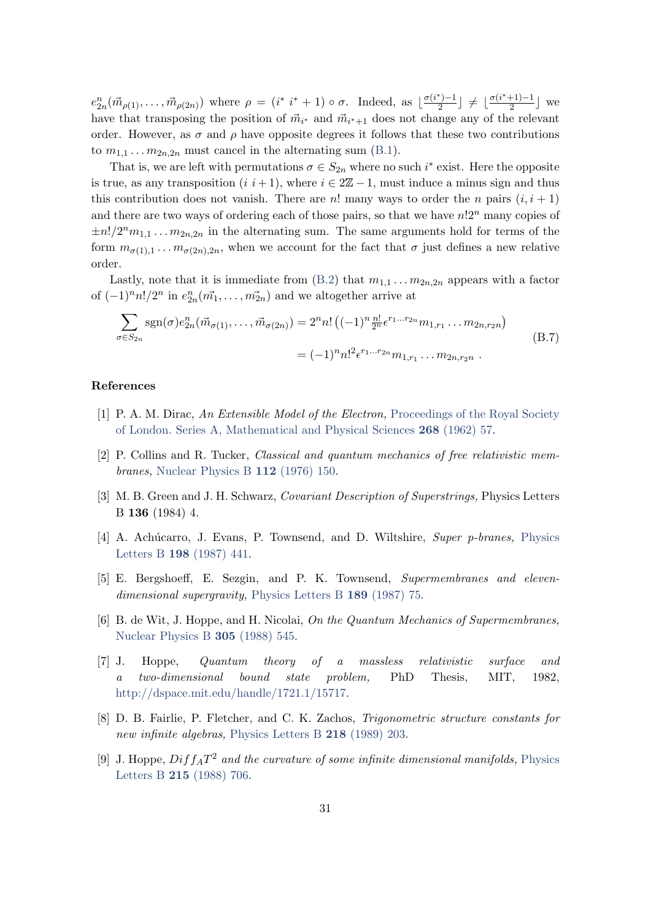$e_{2n}^n(\vec{m}_{\rho(1)},\ldots,\vec{m}_{\rho(2n)})$  where  $\rho = (i^* i^* + 1) \circ \sigma$ . Indeed, as  $\lfloor \frac{\sigma(i^*)-1}{2} \rfloor$  $\frac{\sigma(i^*+1)-1}{2}$  ≠  $\lfloor \frac{\sigma(i^*+1)-1}{2} \rfloor$  $\frac{+1}{2}$  we have that transposing the position of  $\vec{m}_{i^*}$  and  $\vec{m}_{i^*+1}$  does not change any of the relevant order. However, as  $\sigma$  and  $\rho$  have opposite degrees it follows that these two contributions to  $m_{1,1} \ldots m_{2n,2n}$  must cancel in the alternating sum [\(B.1\)](#page-28-3).

That is, we are left with permutations  $\sigma \in S_{2n}$  where no such i<sup>\*</sup> exist. Here the opposite is true, as any transposition  $(i \ i+1)$ , where  $i \in 2\mathbb{Z} - 1$ , must induce a minus sign and thus this contribution does not vanish. There are n! many ways to order the n pairs  $(i, i + 1)$ and there are two ways of ordering each of those pairs, so that we have  $n!2^n$  many copies of  $\pm n!/2^n m_{1,1} \ldots m_{2n,2n}$  in the alternating sum. The same arguments hold for terms of the form  $m_{\sigma(1),1} \ldots m_{\sigma(2n),2n}$ , when we account for the fact that  $\sigma$  just defines a new relative order.

Lastly, note that it is immediate from  $(B.2)$  that  $m_{1,1} \ldots m_{2n,2n}$  appears with a factor of  $(-1)^n n! / 2^n$  in  $e_{2n}^n(\vec{m_1}, \ldots, \vec{m_{2n}})$  and we altogether arrive at

$$
\sum_{\sigma \in S_{2n}} \text{sgn}(\sigma) e_{2n}^n(\vec{m}_{\sigma(1)}, \dots, \vec{m}_{\sigma(2n)}) = 2^n n! \left( (-1)^n \frac{n!}{2^n} \epsilon^{r_1 \dots r_{2n}} m_{1, r_1} \dots m_{2n, r_2 n} \right)
$$
  
=  $(-1)^n n!^2 \epsilon^{r_1 \dots r_{2n}} m_{1, r_1} \dots m_{2n, r_2 n} .$  (B.7)

#### References

- <span id="page-31-0"></span>[1] P. A. M. Dirac, An Extensible Model of the Electron, [Proceedings of the Royal Society](http://www.jstor.org/stable/2414316) [of London. Series A, Mathematical and Physical Sciences](http://www.jstor.org/stable/2414316) 268 (1962) 57.
- <span id="page-31-1"></span>[2] P. Collins and R. Tucker, Classical and quantum mechanics of free relativistic membranes, [Nuclear Physics B](http://dx.doi.org/https://doi.org/10.1016/0550-3213(76)90493-4) 112 (1976) 150.
- <span id="page-31-2"></span>[3] M. B. Green and J. H. Schwarz, Covariant Description of Superstrings, Physics Letters B 136 (1984) 4.
- <span id="page-31-3"></span>[4] A. Achúcarro, J. Evans, P. Townsend, and D. Wiltshire, Super p-branes, [Physics](http://dx.doi.org/https://doi.org/10.1016/0370-2693(87)90896-3) Letters B 198 [\(1987\) 441.](http://dx.doi.org/https://doi.org/10.1016/0370-2693(87)90896-3)
- <span id="page-31-4"></span>[5] E. Bergshoeff, E. Sezgin, and P. K. Townsend, Supermembranes and eleven-dimensional supergravity, [Physics Letters B](http://dx.doi.org/10.1016/0370-2693(87)91272-X) 189 (1987) 75.
- <span id="page-31-5"></span>[6] B. de Wit, J. Hoppe, and H. Nicolai, On the Quantum Mechanics of Supermembranes, [Nuclear Physics B](http://dx.doi.org/10.1016/0550-3213(88)90116-2) 305 (1988) 545.
- <span id="page-31-6"></span>[7] J. Hoppe, Quantum theory of a massless relativistic surface and a two-dimensional bound state problem, PhD Thesis, MIT, 1982, [http://dspace.mit.edu/handle/1721.1/15717.](http://dspace.mit.edu/handle/1721.1/15717)
- <span id="page-31-7"></span>[8] D. B. Fairlie, P. Fletcher, and C. K. Zachos, Trigonometric structure constants for new infinite algebras, [Physics Letters B](http://dx.doi.org/10.1016/0370-2693(89)91418-4) 218 (1989) 203.
- [9] J. Hoppe,  $Diff_A T^2$  and the curvature of some infinite dimensional manifolds, [Physics](http://dx.doi.org/10.1016/0370-2693(88)90046-9) Letters B 215 [\(1988\) 706.](http://dx.doi.org/10.1016/0370-2693(88)90046-9)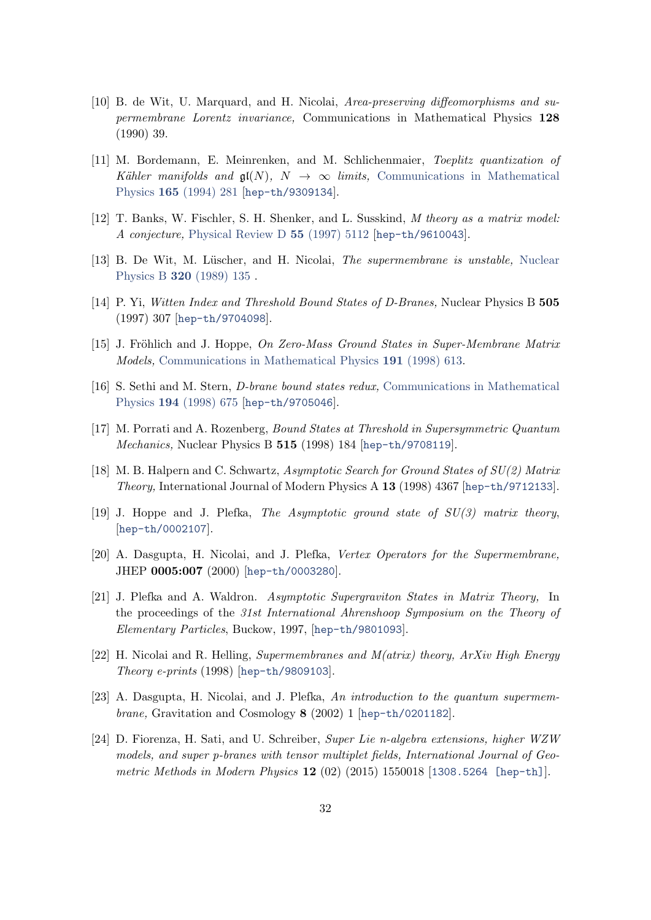- <span id="page-32-0"></span>[10] B. de Wit, U. Marquard, and H. Nicolai, Area-preserving diffeomorphisms and supermembrane Lorentz invariance, Communications in Mathematical Physics 128 (1990) 39.
- <span id="page-32-1"></span>[11] M. Bordemann, E. Meinrenken, and M. Schlichenmaier, Toeplitz quantization of Kähler manifolds and  $\mathfrak{gl}(N)$ ,  $N \to \infty$  limits, [Communications in Mathematical](http://dx.doi.org/10.1007/BF02099772) Physics 165 [\(1994\) 281](http://dx.doi.org/10.1007/BF02099772) [[hep-th/9309134](http://www.arxiv.org/abs/hep-th/9309134)].
- <span id="page-32-2"></span>[12] T. Banks, W. Fischler, S. H. Shenker, and L. Susskind, M theory as a matrix model: A conjecture, [Physical Review D](http://dx.doi.org/10.1103/PhysRevD.55.5112) 55 (1997) 5112 [[hep-th/9610043](http://www.arxiv.org/abs/hep-th/9610043)].
- <span id="page-32-3"></span>[13] B. De Wit, M. Lüscher, and H. Nicolai, *The supermembrane is unstable*. [Nuclear](http://dx.doi.org/https://doi.org/10.1016/0550-3213(89)90214-9) Physics B 320 [\(1989\) 135](http://dx.doi.org/https://doi.org/10.1016/0550-3213(89)90214-9) .
- [14] P. Yi, Witten Index and Threshold Bound States of D-Branes, Nuclear Physics B 505 (1997) 307 [[hep-th/9704098](http://www.arxiv.org/abs/hep-th/9704098)].
- [15] J. Fröhlich and J. Hoppe, On Zero-Mass Ground States in Super-Membrane Matrix Models, [Communications in Mathematical Physics](http://dx.doi.org/{https://doi.org/10.1007/s002200050280}) 191 (1998) 613.
- [16] S. Sethi and M. Stern, D-brane bound states redux, [Communications in Mathematical](http://dx.doi.org/10.1007/s002200050374) Physics 194 [\(1998\) 675](http://dx.doi.org/10.1007/s002200050374) [[hep-th/9705046](http://www.arxiv.org/abs/hep-th/9705046)].
- [17] M. Porrati and A. Rozenberg, Bound States at Threshold in Supersymmetric Quantum Mechanics, Nuclear Physics B 515 (1998) 184 [[hep-th/9708119](http://www.arxiv.org/abs/hep-th/9708119)].
- [18] M. B. Halpern and C. Schwartz, Asymptotic Search for Ground States of SU(2) Matrix Theory, International Journal of Modern Physics A 13 (1998) 4367 [[hep-th/9712133](http://www.arxiv.org/abs/hep-th/9712133)].
- [19] J. Hoppe and J. Plefka, The Asymptotic ground state of SU(3) matrix theory, [[hep-th/0002107](http://www.arxiv.org/abs/hep-th/0002107)].
- [20] A. Dasgupta, H. Nicolai, and J. Plefka, Vertex Operators for the Supermembrane, JHEP 0005:007 (2000) [[hep-th/0003280](http://www.arxiv.org/abs/hep-th/0003280)].
- [21] J. Plefka and A. Waldron. Asymptotic Supergraviton States in Matrix Theory, In the proceedings of the 31st International Ahrenshoop Symposium on the Theory of Elementary Particles, Buckow, 1997, [[hep-th/9801093](http://www.arxiv.org/abs/hep-th/9801093)].
- <span id="page-32-6"></span>[22] H. Nicolai and R. Helling, Supermembranes and  $M(a trix)$  theory,  $ArXiv$  High Energy Theory e-prints (1998) [[hep-th/9809103](http://www.arxiv.org/abs/hep-th/9809103)].
- <span id="page-32-4"></span>[23] A. Dasgupta, H. Nicolai, and J. Plefka, An introduction to the quantum supermembrane, Gravitation and Cosmology 8 (2002) 1 [[hep-th/0201182](http://www.arxiv.org/abs/hep-th/0201182)].
- <span id="page-32-5"></span>[24] D. Fiorenza, H. Sati, and U. Schreiber, Super Lie n-algebra extensions, higher WZW models, and super p-branes with tensor multiplet fields, International Journal of Geo-metric Methods in Modern Physics 12 (02) (2015) 1550018 [[1308.5264 \[hep-th\]](http://www.arxiv.org/abs/1308.5264)].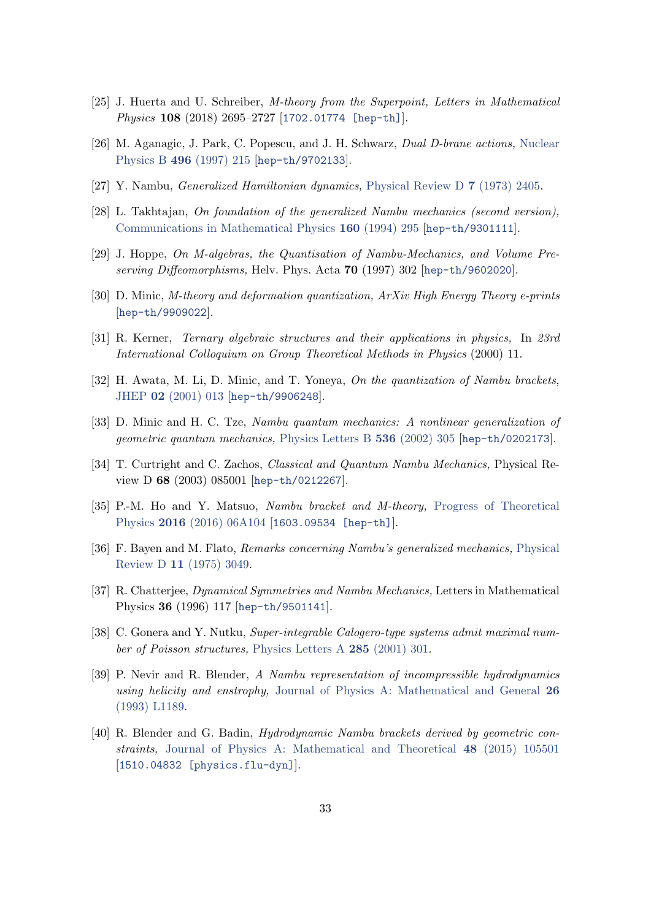- [25] J. Huerta and U. Schreiber, M-theory from the Superpoint, Letters in Mathematical Physics 108 (2018) 2695–2727 [[1702.01774 \[hep-th\]](http://www.arxiv.org/abs/1702.01774)].
- <span id="page-33-0"></span>[26] M. Aganagic, J. Park, C. Popescu, and J. H. Schwarz, Dual D-brane actions, [Nuclear](http://dx.doi.org/10.1016/S0550-3213(97)00257-5) Physics B 496 [\(1997\) 215](http://dx.doi.org/10.1016/S0550-3213(97)00257-5) [[hep-th/9702133](http://www.arxiv.org/abs/hep-th/9702133)].
- <span id="page-33-1"></span>[27] Y. Nambu, Generalized Hamiltonian dynamics, [Physical Review D](http://dx.doi.org/10.1103/PhysRevD.7.2405) 7 (1973) 2405.
- <span id="page-33-2"></span>[28] L. Takhtajan, On foundation of the generalized Nambu mechanics (second version), [Communications in Mathematical Physics](http://dx.doi.org/10.1007/BF02103278) 160 (1994) 295 [[hep-th/9301111](http://www.arxiv.org/abs/hep-th/9301111)].
- <span id="page-33-8"></span>[29] J. Hoppe, On M-algebras, the Quantisation of Nambu-Mechanics, and Volume Preserving Diffeomorphisms, Helv. Phys. Acta 70 (1997) 302 [[hep-th/9602020](http://www.arxiv.org/abs/hep-th/9602020)].
- [30] D. Minic, M-theory and deformation quantization, ArXiv High Energy Theory e-prints [[hep-th/9909022](http://www.arxiv.org/abs/hep-th/9909022)].
- [31] R. Kerner, Ternary algebraic structures and their applications in physics, In 23rd International Colloquium on Group Theoretical Methods in Physics (2000) 11.
- <span id="page-33-9"></span>[32] H. Awata, M. Li, D. Minic, and T. Yoneya, On the quantization of Nambu brackets, JHEP 02 [\(2001\) 013](http://dx.doi.org/10.1088/1126-6708/2001/02/013) [[hep-th/9906248](http://www.arxiv.org/abs/hep-th/9906248)].
- [33] D. Minic and H. C. Tze, Nambu quantum mechanics: A nonlinear generalization of geometric quantum mechanics, [Physics Letters B](http://dx.doi.org/10.1016/S0370-2693(02)01865-8) 536 (2002) 305 [[hep-th/0202173](http://www.arxiv.org/abs/hep-th/0202173)].
- <span id="page-33-10"></span>[34] T. Curtright and C. Zachos, Classical and Quantum Nambu Mechanics, Physical Review D 68 (2003) 085001 [[hep-th/0212267](http://www.arxiv.org/abs/hep-th/0212267)].
- <span id="page-33-3"></span>[35] P.-M. Ho and Y. Matsuo, Nambu bracket and M-theory, [Progress of Theoretical](http://dx.doi.org/10.1093/ptep/ptw075) Physics 2016 [\(2016\) 06A104](http://dx.doi.org/10.1093/ptep/ptw075) [[1603.09534 \[hep-th\]](http://www.arxiv.org/abs/1603.09534)].
- <span id="page-33-4"></span>[36] F. Bayen and M. Flato, Remarks concerning Nambu's generalized mechanics, [Physical](http://dx.doi.org/10.1103/PhysRevD.11.3049) Review D 11 [\(1975\) 3049.](http://dx.doi.org/10.1103/PhysRevD.11.3049)
- [37] R. Chatterjee, Dynamical Symmetries and Nambu Mechanics, Letters in Mathematical Physics 36 (1996) 117 [[hep-th/9501141](http://www.arxiv.org/abs/hep-th/9501141)].
- <span id="page-33-5"></span>[38] C. Gonera and Y. Nutku, Super-integrable Calogero-type systems admit maximal number of Poisson structures, [Physics Letters A](http://dx.doi.org/https://doi.org/10.1016/S0375-9601(01)00365-6) 285 (2001) 301.
- <span id="page-33-6"></span>[39] P. Nevir and R. Blender, A Nambu representation of incompressible hydrodynamics using helicity and enstrophy, [Journal of Physics A: Mathematical and General](http://dx.doi.org/10.1088/0305-4470/26/22/010) 26 [\(1993\) L1189.](http://dx.doi.org/10.1088/0305-4470/26/22/010)
- <span id="page-33-7"></span>[40] R. Blender and G. Badin, Hydrodynamic Nambu brackets derived by geometric constraints, [Journal of Physics A: Mathematical and Theoretical](http://dx.doi.org/10.1088/1751-8113/48/10/105501) 48 (2015) 105501 [[1510.04832 \[physics.flu-dyn\]](http://www.arxiv.org/abs/1510.04832)].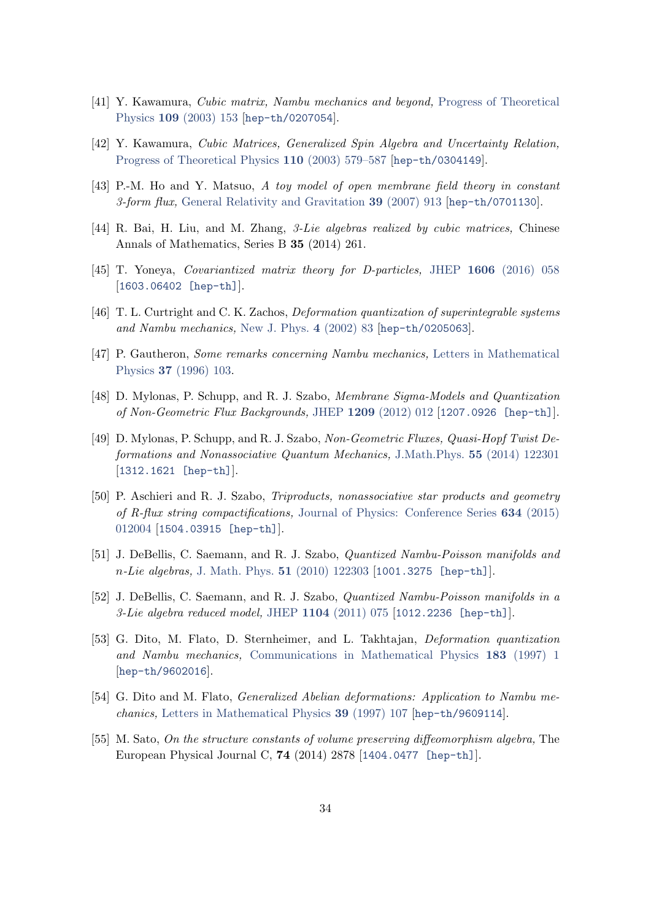- <span id="page-34-0"></span>[41] Y. Kawamura, Cubic matrix, Nambu mechanics and beyond, [Progress of Theoretical](http://dx.doi.org/10.1143/PTP.109.153) Physics 109 [\(2003\) 153](http://dx.doi.org/10.1143/PTP.109.153) [[hep-th/0207054](http://www.arxiv.org/abs/hep-th/0207054)].
- [42] Y. Kawamura, Cubic Matrices, Generalized Spin Algebra and Uncertainty Relation, [Progress of Theoretical Physics](http://dx.doi.org/10.1143/ptp.110.579) 110 (2003) 579–587 [[hep-th/0304149](http://www.arxiv.org/abs/hep-th/0304149)].
- [43] P.-M. Ho and Y. Matsuo, A toy model of open membrane field theory in constant 3-form flux, [General Relativity and Gravitation](http://dx.doi.org/10.1007/s10714-007-0433-3) 39 (2007) 913 [[hep-th/0701130](http://www.arxiv.org/abs/hep-th/0701130)].
- <span id="page-34-12"></span>[44] R. Bai, H. Liu, and M. Zhang, 3-Lie algebras realized by cubic matrices, Chinese Annals of Mathematics, Series B 35 (2014) 261.
- <span id="page-34-1"></span>[45] T. Yoneya, Covariantized matrix theory for D-particles, JHEP 1606 [\(2016\) 058](http://dx.doi.org/10.1007/JHEP06(2016)058) [[1603.06402 \[hep-th\]](http://www.arxiv.org/abs/1603.06402)].
- <span id="page-34-2"></span>[46] T. L. Curtright and C. K. Zachos, Deformation quantization of superintegrable systems and Nambu mechanics, [New J. Phys.](http://dx.doi.org/10.1088/1367-2630/4/1/383) 4 (2002) 83 [[hep-th/0205063](http://www.arxiv.org/abs/hep-th/0205063)].
- <span id="page-34-3"></span>[47] P. Gautheron, Some remarks concerning Nambu mechanics, [Letters in Mathematical](http://dx.doi.org/10.1007/BF00400143) Physics 37 [\(1996\) 103.](http://dx.doi.org/10.1007/BF00400143)
- <span id="page-34-4"></span>[48] D. Mylonas, P. Schupp, and R. J. Szabo, Membrane Sigma-Models and Quantization of Non-Geometric Flux Backgrounds, JHEP 1209 [\(2012\) 012](http://dx.doi.org/10.1007/JHEP09(2012)012) [[1207.0926 \[hep-th\]](http://www.arxiv.org/abs/1207.0926)].
- <span id="page-34-5"></span>[49] D. Mylonas, P. Schupp, and R. J. Szabo, Non-Geometric Fluxes, Quasi-Hopf Twist Deformations and Nonassociative Quantum Mechanics, J.Math.Phys. 55 [\(2014\) 122301](http://dx.doi.org/10.1063/1.4902378) [[1312.1621 \[hep-th\]](http://www.arxiv.org/abs/1312.1621)].
- <span id="page-34-6"></span>[50] P. Aschieri and R. J. Szabo, Triproducts, nonassociative star products and geometry of R-flux string compactifications, [Journal of Physics: Conference Series](http://dx.doi.org/10.1088/1742-6596/634/1/012004) 634 (2015) [012004](http://dx.doi.org/10.1088/1742-6596/634/1/012004) [[1504.03915 \[hep-th\]](https://arxiv.org/abs/1504.03915)].
- <span id="page-34-7"></span>[51] J. DeBellis, C. Saemann, and R. J. Szabo, Quantized Nambu-Poisson manifolds and n-Lie algebras, [J. Math. Phys.](http://dx.doi.org/10.1063/1.3503773) 51 (2010) 122303 [[1001.3275 \[hep-th\]](http://www.arxiv.org/abs/1001.3275)].
- <span id="page-34-8"></span>[52] J. DeBellis, C. Saemann, and R. J. Szabo, Quantized Nambu-Poisson manifolds in a 3-Lie algebra reduced model, JHEP  $1104$  [\(2011\) 075](http://dx.doi.org/10.1007/JHEP04(2011)075) [[1012.2236 \[hep-th\]](http://www.arxiv.org/abs/1012.2236)].
- <span id="page-34-9"></span>[53] G. Dito, M. Flato, D. Sternheimer, and L. Takhtajan, Deformation quantization and Nambu mechanics, [Communications in Mathematical Physics](http://dx.doi.org/10.1007/BF02509794) 183 (1997) 1 [[hep-th/9602016](http://www.arxiv.org/abs/hep-th/9602016)].
- <span id="page-34-10"></span>[54] G. Dito and M. Flato, Generalized Abelian deformations: Application to Nambu mechanics, [Letters in Mathematical Physics](http://dx.doi.org/10.1023/A:1007309124218) 39 (1997) 107 [[hep-th/9609114](http://www.arxiv.org/abs/hep-th/9609114)].
- <span id="page-34-11"></span>[55] M. Sato, On the structure constants of volume preserving diffeomorphism algebra, The European Physical Journal C, 74 (2014) 2878 [[1404.0477 \[hep-th\]](http://www.arxiv.org/abs/1404.0477)].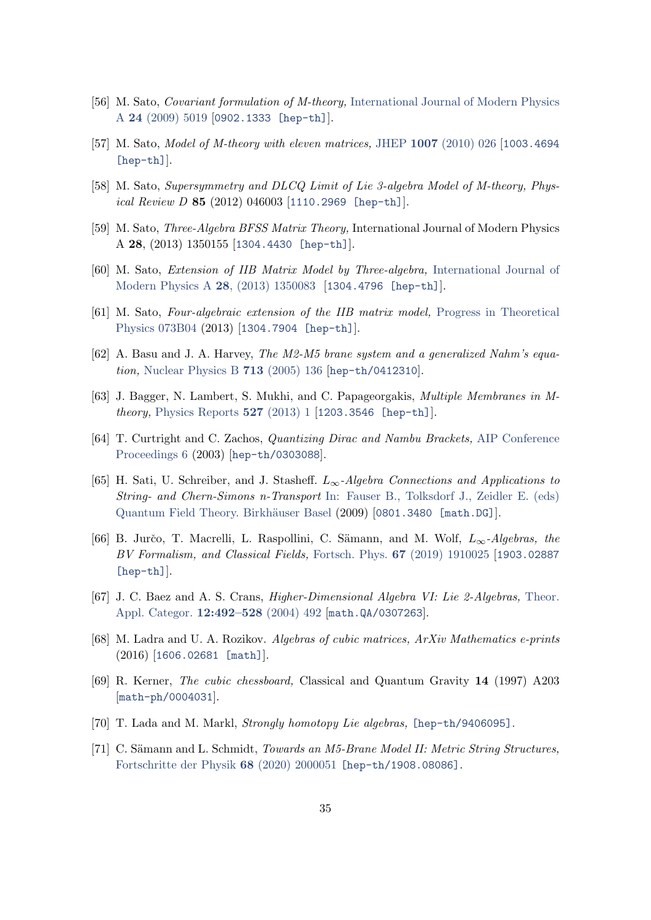- [56] M. Sato, Covariant formulation of M-theory, [International Journal of Modern Physics](http://dx.doi.org/10.1142/S0217751X09047661) A 24 [\(2009\) 5019](http://dx.doi.org/10.1142/S0217751X09047661) [[0902.1333 \[hep-th\]](http://www.arxiv.org/abs/0902.1333)].
- [57] M. Sato, *Model of M-theory with eleven matrices*, JHEP 1007 [\(2010\) 026](http://dx.doi.org/10.1007/JHEP07(2010)026) [[1003.4694](http://www.arxiv.org/abs/1003.4694) [\[hep-th\]](http://www.arxiv.org/abs/1003.4694)].
- [58] M. Sato, Supersymmetry and DLCQ Limit of Lie 3-algebra Model of M-theory, Physical Review D 85 (2012) 046003 [[1110.2969 \[hep-th\]](http://www.arxiv.org/abs/1110.2969)].
- [59] M. Sato, Three-Algebra BFSS Matrix Theory, International Journal of Modern Physics A 28, (2013) 1350155 [[1304.4430 \[hep-th\]](http://www.arxiv.org/abs/1304.4430)].
- [60] M. Sato, Extension of IIB Matrix Model by Three-algebra, [International Journal of](http://dx.doi.org/10.1142/s0217751x13500838) [Modern Physics A](http://dx.doi.org/10.1142/s0217751x13500838) 28, (2013) 1350083 [[1304.4796 \[hep-th\]](http://www.arxiv.org/abs/1304.4796)].
- <span id="page-35-0"></span>[61] M. Sato, Four-algebraic extension of the IIB matrix model, [Progress in Theoretical](http://dx.doi.org/10.1093/ptep/ptt054) [Physics 073B04](http://dx.doi.org/10.1093/ptep/ptt054) (2013) [[1304.7904 \[hep-th\]](http://www.arxiv.org/abs/1304.7904)].
- <span id="page-35-1"></span>[62] A. Basu and J. A. Harvey, The M2-M5 brane system and a generalized Nahm's equation, [Nuclear Physics B](http://dx.doi.org/10.1016/j.nuclphysb.2005.02.007) 713 (2005) 136 [[hep-th/0412310](http://www.arxiv.org/abs/hep-th/0412310)].
- <span id="page-35-2"></span>[63] J. Bagger, N. Lambert, S. Mukhi, and C. Papageorgakis, Multiple Membranes in Mtheory, [Physics Reports](http://dx.doi.org/10.1016/j.physrep.2013.01.006) 527 (2013) 1 [[1203.3546 \[hep-th\]](http://www.arxiv.org/abs/1203.3546)].
- <span id="page-35-3"></span>[64] T. Curtright and C. Zachos, Quantizing Dirac and Nambu Brackets, [AIP Conference](http://dx.doi.org/10.1063/1.1594404) [Proceedings 6](http://dx.doi.org/10.1063/1.1594404) (2003) [[hep-th/0303088](http://www.arxiv.org/abs/hep-th/0303088)].
- <span id="page-35-4"></span>[65] H. Sati, U. Schreiber, and J. Stasheff.  $L_{\infty}$ -Algebra Connections and Applications to String- and Chern-Simons n-Transport [In: Fauser B., Tolksdorf J., Zeidler E. \(eds\)](https://doi.org/10.1007/978-3-7643-8736-5_17) Quantum Field Theory. Birkhäuser Basel (2009) [[0801.3480 \[math.DG\]](https://arxiv.org/abs/0801.3480)].
- <span id="page-35-5"></span>[66] B. Jurčo, T. Macrelli, L. Raspollini, C. Sämann, and M. Wolf,  $L_{\infty}$ -Algebras, the BV Formalism, and Classical Fields, Fortsch. Phys. 67 [\(2019\) 1910025](http://dx.doi.org/10.1002/prop.201910025) [[1903.02887](http://www.arxiv.org/abs/1903.02887) [\[hep-th\]](http://www.arxiv.org/abs/1903.02887)].
- <span id="page-35-6"></span>[67] J. C. Baez and A. S. Crans, Higher-Dimensional Algebra VI: Lie 2-Algebras, [Theor.](http://tac.mta.ca/tac/volumes/12/15/12-15.pdf) [Appl. Categor.](http://tac.mta.ca/tac/volumes/12/15/12-15.pdf) **12:492–528** (2004) 492 [[math.QA/0307263](http://www.arxiv.org/abs/math.QA/0307263)].
- <span id="page-35-7"></span>[68] M. Ladra and U. A. Rozikov. Algebras of cubic matrices, ArXiv Mathematics e-prints (2016) [[1606.02681 \[math\]](http://www.arxiv.org/abs/1606.02681)].
- <span id="page-35-8"></span>[69] R. Kerner, The cubic chessboard, Classical and Quantum Gravity 14 (1997) A203 [[math-ph/0004031](http://www.arxiv.org/abs/math-ph/0004031)].
- <span id="page-35-9"></span>[70] T. Lada and M. Markl, *Strongly homotopy Lie algebras*, [\[hep-th/9406095\]](http://www.arxiv.org/abs/hep-th/9406095).
- <span id="page-35-10"></span>[71] C. Sämann and L. Schmidt, *Towards an M5-Brane Model II: Metric String Structures*, [Fortschritte der Physik](http://dx.doi.org/https://doi.org/10.1002/prop.202000051) 68 (2020) 2000051 [\[hep-th/1908.08086\]](https://arxiv.org/abs/1908.08086).